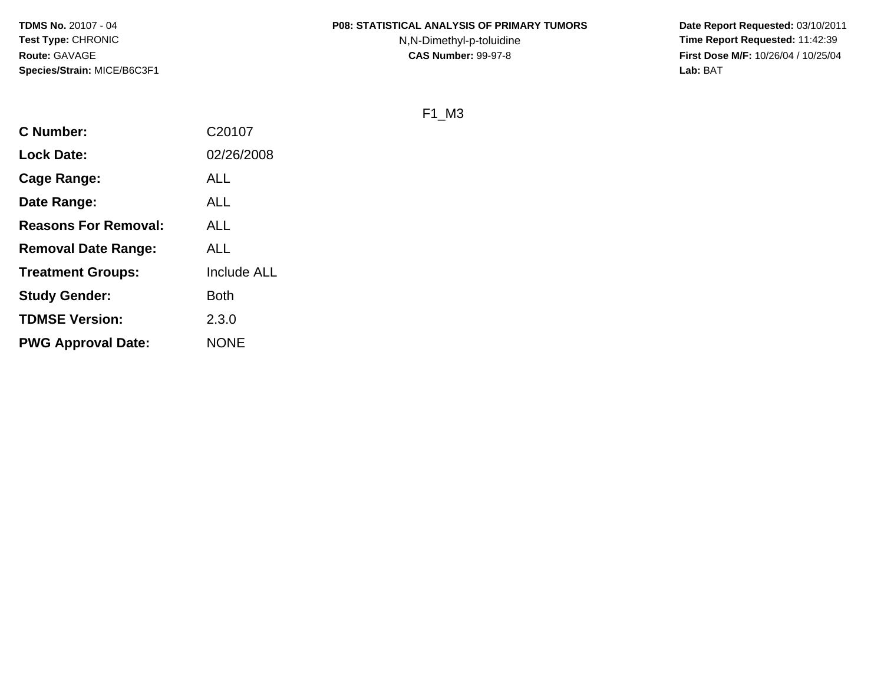#### **P08: STATISTICAL ANALYSIS OF PRIMARY TUMORS**

N,N-Dimethyl-p-toluidine

 **Date Report Requested:** 03/10/2011 **Time Report Requested:** 11:42:39 **First Dose M/F:** 10/26/04 / 10/25/04<br>**Lab:** BAT **Lab:** BAT

F1\_M3

| <b>C</b> Number:            | C20107             |
|-----------------------------|--------------------|
| <b>Lock Date:</b>           | 02/26/2008         |
| Cage Range:                 | <b>ALL</b>         |
| Date Range:                 | ALL                |
| <b>Reasons For Removal:</b> | ALL                |
| <b>Removal Date Range:</b>  | <b>ALL</b>         |
| <b>Treatment Groups:</b>    | <b>Include ALL</b> |
| <b>Study Gender:</b>        | <b>Both</b>        |
| <b>TDMSE Version:</b>       | 2.3.0              |
| <b>PWG Approval Date:</b>   | <b>NONE</b>        |
|                             |                    |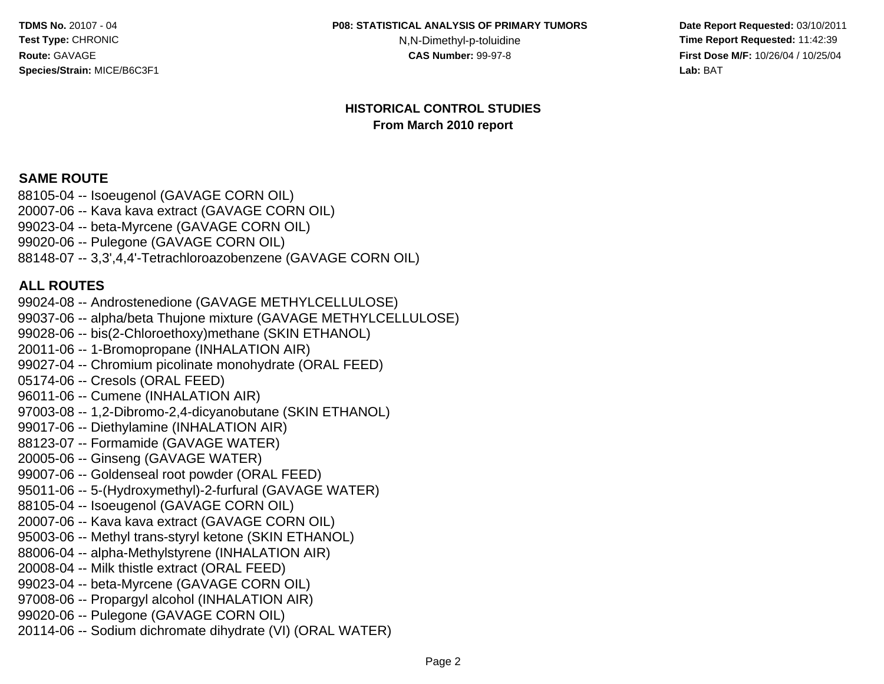N, N-Dimethyl-p-toluidine<br>CAS Number: 99-97-8

 **Date Report Requested:** 03/10/2011 **Time Report Requested:** 11:42:39 **First Dose M/F:** 10/26/04 / 10/25/04 Lab: BAT **Lab:** BAT

#### **HISTORICAL CONTROL STUDIESFrom March 2010 report**

#### **SAME ROUTE**

 88105-04 -- Isoeugenol (GAVAGE CORN OIL) 20007-06 -- Kava kava extract (GAVAGE CORN OIL)99023-04 -- beta-Myrcene (GAVAGE CORN OIL)99020-06 -- Pulegone (GAVAGE CORN OIL)88148-07 -- 3,3',4,4'-Tetrachloroazobenzene (GAVAGE CORN OIL)

#### **ALL ROUTES**

 99024-08 -- Androstenedione (GAVAGE METHYLCELLULOSE) 99037-06 -- alpha/beta Thujone mixture (GAVAGE METHYLCELLULOSE)99028-06 -- bis(2-Chloroethoxy)methane (SKIN ETHANOL)20011-06 -- 1-Bromopropane (INHALATION AIR) 99027-04 -- Chromium picolinate monohydrate (ORAL FEED)05174-06 -- Cresols (ORAL FEED) 96011-06 -- Cumene (INHALATION AIR) 97003-08 -- 1,2-Dibromo-2,4-dicyanobutane (SKIN ETHANOL)99017-06 -- Diethylamine (INHALATION AIR)88123-07 -- Formamide (GAVAGE WATER)20005-06 -- Ginseng (GAVAGE WATER) 99007-06 -- Goldenseal root powder (ORAL FEED) 95011-06 -- 5-(Hydroxymethyl)-2-furfural (GAVAGE WATER)88105-04 -- Isoeugenol (GAVAGE CORN OIL) 20007-06 -- Kava kava extract (GAVAGE CORN OIL) 95003-06 -- Methyl trans-styryl ketone (SKIN ETHANOL)88006-04 -- alpha-Methylstyrene (INHALATION AIR)20008-04 -- Milk thistle extract (ORAL FEED) 99023-04 -- beta-Myrcene (GAVAGE CORN OIL) 97008-06 -- Propargyl alcohol (INHALATION AIR)99020-06 -- Pulegone (GAVAGE CORN OIL)20114-06 -- Sodium dichromate dihydrate (VI) (ORAL WATER)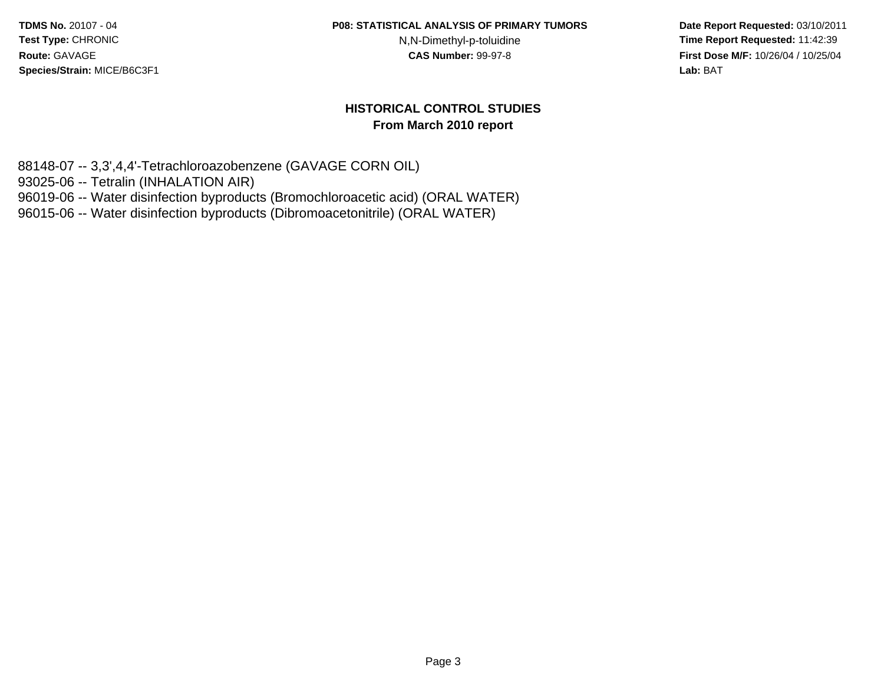**P08: STATISTICAL ANALYSIS OF PRIMARY TUMORS**

N,N-Dimethyl-p-toluidine

 **Date Report Requested:** 03/10/2011 **Time Report Requested:** 11:42:39 **First Dose M/F:** 10/26/04 / 10/25/04 Lab: BAT **Lab:** BAT

#### **HISTORICAL CONTROL STUDIESFrom March 2010 report**

88148-07 -- 3,3',4,4'-Tetrachloroazobenzene (GAVAGE CORN OIL)

93025-06 -- Tetralin (INHALATION AIR)

96019-06 -- Water disinfection byproducts (Bromochloroacetic acid) (ORAL WATER)

96015-06 -- Water disinfection byproducts (Dibromoacetonitrile) (ORAL WATER)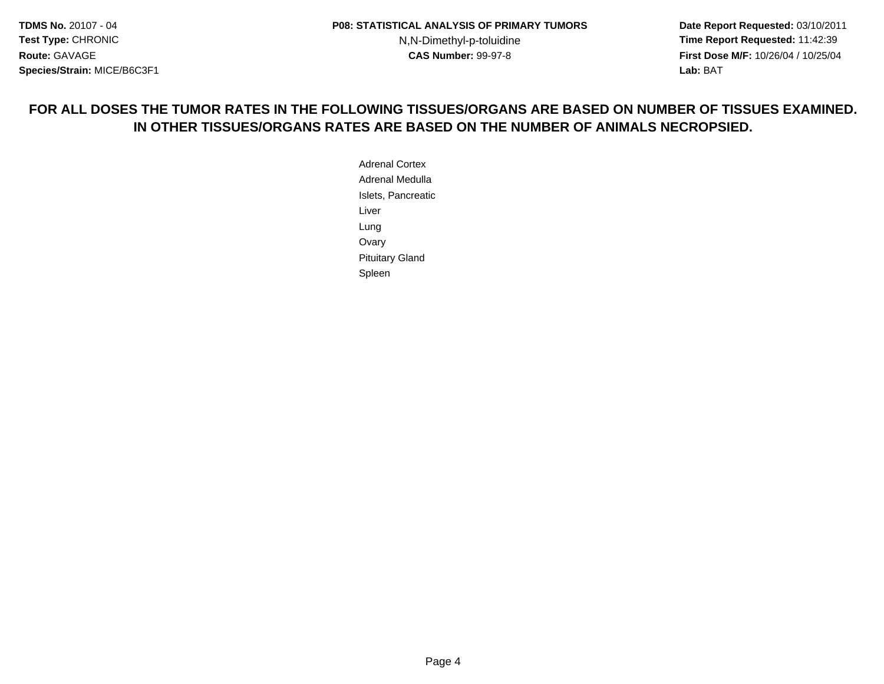**Date Report Requested:** 03/10/2011 **Time Report Requested:** 11:42:39 **First Dose M/F:** 10/26/04 / 10/25/04 Lab: BAT **Lab:** BAT

## **FOR ALL DOSES THE TUMOR RATES IN THE FOLLOWING TISSUES/ORGANS ARE BASED ON NUMBER OF TISSUES EXAMINED.IN OTHER TISSUES/ORGANS RATES ARE BASED ON THE NUMBER OF ANIMALS NECROPSIED.**

Adrenal Cortex Adrenal Medulla Islets, PancreaticLiverLung**Ovary**  Pituitary GlandSpleen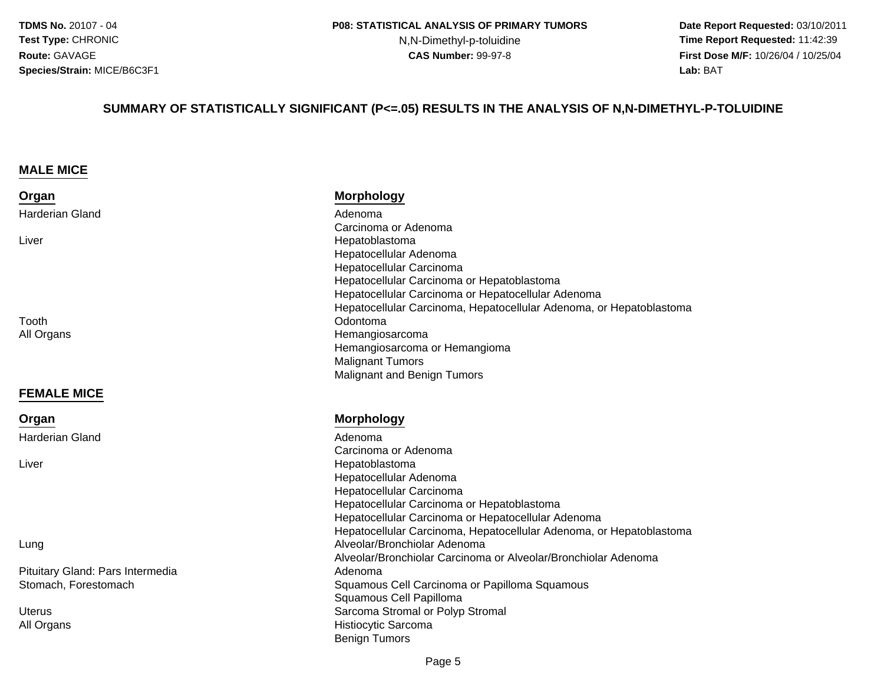N,N-Dimethyl-p-toluidine

 **Date Report Requested:** 03/10/2011 **Time Report Requested:** 11:42:39 **First Dose M/F:** 10/26/04 / 10/25/04 Lab: BAT **Lab:** BAT

#### **SUMMARY OF STATISTICALLY SIGNIFICANT (P<=.05) RESULTS IN THE ANALYSIS OF N,N-DIMETHYL-P-TOLUIDINE**

#### **MALE MICE**

**FEMALE MICE**

Harderian Gland

**Organ**

Liver

| Organ           | <b>Morphology</b>                                                   |
|-----------------|---------------------------------------------------------------------|
| Harderian Gland | Adenoma                                                             |
|                 | Carcinoma or Adenoma                                                |
| Liver           | Hepatoblastoma                                                      |
|                 | Hepatocellular Adenoma                                              |
|                 | Hepatocellular Carcinoma                                            |
|                 | Hepatocellular Carcinoma or Hepatoblastoma                          |
|                 | Hepatocellular Carcinoma or Hepatocellular Adenoma                  |
|                 | Hepatocellular Carcinoma, Hepatocellular Adenoma, or Hepatoblastoma |
| Tooth           | Odontoma                                                            |
| All Organs      | Hemangiosarcoma                                                     |
|                 | Hemangiosarcoma or Hemangioma                                       |
|                 | <b>Malignant Tumors</b>                                             |
|                 | Malignant and Benign Tumors                                         |
|                 |                                                                     |

#### **Morphology**

 Adenoma Carcinoma or Adenoma Hepatoblastoma Hepatocellular Adenoma Hepatocellular Carcinoma Hepatocellular Carcinoma or Hepatoblastoma Hepatocellular Carcinoma or Hepatocellular Adenoma Hepatocellular Carcinoma, Hepatocellular Adenoma, or Hepatoblastoma Alveolar/Bronchiolar Adenoma Alveolar/Bronchiolar Carcinoma or Alveolar/Bronchiolar Adenoma Adenoma Squamous Cell Carcinoma or Papilloma Squamous Squamous Cell Papillomas Sarcoma Stromal or Polyp Stromal Stromal or Polyp Stromal Stromal or Polyp Stromal Stromal Stromal or Polyp Stroma Histiocytic SarcomaBenign Tumors

Lung

Pituitary Gland: Pars IntermediaStomach, Forestomach

**Uterus** All Organs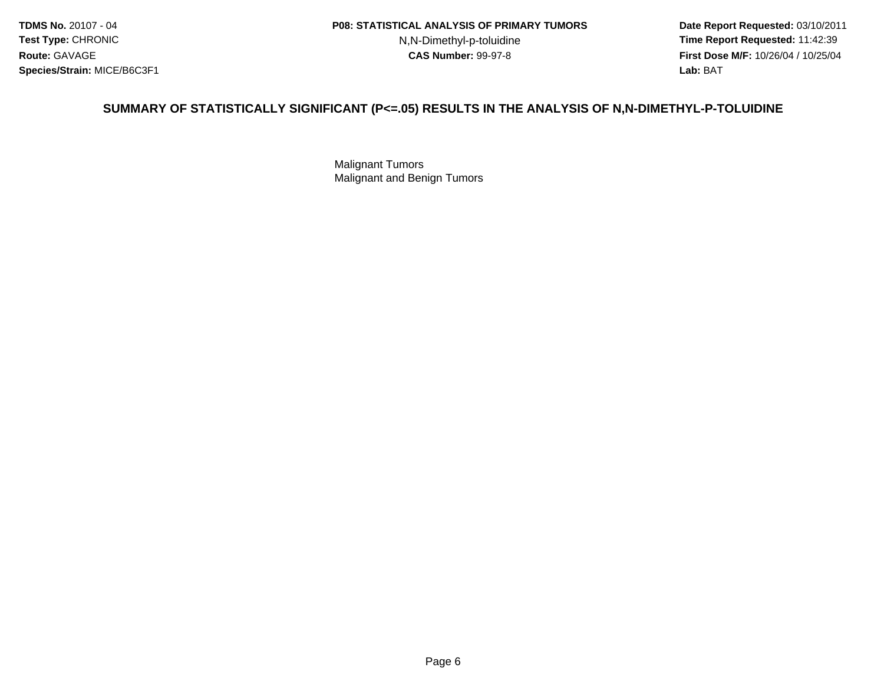N,N-Dimethyl-p-toluidine

 **Date Report Requested:** 03/10/2011 **Time Report Requested:** 11:42:39 **First Dose M/F:** 10/26/04 / 10/25/04 Lab: BAT **Lab:** BAT

#### **SUMMARY OF STATISTICALLY SIGNIFICANT (P<=.05) RESULTS IN THE ANALYSIS OF N,N-DIMETHYL-P-TOLUIDINE**

Malignant TumorsMalignant and Benign Tumors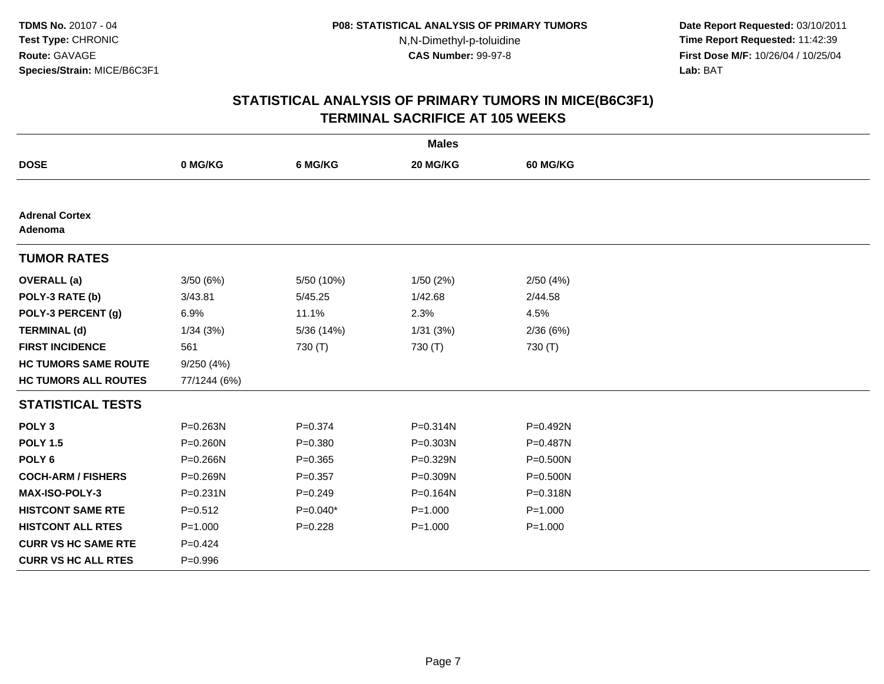**Date Report Requested:** 03/10/2011 **Time Report Requested:** 11:42:39 **First Dose M/F:** 10/26/04 / 10/25/04 Lab: BAT **Lab:** BAT

| <b>Males</b>                     |              |             |              |                 |  |  |
|----------------------------------|--------------|-------------|--------------|-----------------|--|--|
| <b>DOSE</b>                      | 0 MG/KG      | 6 MG/KG     | 20 MG/KG     | <b>60 MG/KG</b> |  |  |
|                                  |              |             |              |                 |  |  |
| <b>Adrenal Cortex</b><br>Adenoma |              |             |              |                 |  |  |
| <b>TUMOR RATES</b>               |              |             |              |                 |  |  |
| <b>OVERALL</b> (a)               | 3/50(6%)     | 5/50 (10%)  | 1/50(2%)     | 2/50(4%)        |  |  |
| POLY-3 RATE (b)                  | 3/43.81      | 5/45.25     | 1/42.68      | 2/44.58         |  |  |
| POLY-3 PERCENT (g)               | 6.9%         | 11.1%       | 2.3%         | 4.5%            |  |  |
| <b>TERMINAL (d)</b>              | 1/34(3%)     | 5/36 (14%)  | 1/31(3%)     | 2/36(6%)        |  |  |
| <b>FIRST INCIDENCE</b>           | 561          | 730 (T)     | 730 (T)      | 730 (T)         |  |  |
| <b>HC TUMORS SAME ROUTE</b>      | 9/250(4%)    |             |              |                 |  |  |
| <b>HC TUMORS ALL ROUTES</b>      | 77/1244 (6%) |             |              |                 |  |  |
| <b>STATISTICAL TESTS</b>         |              |             |              |                 |  |  |
| POLY <sub>3</sub>                | P=0.263N     | $P = 0.374$ | $P = 0.314N$ | P=0.492N        |  |  |
| <b>POLY 1.5</b>                  | $P = 0.260N$ | $P = 0.380$ | $P = 0.303N$ | P=0.487N        |  |  |
| POLY <sub>6</sub>                | $P = 0.266N$ | $P = 0.365$ | P=0.329N     | $P = 0.500N$    |  |  |
| <b>COCH-ARM / FISHERS</b>        | P=0.269N     | $P = 0.357$ | P=0.309N     | $P = 0.500N$    |  |  |
| <b>MAX-ISO-POLY-3</b>            | $P = 0.231N$ | $P = 0.249$ | P=0.164N     | P=0.318N        |  |  |
| <b>HISTCONT SAME RTE</b>         | $P = 0.512$  | $P=0.040*$  | $P = 1.000$  | $P = 1.000$     |  |  |
| <b>HISTCONT ALL RTES</b>         | $P = 1.000$  | $P = 0.228$ | $P = 1.000$  | $P = 1.000$     |  |  |
| <b>CURR VS HC SAME RTE</b>       | $P=0.424$    |             |              |                 |  |  |
| <b>CURR VS HC ALL RTES</b>       | $P = 0.996$  |             |              |                 |  |  |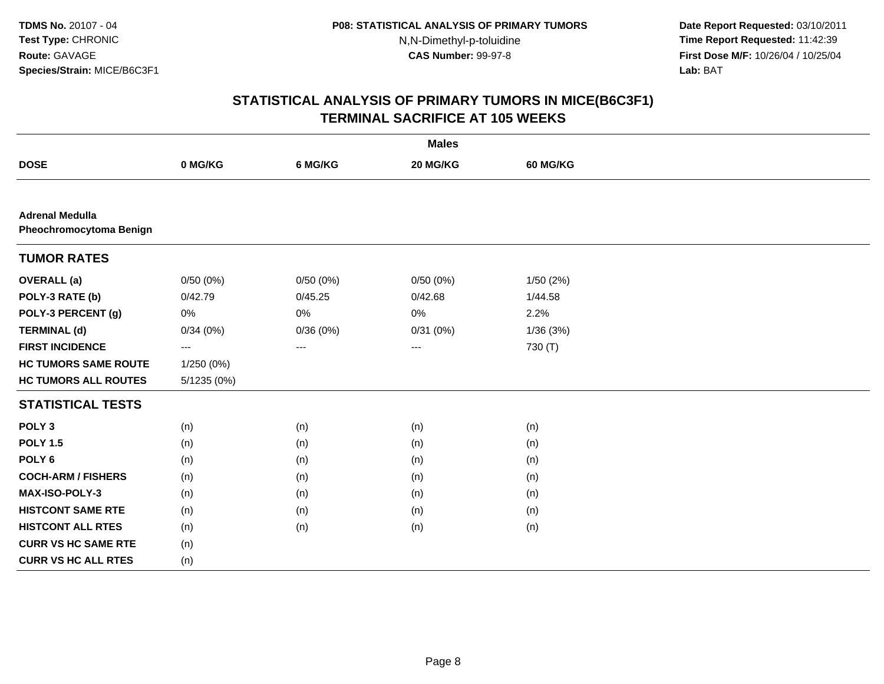**Date Report Requested:** 03/10/2011 **Time Report Requested:** 11:42:39 **First Dose M/F:** 10/26/04 / 10/25/04 Lab: BAT **Lab:** BAT

| <b>Males</b>                                      |             |          |          |                 |  |  |
|---------------------------------------------------|-------------|----------|----------|-----------------|--|--|
| <b>DOSE</b>                                       | 0 MG/KG     | 6 MG/KG  | 20 MG/KG | <b>60 MG/KG</b> |  |  |
|                                                   |             |          |          |                 |  |  |
| <b>Adrenal Medulla</b><br>Pheochromocytoma Benign |             |          |          |                 |  |  |
| <b>TUMOR RATES</b>                                |             |          |          |                 |  |  |
| <b>OVERALL</b> (a)                                | 0/50(0%)    | 0/50(0%) | 0/50(0%) | 1/50(2%)        |  |  |
| POLY-3 RATE (b)                                   | 0/42.79     | 0/45.25  | 0/42.68  | 1/44.58         |  |  |
| POLY-3 PERCENT (g)                                | 0%          | $0\%$    | 0%       | 2.2%            |  |  |
| <b>TERMINAL (d)</b>                               | 0/34(0%)    | 0/36(0%) | 0/31(0%) | 1/36(3%)        |  |  |
| <b>FIRST INCIDENCE</b>                            | ---         | ---      | ---      | 730 (T)         |  |  |
| <b>HC TUMORS SAME ROUTE</b>                       | 1/250 (0%)  |          |          |                 |  |  |
| <b>HC TUMORS ALL ROUTES</b>                       | 5/1235 (0%) |          |          |                 |  |  |
| <b>STATISTICAL TESTS</b>                          |             |          |          |                 |  |  |
| POLY <sub>3</sub>                                 | (n)         | (n)      | (n)      | (n)             |  |  |
| <b>POLY 1.5</b>                                   | (n)         | (n)      | (n)      | (n)             |  |  |
| POLY <sub>6</sub>                                 | (n)         | (n)      | (n)      | (n)             |  |  |
| <b>COCH-ARM / FISHERS</b>                         | (n)         | (n)      | (n)      | (n)             |  |  |
| MAX-ISO-POLY-3                                    | (n)         | (n)      | (n)      | (n)             |  |  |
| <b>HISTCONT SAME RTE</b>                          | (n)         | (n)      | (n)      | (n)             |  |  |
| <b>HISTCONT ALL RTES</b>                          | (n)         | (n)      | (n)      | (n)             |  |  |
| <b>CURR VS HC SAME RTE</b>                        | (n)         |          |          |                 |  |  |
| <b>CURR VS HC ALL RTES</b>                        | (n)         |          |          |                 |  |  |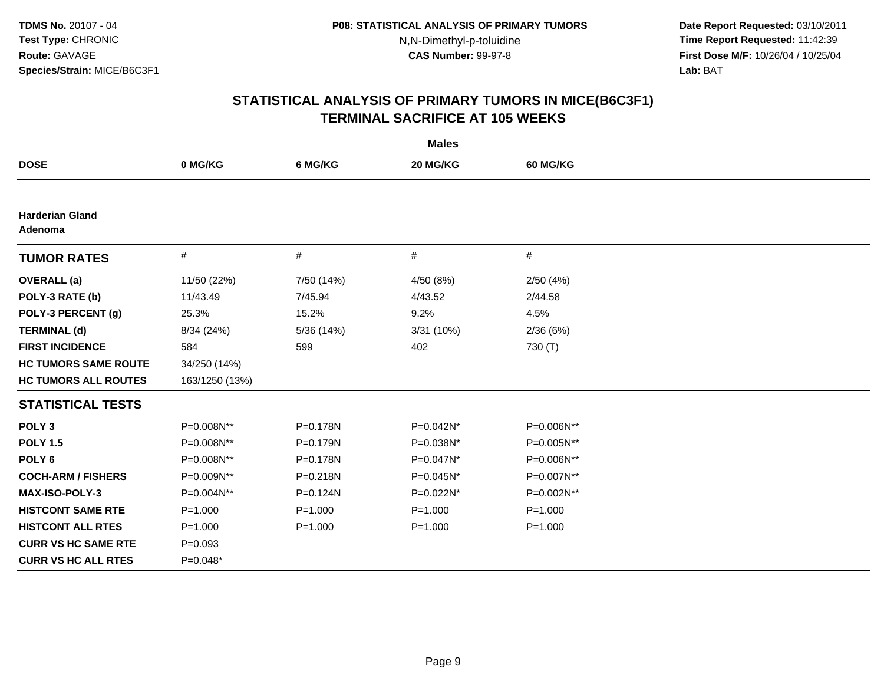**Date Report Requested:** 03/10/2011 **Time Report Requested:** 11:42:39 **First Dose M/F:** 10/26/04 / 10/25/04 Lab: BAT **Lab:** BAT

| <b>Males</b>                      |                |             |             |                 |  |  |
|-----------------------------------|----------------|-------------|-------------|-----------------|--|--|
| <b>DOSE</b>                       | 0 MG/KG        | 6 MG/KG     | 20 MG/KG    | <b>60 MG/KG</b> |  |  |
|                                   |                |             |             |                 |  |  |
| <b>Harderian Gland</b><br>Adenoma |                |             |             |                 |  |  |
| <b>TUMOR RATES</b>                | #              | $\#$        | $\#$        | #               |  |  |
| <b>OVERALL</b> (a)                | 11/50 (22%)    | 7/50 (14%)  | 4/50 (8%)   | 2/50(4%)        |  |  |
| POLY-3 RATE (b)                   | 11/43.49       | 7/45.94     | 4/43.52     | 2/44.58         |  |  |
| POLY-3 PERCENT (g)                | 25.3%          | 15.2%       | 9.2%        | 4.5%            |  |  |
| <b>TERMINAL (d)</b>               | 8/34 (24%)     | 5/36 (14%)  | 3/31 (10%)  | 2/36(6%)        |  |  |
| <b>FIRST INCIDENCE</b>            | 584            | 599         | 402         | 730 (T)         |  |  |
| <b>HC TUMORS SAME ROUTE</b>       | 34/250 (14%)   |             |             |                 |  |  |
| <b>HC TUMORS ALL ROUTES</b>       | 163/1250 (13%) |             |             |                 |  |  |
| <b>STATISTICAL TESTS</b>          |                |             |             |                 |  |  |
| POLY <sub>3</sub>                 | P=0.008N**     | P=0.178N    | P=0.042N*   | P=0.006N**      |  |  |
| <b>POLY 1.5</b>                   | P=0.008N**     | P=0.179N    | P=0.038N*   | P=0.005N**      |  |  |
| POLY <sub>6</sub>                 | P=0.008N**     | P=0.178N    | P=0.047N*   | P=0.006N**      |  |  |
| <b>COCH-ARM / FISHERS</b>         | P=0.009N**     | P=0.218N    | P=0.045N*   | P=0.007N**      |  |  |
| <b>MAX-ISO-POLY-3</b>             | P=0.004N**     | P=0.124N    | P=0.022N*   | P=0.002N**      |  |  |
| <b>HISTCONT SAME RTE</b>          | $P = 1.000$    | $P = 1.000$ | $P = 1.000$ | $P = 1.000$     |  |  |
| <b>HISTCONT ALL RTES</b>          | $P = 1.000$    | $P = 1.000$ | $P = 1.000$ | $P = 1.000$     |  |  |
| <b>CURR VS HC SAME RTE</b>        | $P = 0.093$    |             |             |                 |  |  |
| <b>CURR VS HC ALL RTES</b>        | $P=0.048*$     |             |             |                 |  |  |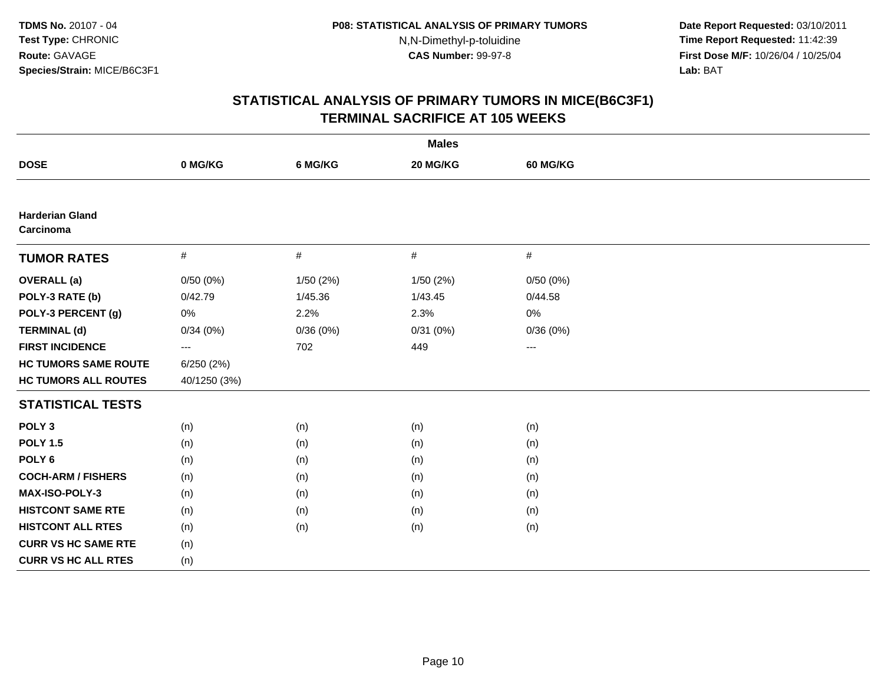**Date Report Requested:** 03/10/2011 **Time Report Requested:** 11:42:39 **First Dose M/F:** 10/26/04 / 10/25/04 Lab: BAT **Lab:** BAT

| <b>Males</b>                        |                     |           |           |                   |  |  |
|-------------------------------------|---------------------|-----------|-----------|-------------------|--|--|
| <b>DOSE</b>                         | 0 MG/KG             | 6 MG/KG   | 20 MG/KG  | 60 MG/KG          |  |  |
|                                     |                     |           |           |                   |  |  |
| <b>Harderian Gland</b><br>Carcinoma |                     |           |           |                   |  |  |
| <b>TUMOR RATES</b>                  | $\#$                | $\#$      | $\#$      | $\#$              |  |  |
| <b>OVERALL</b> (a)                  | 0/50(0%)            | 1/50 (2%) | 1/50 (2%) | 0/50(0%)          |  |  |
| POLY-3 RATE (b)                     | 0/42.79             | 1/45.36   | 1/43.45   | 0/44.58           |  |  |
| POLY-3 PERCENT (g)                  | 0%                  | 2.2%      | 2.3%      | 0%                |  |  |
| <b>TERMINAL (d)</b>                 | 0/34(0%)            | 0/36(0%)  | 0/31(0%)  | 0/36(0%)          |  |  |
| <b>FIRST INCIDENCE</b>              | $\qquad \qquad - -$ | 702       | 449       | $\qquad \qquad -$ |  |  |
| <b>HC TUMORS SAME ROUTE</b>         | 6/250(2%)           |           |           |                   |  |  |
| <b>HC TUMORS ALL ROUTES</b>         | 40/1250 (3%)        |           |           |                   |  |  |
| <b>STATISTICAL TESTS</b>            |                     |           |           |                   |  |  |
| POLY <sub>3</sub>                   | (n)                 | (n)       | (n)       | (n)               |  |  |
| <b>POLY 1.5</b>                     | (n)                 | (n)       | (n)       | (n)               |  |  |
| POLY <sub>6</sub>                   | (n)                 | (n)       | (n)       | (n)               |  |  |
| <b>COCH-ARM / FISHERS</b>           | (n)                 | (n)       | (n)       | (n)               |  |  |
| <b>MAX-ISO-POLY-3</b>               | (n)                 | (n)       | (n)       | (n)               |  |  |
| <b>HISTCONT SAME RTE</b>            | (n)                 | (n)       | (n)       | (n)               |  |  |
| <b>HISTCONT ALL RTES</b>            | (n)                 | (n)       | (n)       | (n)               |  |  |
| <b>CURR VS HC SAME RTE</b>          | (n)                 |           |           |                   |  |  |
| <b>CURR VS HC ALL RTES</b>          | (n)                 |           |           |                   |  |  |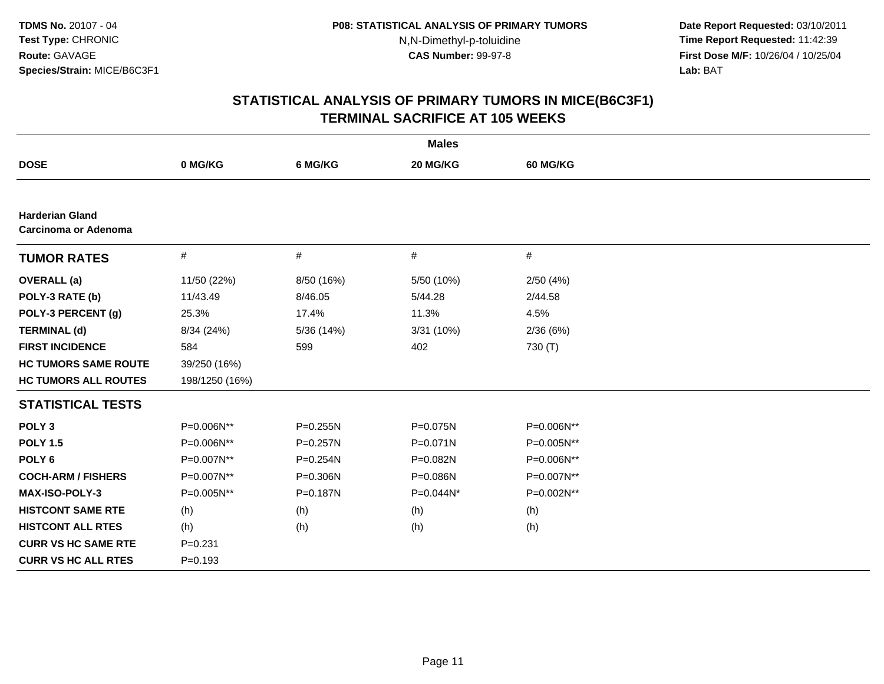**Date Report Requested:** 03/10/2011 **Time Report Requested:** 11:42:39 **First Dose M/F:** 10/26/04 / 10/25/04 Lab: BAT **Lab:** BAT

| <b>Males</b>                                   |                |              |              |            |  |
|------------------------------------------------|----------------|--------------|--------------|------------|--|
| <b>DOSE</b>                                    | 0 MG/KG        | 6 MG/KG      | 20 MG/KG     | 60 MG/KG   |  |
|                                                |                |              |              |            |  |
| <b>Harderian Gland</b><br>Carcinoma or Adenoma |                |              |              |            |  |
| <b>TUMOR RATES</b>                             | $\#$           | #            | $\#$         | $\#$       |  |
| <b>OVERALL</b> (a)                             | 11/50 (22%)    | 8/50 (16%)   | 5/50 (10%)   | 2/50(4%)   |  |
| POLY-3 RATE (b)                                | 11/43.49       | 8/46.05      | 5/44.28      | 2/44.58    |  |
| POLY-3 PERCENT (g)                             | 25.3%          | 17.4%        | 11.3%        | 4.5%       |  |
| <b>TERMINAL (d)</b>                            | 8/34 (24%)     | 5/36 (14%)   | 3/31 (10%)   | 2/36(6%)   |  |
| <b>FIRST INCIDENCE</b>                         | 584            | 599          | 402          | 730 (T)    |  |
| <b>HC TUMORS SAME ROUTE</b>                    | 39/250 (16%)   |              |              |            |  |
| <b>HC TUMORS ALL ROUTES</b>                    | 198/1250 (16%) |              |              |            |  |
| <b>STATISTICAL TESTS</b>                       |                |              |              |            |  |
| POLY <sub>3</sub>                              | P=0.006N**     | P=0.255N     | P=0.075N     | P=0.006N** |  |
| <b>POLY 1.5</b>                                | P=0.006N**     | $P = 0.257N$ | $P = 0.071N$ | P=0.005N** |  |
| POLY <sub>6</sub>                              | P=0.007N**     | $P = 0.254N$ | P=0.082N     | P=0.006N** |  |
| <b>COCH-ARM / FISHERS</b>                      | P=0.007N**     | P=0.306N     | P=0.086N     | P=0.007N** |  |
| <b>MAX-ISO-POLY-3</b>                          | P=0.005N**     | P=0.187N     | P=0.044N*    | P=0.002N** |  |
| <b>HISTCONT SAME RTE</b>                       | (h)            | (h)          | (h)          | (h)        |  |
| <b>HISTCONT ALL RTES</b>                       | (h)            | (h)          | (h)          | (h)        |  |
| <b>CURR VS HC SAME RTE</b>                     | $P = 0.231$    |              |              |            |  |
| <b>CURR VS HC ALL RTES</b>                     | $P = 0.193$    |              |              |            |  |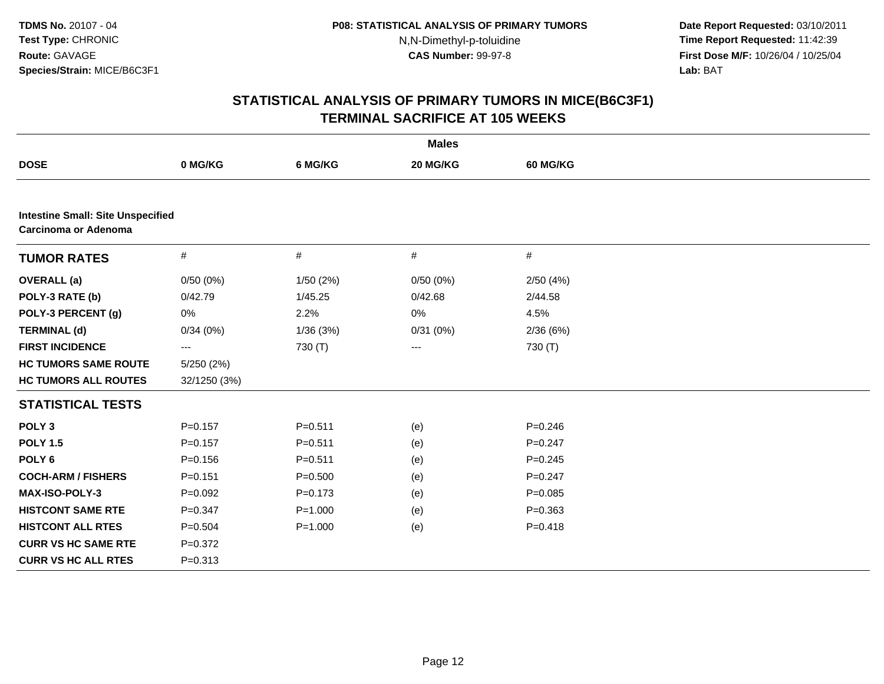**Date Report Requested:** 03/10/2011 **Time Report Requested:** 11:42:39 **First Dose M/F:** 10/26/04 / 10/25/04 Lab: BAT **Lab:** BAT

| <b>Males</b>                                                            |              |             |          |             |  |  |
|-------------------------------------------------------------------------|--------------|-------------|----------|-------------|--|--|
| <b>DOSE</b>                                                             | 0 MG/KG      | 6 MG/KG     | 20 MG/KG | 60 MG/KG    |  |  |
|                                                                         |              |             |          |             |  |  |
| <b>Intestine Small: Site Unspecified</b><br><b>Carcinoma or Adenoma</b> |              |             |          |             |  |  |
| <b>TUMOR RATES</b>                                                      | $\#$         | $\#$        | $\#$     | $\#$        |  |  |
| <b>OVERALL</b> (a)                                                      | 0/50(0%)     | 1/50 (2%)   | 0/50(0%) | 2/50(4%)    |  |  |
| POLY-3 RATE (b)                                                         | 0/42.79      | 1/45.25     | 0/42.68  | 2/44.58     |  |  |
| POLY-3 PERCENT (g)                                                      | 0%           | 2.2%        | 0%       | 4.5%        |  |  |
| <b>TERMINAL (d)</b>                                                     | 0/34(0%)     | 1/36(3%)    | 0/31(0%) | 2/36(6%)    |  |  |
| <b>FIRST INCIDENCE</b>                                                  | ---          | 730 (T)     | $---$    | 730 (T)     |  |  |
| <b>HC TUMORS SAME ROUTE</b>                                             | 5/250 (2%)   |             |          |             |  |  |
| <b>HC TUMORS ALL ROUTES</b>                                             | 32/1250 (3%) |             |          |             |  |  |
| <b>STATISTICAL TESTS</b>                                                |              |             |          |             |  |  |
| POLY <sub>3</sub>                                                       | $P = 0.157$  | $P = 0.511$ | (e)      | $P = 0.246$ |  |  |
| <b>POLY 1.5</b>                                                         | $P = 0.157$  | $P = 0.511$ | (e)      | $P = 0.247$ |  |  |
| POLY <sub>6</sub>                                                       | $P = 0.156$  | $P = 0.511$ | (e)      | $P = 0.245$ |  |  |
| <b>COCH-ARM / FISHERS</b>                                               | $P = 0.151$  | $P = 0.500$ | (e)      | $P = 0.247$ |  |  |
| <b>MAX-ISO-POLY-3</b>                                                   | $P=0.092$    | $P = 0.173$ | (e)      | $P = 0.085$ |  |  |
| <b>HISTCONT SAME RTE</b>                                                | $P = 0.347$  | $P = 1.000$ | (e)      | $P = 0.363$ |  |  |
| <b>HISTCONT ALL RTES</b>                                                | $P = 0.504$  | $P = 1.000$ | (e)      | $P = 0.418$ |  |  |
| <b>CURR VS HC SAME RTE</b>                                              | $P = 0.372$  |             |          |             |  |  |
| <b>CURR VS HC ALL RTES</b>                                              | $P = 0.313$  |             |          |             |  |  |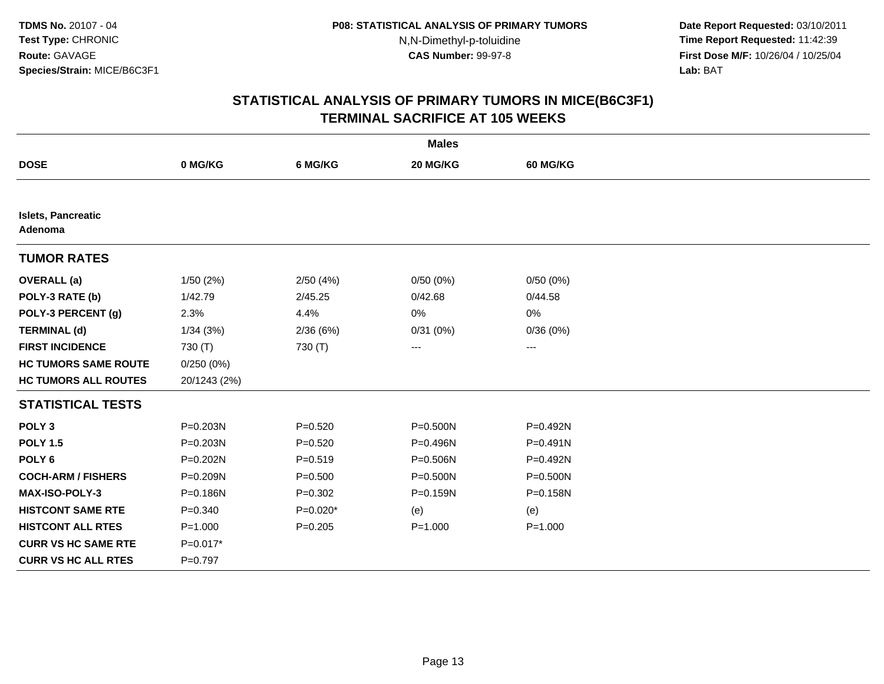**Date Report Requested:** 03/10/2011 **Time Report Requested:** 11:42:39 **First Dose M/F:** 10/26/04 / 10/25/04 Lab: BAT **Lab:** BAT

| <b>Males</b>                         |              |             |              |                 |  |  |
|--------------------------------------|--------------|-------------|--------------|-----------------|--|--|
| <b>DOSE</b>                          | 0 MG/KG      | 6 MG/KG     | 20 MG/KG     | <b>60 MG/KG</b> |  |  |
|                                      |              |             |              |                 |  |  |
| <b>Islets, Pancreatic</b><br>Adenoma |              |             |              |                 |  |  |
| <b>TUMOR RATES</b>                   |              |             |              |                 |  |  |
| <b>OVERALL</b> (a)                   | 1/50 (2%)    | 2/50(4%)    | 0/50(0%)     | 0/50(0%)        |  |  |
| POLY-3 RATE (b)                      | 1/42.79      | 2/45.25     | 0/42.68      | 0/44.58         |  |  |
| POLY-3 PERCENT (g)                   | 2.3%         | 4.4%        | 0%           | 0%              |  |  |
| <b>TERMINAL (d)</b>                  | 1/34(3%)     | 2/36(6%)    | 0/31(0%)     | 0/36(0%)        |  |  |
| <b>FIRST INCIDENCE</b>               | 730 (T)      | 730 (T)     | ---          | ---             |  |  |
| <b>HC TUMORS SAME ROUTE</b>          | 0/250(0%)    |             |              |                 |  |  |
| <b>HC TUMORS ALL ROUTES</b>          | 20/1243 (2%) |             |              |                 |  |  |
| <b>STATISTICAL TESTS</b>             |              |             |              |                 |  |  |
| POLY <sub>3</sub>                    | P=0.203N     | $P=0.520$   | P=0.500N     | P=0.492N        |  |  |
| <b>POLY 1.5</b>                      | $P = 0.203N$ | $P = 0.520$ | P=0.496N     | P=0.491N        |  |  |
| POLY <sub>6</sub>                    | $P = 0.202N$ | $P = 0.519$ | P=0.506N     | P=0.492N        |  |  |
| <b>COCH-ARM / FISHERS</b>            | P=0.209N     | $P = 0.500$ | $P = 0.500N$ | P=0.500N        |  |  |
| <b>MAX-ISO-POLY-3</b>                | P=0.186N     | $P = 0.302$ | P=0.159N     | P=0.158N        |  |  |
| <b>HISTCONT SAME RTE</b>             | $P = 0.340$  | $P=0.020*$  | (e)          | (e)             |  |  |
| <b>HISTCONT ALL RTES</b>             | $P = 1.000$  | $P = 0.205$ | $P = 1.000$  | $P = 1.000$     |  |  |
| <b>CURR VS HC SAME RTE</b>           | $P=0.017*$   |             |              |                 |  |  |
| <b>CURR VS HC ALL RTES</b>           | $P=0.797$    |             |              |                 |  |  |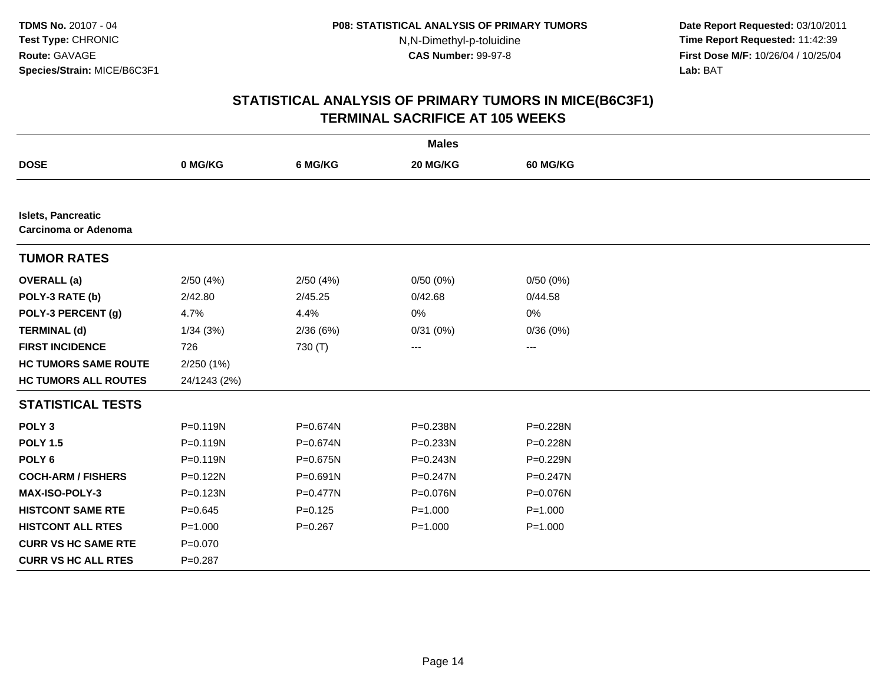**Date Report Requested:** 03/10/2011 **Time Report Requested:** 11:42:39 **First Dose M/F:** 10/26/04 / 10/25/04 Lab: BAT **Lab:** BAT

| <b>Males</b>                                      |              |              |              |                 |  |  |
|---------------------------------------------------|--------------|--------------|--------------|-----------------|--|--|
| <b>DOSE</b>                                       | 0 MG/KG      | 6 MG/KG      | 20 MG/KG     | <b>60 MG/KG</b> |  |  |
|                                                   |              |              |              |                 |  |  |
| <b>Islets, Pancreatic</b><br>Carcinoma or Adenoma |              |              |              |                 |  |  |
| <b>TUMOR RATES</b>                                |              |              |              |                 |  |  |
| <b>OVERALL</b> (a)                                | 2/50(4%)     | 2/50(4%)     | 0/50(0%)     | 0/50(0%)        |  |  |
| POLY-3 RATE (b)                                   | 2/42.80      | 2/45.25      | 0/42.68      | 0/44.58         |  |  |
| POLY-3 PERCENT (g)                                | 4.7%         | 4.4%         | 0%           | 0%              |  |  |
| <b>TERMINAL (d)</b>                               | 1/34(3%)     | 2/36(6%)     | 0/31(0%)     | 0/36(0%)        |  |  |
| <b>FIRST INCIDENCE</b>                            | 726          | 730 (T)      | ---          | ---             |  |  |
| <b>HC TUMORS SAME ROUTE</b>                       | 2/250(1%)    |              |              |                 |  |  |
| <b>HC TUMORS ALL ROUTES</b>                       | 24/1243 (2%) |              |              |                 |  |  |
| <b>STATISTICAL TESTS</b>                          |              |              |              |                 |  |  |
| POLY <sub>3</sub>                                 | P=0.119N     | P=0.674N     | P=0.238N     | P=0.228N        |  |  |
| <b>POLY 1.5</b>                                   | $P = 0.119N$ | P=0.674N     | $P = 0.233N$ | P=0.228N        |  |  |
| POLY <sub>6</sub>                                 | P=0.119N     | P=0.675N     | P=0.243N     | P=0.229N        |  |  |
| <b>COCH-ARM / FISHERS</b>                         | P=0.122N     | $P = 0.691N$ | $P = 0.247N$ | P=0.247N        |  |  |
| <b>MAX-ISO-POLY-3</b>                             | P=0.123N     | $P = 0.477N$ | P=0.076N     | P=0.076N        |  |  |
| <b>HISTCONT SAME RTE</b>                          | $P = 0.645$  | $P=0.125$    | $P = 1.000$  | $P = 1.000$     |  |  |
| <b>HISTCONT ALL RTES</b>                          | $P = 1.000$  | $P = 0.267$  | $P = 1.000$  | $P = 1.000$     |  |  |
| <b>CURR VS HC SAME RTE</b>                        | $P = 0.070$  |              |              |                 |  |  |
| <b>CURR VS HC ALL RTES</b>                        | $P = 0.287$  |              |              |                 |  |  |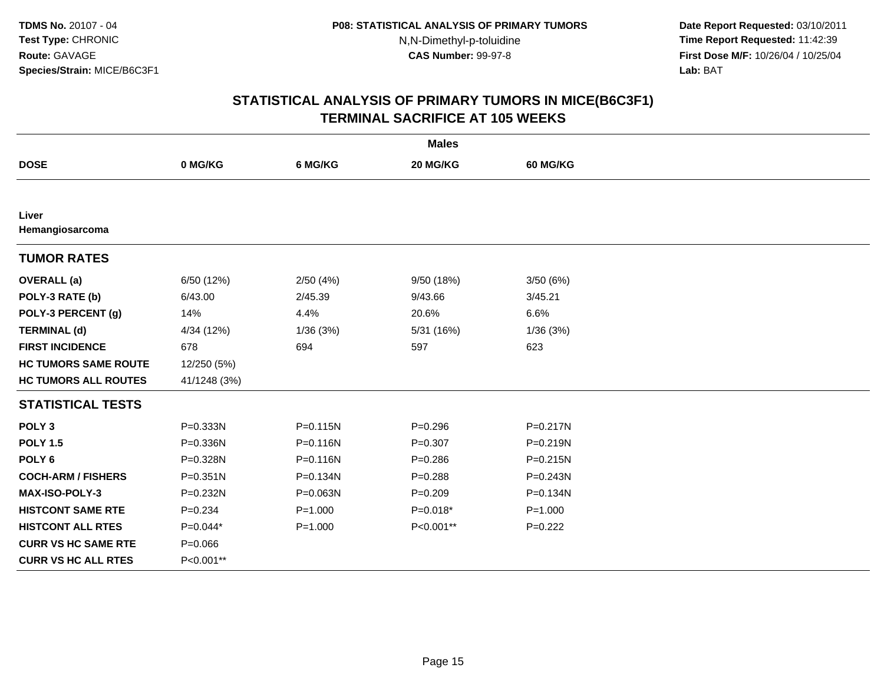**Date Report Requested:** 03/10/2011 **Time Report Requested:** 11:42:39 **First Dose M/F:** 10/26/04 / 10/25/04 Lab: BAT **Lab:** BAT

| <b>Males</b>                |              |             |             |                 |  |  |  |
|-----------------------------|--------------|-------------|-------------|-----------------|--|--|--|
| <b>DOSE</b>                 | 0 MG/KG      | 6 MG/KG     | 20 MG/KG    | <b>60 MG/KG</b> |  |  |  |
|                             |              |             |             |                 |  |  |  |
| Liver<br>Hemangiosarcoma    |              |             |             |                 |  |  |  |
| <b>TUMOR RATES</b>          |              |             |             |                 |  |  |  |
| <b>OVERALL</b> (a)          | 6/50 (12%)   | 2/50(4%)    | 9/50 (18%)  | 3/50(6%)        |  |  |  |
| POLY-3 RATE (b)             | 6/43.00      | 2/45.39     | 9/43.66     | 3/45.21         |  |  |  |
| POLY-3 PERCENT (g)          | 14%          | 4.4%        | 20.6%       | 6.6%            |  |  |  |
| <b>TERMINAL (d)</b>         | 4/34 (12%)   | 1/36(3%)    | 5/31 (16%)  | 1/36(3%)        |  |  |  |
| <b>FIRST INCIDENCE</b>      | 678          | 694         | 597         | 623             |  |  |  |
| <b>HC TUMORS SAME ROUTE</b> | 12/250 (5%)  |             |             |                 |  |  |  |
| <b>HC TUMORS ALL ROUTES</b> | 41/1248 (3%) |             |             |                 |  |  |  |
| <b>STATISTICAL TESTS</b>    |              |             |             |                 |  |  |  |
| POLY <sub>3</sub>           | P=0.333N     | P=0.115N    | $P = 0.296$ | P=0.217N        |  |  |  |
| <b>POLY 1.5</b>             | P=0.336N     | P=0.116N    | $P = 0.307$ | P=0.219N        |  |  |  |
| POLY <sub>6</sub>           | P=0.328N     | P=0.116N    | $P = 0.286$ | $P = 0.215N$    |  |  |  |
| <b>COCH-ARM / FISHERS</b>   | $P = 0.351N$ | P=0.134N    | $P = 0.288$ | P=0.243N        |  |  |  |
| <b>MAX-ISO-POLY-3</b>       | P=0.232N     | P=0.063N    | $P=0.209$   | P=0.134N        |  |  |  |
| <b>HISTCONT SAME RTE</b>    | $P = 0.234$  | $P = 1.000$ | $P=0.018*$  | $P = 1.000$     |  |  |  |
| <b>HISTCONT ALL RTES</b>    | P=0.044*     | $P = 1.000$ | P<0.001**   | $P=0.222$       |  |  |  |
| <b>CURR VS HC SAME RTE</b>  | $P = 0.066$  |             |             |                 |  |  |  |
| <b>CURR VS HC ALL RTES</b>  | P<0.001**    |             |             |                 |  |  |  |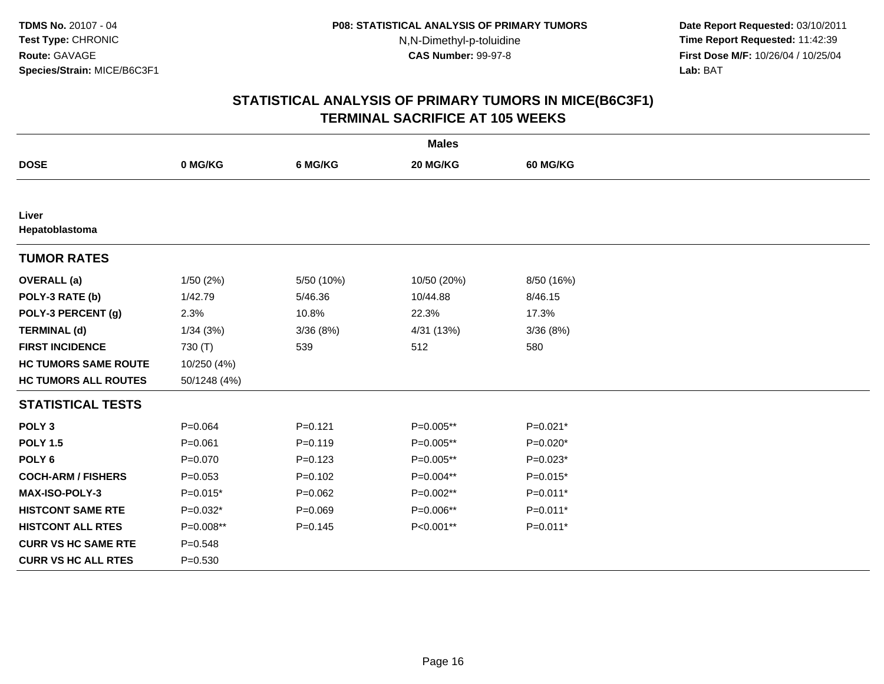**Date Report Requested:** 03/10/2011 **Time Report Requested:** 11:42:39 **First Dose M/F:** 10/26/04 / 10/25/04 Lab: BAT **Lab:** BAT

| <b>Males</b>                |              |             |             |                 |  |  |
|-----------------------------|--------------|-------------|-------------|-----------------|--|--|
| <b>DOSE</b>                 | 0 MG/KG      | 6 MG/KG     | 20 MG/KG    | <b>60 MG/KG</b> |  |  |
|                             |              |             |             |                 |  |  |
| Liver<br>Hepatoblastoma     |              |             |             |                 |  |  |
| <b>TUMOR RATES</b>          |              |             |             |                 |  |  |
| <b>OVERALL</b> (a)          | 1/50(2%)     | 5/50 (10%)  | 10/50 (20%) | 8/50 (16%)      |  |  |
| POLY-3 RATE (b)             | 1/42.79      | 5/46.36     | 10/44.88    | 8/46.15         |  |  |
| POLY-3 PERCENT (g)          | 2.3%         | 10.8%       | 22.3%       | 17.3%           |  |  |
| <b>TERMINAL (d)</b>         | 1/34(3%)     | 3/36(8%)    | 4/31 (13%)  | 3/36(8%)        |  |  |
| <b>FIRST INCIDENCE</b>      | 730 (T)      | 539         | 512         | 580             |  |  |
| <b>HC TUMORS SAME ROUTE</b> | 10/250 (4%)  |             |             |                 |  |  |
| <b>HC TUMORS ALL ROUTES</b> | 50/1248 (4%) |             |             |                 |  |  |
| <b>STATISTICAL TESTS</b>    |              |             |             |                 |  |  |
| POLY <sub>3</sub>           | $P = 0.064$  | $P=0.121$   | P=0.005**   | P=0.021*        |  |  |
| <b>POLY 1.5</b>             | $P = 0.061$  | $P = 0.119$ | P=0.005**   | $P=0.020*$      |  |  |
| POLY <sub>6</sub>           | $P = 0.070$  | $P = 0.123$ | P=0.005**   | $P=0.023*$      |  |  |
| <b>COCH-ARM / FISHERS</b>   | $P = 0.053$  | $P=0.102$   | P=0.004**   | $P=0.015*$      |  |  |
| <b>MAX-ISO-POLY-3</b>       | $P=0.015*$   | $P=0.062$   | P=0.002**   | P=0.011*        |  |  |
| <b>HISTCONT SAME RTE</b>    | $P=0.032*$   | $P = 0.069$ | P=0.006**   | $P=0.011*$      |  |  |
| <b>HISTCONT ALL RTES</b>    | P=0.008**    | $P = 0.145$ | P<0.001**   | P=0.011*        |  |  |
| <b>CURR VS HC SAME RTE</b>  | $P = 0.548$  |             |             |                 |  |  |
| <b>CURR VS HC ALL RTES</b>  | $P = 0.530$  |             |             |                 |  |  |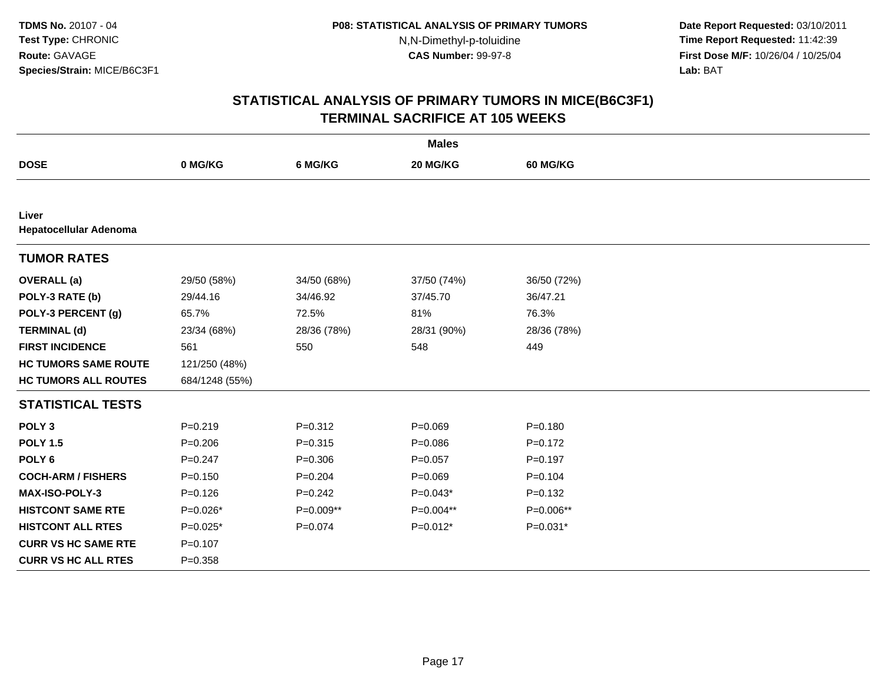**Date Report Requested:** 03/10/2011 **Time Report Requested:** 11:42:39 **First Dose M/F:** 10/26/04 / 10/25/04 Lab: BAT **Lab:** BAT

|                                        |                |             | <b>Males</b> |             |
|----------------------------------------|----------------|-------------|--------------|-------------|
| <b>DOSE</b>                            | 0 MG/KG        | 6 MG/KG     | 20 MG/KG     | 60 MG/KG    |
|                                        |                |             |              |             |
| Liver<br><b>Hepatocellular Adenoma</b> |                |             |              |             |
| <b>TUMOR RATES</b>                     |                |             |              |             |
| <b>OVERALL</b> (a)                     | 29/50 (58%)    | 34/50 (68%) | 37/50 (74%)  | 36/50 (72%) |
| POLY-3 RATE (b)                        | 29/44.16       | 34/46.92    | 37/45.70     | 36/47.21    |
| POLY-3 PERCENT (g)                     | 65.7%          | 72.5%       | 81%          | 76.3%       |
| <b>TERMINAL (d)</b>                    | 23/34 (68%)    | 28/36 (78%) | 28/31 (90%)  | 28/36 (78%) |
| <b>FIRST INCIDENCE</b>                 | 561            | 550         | 548          | 449         |
| <b>HC TUMORS SAME ROUTE</b>            | 121/250 (48%)  |             |              |             |
| <b>HC TUMORS ALL ROUTES</b>            | 684/1248 (55%) |             |              |             |
| <b>STATISTICAL TESTS</b>               |                |             |              |             |
| POLY <sub>3</sub>                      | $P = 0.219$    | $P = 0.312$ | $P = 0.069$  | $P = 0.180$ |
| <b>POLY 1.5</b>                        | $P = 0.206$    | $P = 0.315$ | $P = 0.086$  | $P=0.172$   |
| POLY <sub>6</sub>                      | $P = 0.247$    | $P = 0.306$ | $P = 0.057$  | $P=0.197$   |
| <b>COCH-ARM / FISHERS</b>              | $P=0.150$      | $P = 0.204$ | $P = 0.069$  | $P = 0.104$ |
| MAX-ISO-POLY-3                         | $P = 0.126$    | $P = 0.242$ | $P=0.043*$   | $P = 0.132$ |
| <b>HISTCONT SAME RTE</b>               | $P=0.026*$     | P=0.009**   | P=0.004**    | P=0.006**   |
| <b>HISTCONT ALL RTES</b>               | $P=0.025*$     | $P = 0.074$ | $P=0.012*$   | $P=0.031*$  |
| <b>CURR VS HC SAME RTE</b>             | $P = 0.107$    |             |              |             |
| <b>CURR VS HC ALL RTES</b>             | $P = 0.358$    |             |              |             |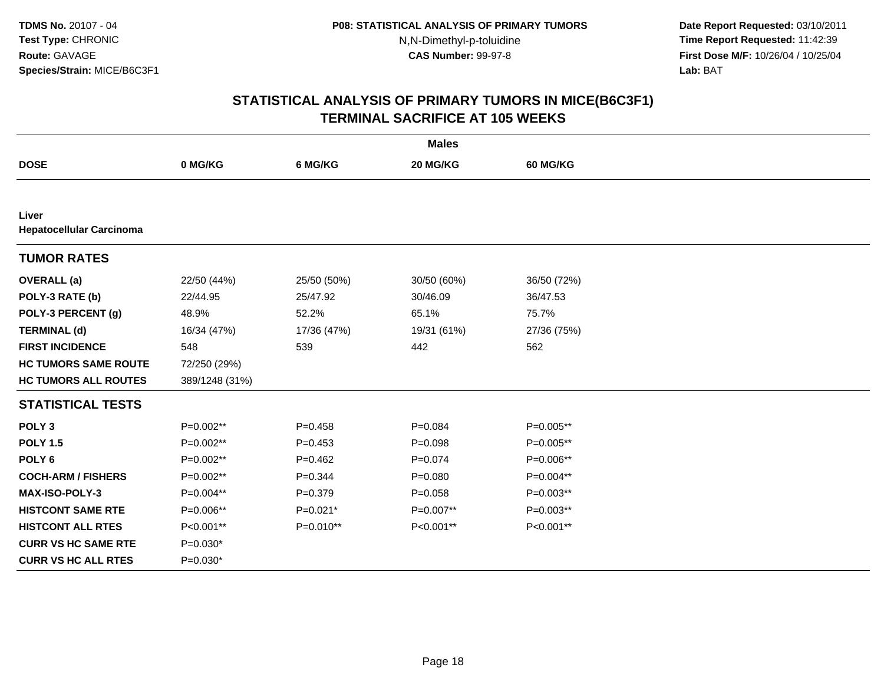**Date Report Requested:** 03/10/2011 **Time Report Requested:** 11:42:39 **First Dose M/F:** 10/26/04 / 10/25/04 Lab: BAT **Lab:** BAT

|                                          |                |             | <b>Males</b> |                 |
|------------------------------------------|----------------|-------------|--------------|-----------------|
| <b>DOSE</b>                              | 0 MG/KG        | 6 MG/KG     | 20 MG/KG     | <b>60 MG/KG</b> |
|                                          |                |             |              |                 |
| Liver<br><b>Hepatocellular Carcinoma</b> |                |             |              |                 |
| <b>TUMOR RATES</b>                       |                |             |              |                 |
| <b>OVERALL</b> (a)                       | 22/50 (44%)    | 25/50 (50%) | 30/50 (60%)  | 36/50 (72%)     |
| POLY-3 RATE (b)                          | 22/44.95       | 25/47.92    | 30/46.09     | 36/47.53        |
| POLY-3 PERCENT (g)                       | 48.9%          | 52.2%       | 65.1%        | 75.7%           |
| <b>TERMINAL (d)</b>                      | 16/34 (47%)    | 17/36 (47%) | 19/31 (61%)  | 27/36 (75%)     |
| <b>FIRST INCIDENCE</b>                   | 548            | 539         | 442          | 562             |
| <b>HC TUMORS SAME ROUTE</b>              | 72/250 (29%)   |             |              |                 |
| <b>HC TUMORS ALL ROUTES</b>              | 389/1248 (31%) |             |              |                 |
| <b>STATISTICAL TESTS</b>                 |                |             |              |                 |
| POLY <sub>3</sub>                        | P=0.002**      | $P = 0.458$ | $P = 0.084$  | P=0.005**       |
| <b>POLY 1.5</b>                          | P=0.002**      | $P=0.453$   | $P=0.098$    | $P=0.005**$     |
| POLY <sub>6</sub>                        | P=0.002**      | $P = 0.462$ | $P = 0.074$  | P=0.006**       |
| <b>COCH-ARM / FISHERS</b>                | P=0.002**      | $P=0.344$   | $P = 0.080$  | $P=0.004**$     |
| MAX-ISO-POLY-3                           | P=0.004**      | $P = 0.379$ | $P = 0.058$  | $P=0.003**$     |
| <b>HISTCONT SAME RTE</b>                 | P=0.006**      | $P=0.021*$  | P=0.007**    | P=0.003**       |
| <b>HISTCONT ALL RTES</b>                 | P<0.001**      | P=0.010**   | P<0.001**    | P<0.001**       |
| <b>CURR VS HC SAME RTE</b>               | $P=0.030*$     |             |              |                 |
| <b>CURR VS HC ALL RTES</b>               | $P=0.030*$     |             |              |                 |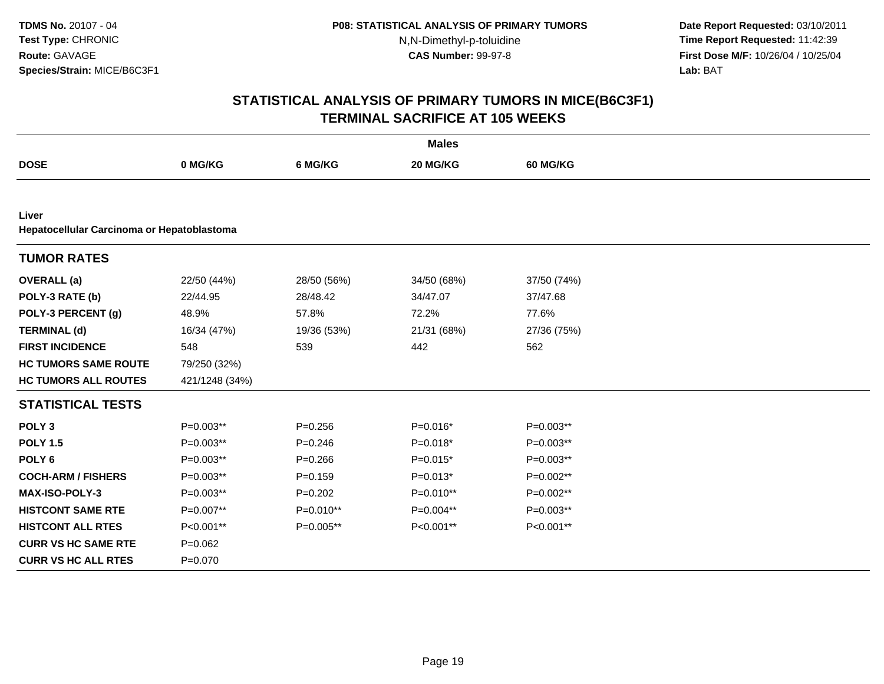**Date Report Requested:** 03/10/2011 **Time Report Requested:** 11:42:39 **First Dose M/F:** 10/26/04 / 10/25/04 Lab: BAT **Lab:** BAT

|                                                     |                |             | <b>Males</b> |                 |  |
|-----------------------------------------------------|----------------|-------------|--------------|-----------------|--|
| <b>DOSE</b>                                         | 0 MG/KG        | 6 MG/KG     | 20 MG/KG     | <b>60 MG/KG</b> |  |
|                                                     |                |             |              |                 |  |
| Liver<br>Hepatocellular Carcinoma or Hepatoblastoma |                |             |              |                 |  |
| <b>TUMOR RATES</b>                                  |                |             |              |                 |  |
| <b>OVERALL</b> (a)                                  | 22/50 (44%)    | 28/50 (56%) | 34/50 (68%)  | 37/50 (74%)     |  |
| POLY-3 RATE (b)                                     | 22/44.95       | 28/48.42    | 34/47.07     | 37/47.68        |  |
| POLY-3 PERCENT (g)                                  | 48.9%          | 57.8%       | 72.2%        | 77.6%           |  |
| <b>TERMINAL (d)</b>                                 | 16/34 (47%)    | 19/36 (53%) | 21/31 (68%)  | 27/36 (75%)     |  |
| <b>FIRST INCIDENCE</b>                              | 548            | 539         | 442          | 562             |  |
| <b>HC TUMORS SAME ROUTE</b>                         | 79/250 (32%)   |             |              |                 |  |
| <b>HC TUMORS ALL ROUTES</b>                         | 421/1248 (34%) |             |              |                 |  |
| <b>STATISTICAL TESTS</b>                            |                |             |              |                 |  |
| POLY <sub>3</sub>                                   | $P=0.003**$    | $P = 0.256$ | $P=0.016*$   | $P=0.003**$     |  |
| <b>POLY 1.5</b>                                     | $P=0.003**$    | $P = 0.246$ | $P=0.018*$   | $P=0.003**$     |  |
| POLY <sub>6</sub>                                   | $P=0.003**$    | $P = 0.266$ | $P=0.015*$   | $P=0.003**$     |  |
| <b>COCH-ARM / FISHERS</b>                           | $P=0.003**$    | $P = 0.159$ | $P=0.013*$   | P=0.002**       |  |
| MAX-ISO-POLY-3                                      | $P=0.003**$    | $P=0.202$   | P=0.010**    | P=0.002**       |  |
| <b>HISTCONT SAME RTE</b>                            | P=0.007**      | P=0.010**   | P=0.004**    | $P=0.003**$     |  |
| <b>HISTCONT ALL RTES</b>                            | P<0.001**      | P=0.005**   | P<0.001**    | P<0.001**       |  |
| <b>CURR VS HC SAME RTE</b>                          | $P = 0.062$    |             |              |                 |  |
| <b>CURR VS HC ALL RTES</b>                          | $P = 0.070$    |             |              |                 |  |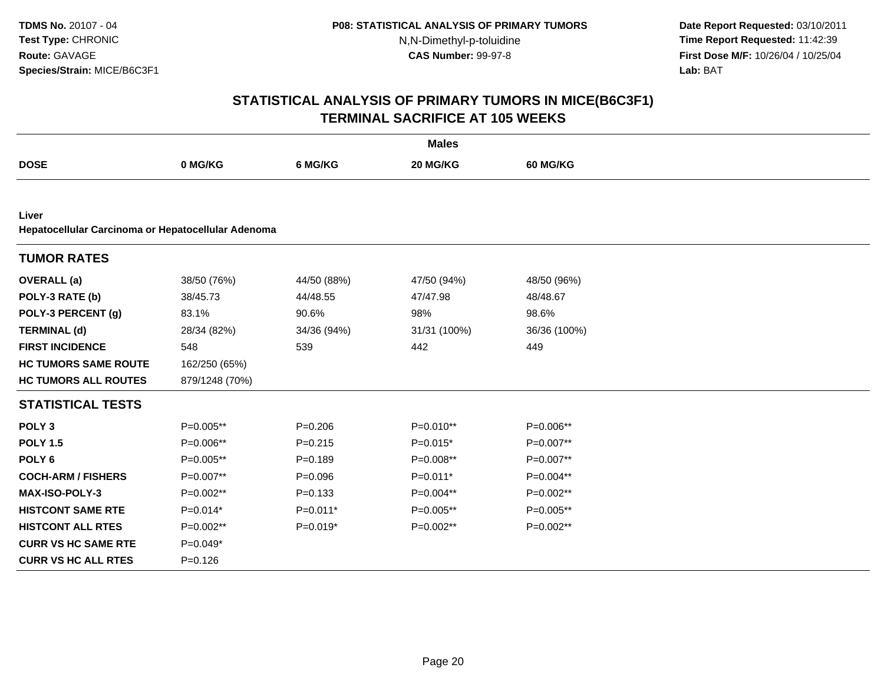**Date Report Requested:** 03/10/2011 **Time Report Requested:** 11:42:39 **First Dose M/F:** 10/26/04 / 10/25/04 Lab: BAT **Lab:** BAT

|                                                    |                |             | <b>Males</b> |              |
|----------------------------------------------------|----------------|-------------|--------------|--------------|
| <b>DOSE</b>                                        | 0 MG/KG        | 6 MG/KG     | 20 MG/KG     | 60 MG/KG     |
|                                                    |                |             |              |              |
| Liver                                              |                |             |              |              |
| Hepatocellular Carcinoma or Hepatocellular Adenoma |                |             |              |              |
| <b>TUMOR RATES</b>                                 |                |             |              |              |
| <b>OVERALL</b> (a)                                 | 38/50 (76%)    | 44/50 (88%) | 47/50 (94%)  | 48/50 (96%)  |
| POLY-3 RATE (b)                                    | 38/45.73       | 44/48.55    | 47/47.98     | 48/48.67     |
| POLY-3 PERCENT (g)                                 | 83.1%          | 90.6%       | 98%          | 98.6%        |
| <b>TERMINAL (d)</b>                                | 28/34 (82%)    | 34/36 (94%) | 31/31 (100%) | 36/36 (100%) |
| <b>FIRST INCIDENCE</b>                             | 548            | 539         | 442          | 449          |
| <b>HC TUMORS SAME ROUTE</b>                        | 162/250 (65%)  |             |              |              |
| <b>HC TUMORS ALL ROUTES</b>                        | 879/1248 (70%) |             |              |              |
| <b>STATISTICAL TESTS</b>                           |                |             |              |              |
| POLY <sub>3</sub>                                  | P=0.005**      | $P = 0.206$ | $P=0.010**$  | P=0.006**    |
| <b>POLY 1.5</b>                                    | P=0.006**      | $P = 0.215$ | $P=0.015*$   | P=0.007**    |
| POLY <sub>6</sub>                                  | P=0.005**      | $P = 0.189$ | P=0.008**    | P=0.007**    |
| <b>COCH-ARM / FISHERS</b>                          | P=0.007**      | $P = 0.096$ | P=0.011*     | P=0.004**    |
| MAX-ISO-POLY-3                                     | $P=0.002**$    | $P = 0.133$ | P=0.004**    | P=0.002**    |
| <b>HISTCONT SAME RTE</b>                           | $P=0.014*$     | $P=0.011*$  | P=0.005**    | $P=0.005**$  |
| <b>HISTCONT ALL RTES</b>                           | P=0.002**      | $P=0.019*$  | P=0.002**    | P=0.002**    |
| <b>CURR VS HC SAME RTE</b>                         | $P=0.049*$     |             |              |              |
| <b>CURR VS HC ALL RTES</b>                         | $P = 0.126$    |             |              |              |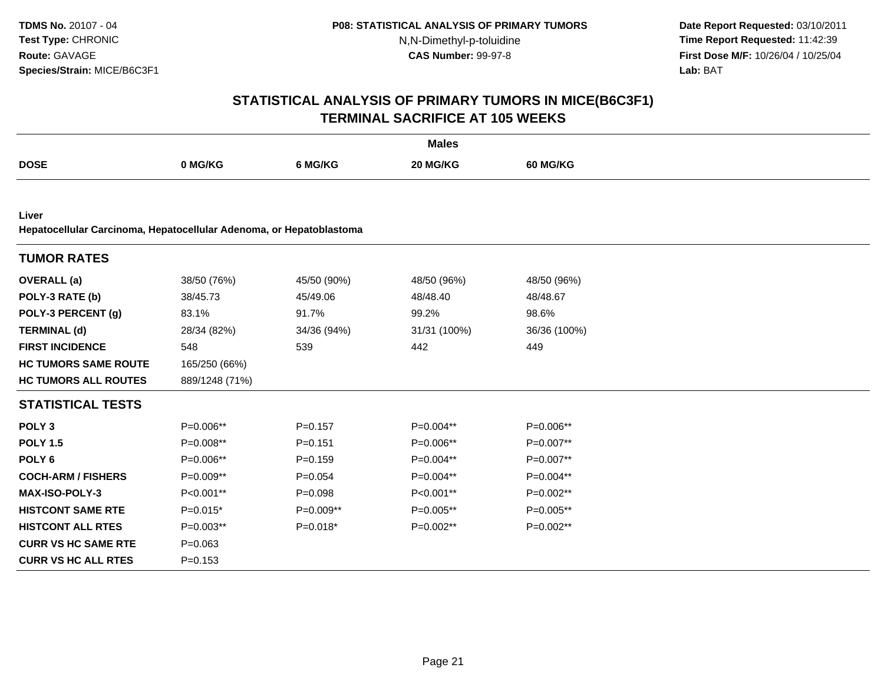**Date Report Requested:** 03/10/2011 **Time Report Requested:** 11:42:39 **First Dose M/F:** 10/26/04 / 10/25/04 Lab: BAT **Lab:** BAT

|                                                                              |                |             | <b>Males</b> |                 |
|------------------------------------------------------------------------------|----------------|-------------|--------------|-----------------|
| <b>DOSE</b>                                                                  | 0 MG/KG        | 6 MG/KG     | 20 MG/KG     | <b>60 MG/KG</b> |
|                                                                              |                |             |              |                 |
| Liver<br>Hepatocellular Carcinoma, Hepatocellular Adenoma, or Hepatoblastoma |                |             |              |                 |
| <b>TUMOR RATES</b>                                                           |                |             |              |                 |
| <b>OVERALL</b> (a)                                                           | 38/50 (76%)    | 45/50 (90%) | 48/50 (96%)  | 48/50 (96%)     |
| POLY-3 RATE (b)                                                              | 38/45.73       | 45/49.06    | 48/48.40     | 48/48.67        |
| POLY-3 PERCENT (g)                                                           | 83.1%          | 91.7%       | 99.2%        | 98.6%           |
| <b>TERMINAL (d)</b>                                                          | 28/34 (82%)    | 34/36 (94%) | 31/31 (100%) | 36/36 (100%)    |
| <b>FIRST INCIDENCE</b>                                                       | 548            | 539         | 442          | 449             |
| <b>HC TUMORS SAME ROUTE</b>                                                  | 165/250 (66%)  |             |              |                 |
| <b>HC TUMORS ALL ROUTES</b>                                                  | 889/1248 (71%) |             |              |                 |
| <b>STATISTICAL TESTS</b>                                                     |                |             |              |                 |
| POLY <sub>3</sub>                                                            | P=0.006**      | $P=0.157$   | P=0.004**    | P=0.006**       |
| <b>POLY 1.5</b>                                                              | P=0.008**      | $P = 0.151$ | P=0.006**    | P=0.007**       |
| POLY <sub>6</sub>                                                            | P=0.006**      | $P = 0.159$ | P=0.004**    | P=0.007**       |
| <b>COCH-ARM / FISHERS</b>                                                    | P=0.009**      | $P = 0.054$ | P=0.004**    | P=0.004**       |
| MAX-ISO-POLY-3                                                               | P<0.001**      | $P = 0.098$ | P<0.001**    | P=0.002**       |
| <b>HISTCONT SAME RTE</b>                                                     | $P=0.015*$     | $P=0.009**$ | P=0.005**    | P=0.005**       |
| <b>HISTCONT ALL RTES</b>                                                     | $P=0.003**$    | $P=0.018*$  | P=0.002**    | $P=0.002**$     |
| <b>CURR VS HC SAME RTE</b>                                                   | $P = 0.063$    |             |              |                 |
| <b>CURR VS HC ALL RTES</b>                                                   | $P = 0.153$    |             |              |                 |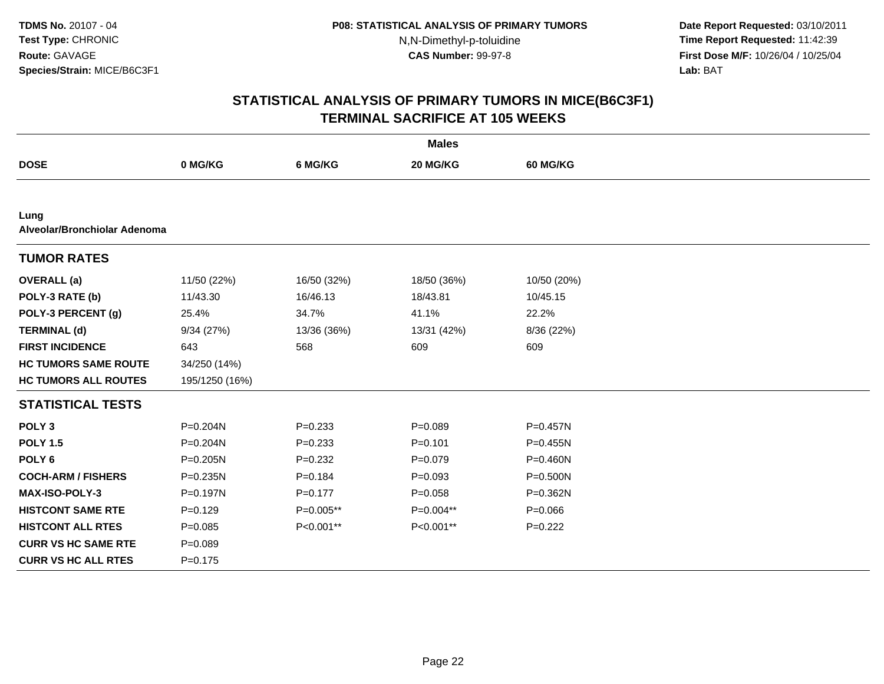**Date Report Requested:** 03/10/2011 **Time Report Requested:** 11:42:39 **First Dose M/F:** 10/26/04 / 10/25/04 Lab: BAT **Lab:** BAT

|                                      |                |             | <b>Males</b> |                 |
|--------------------------------------|----------------|-------------|--------------|-----------------|
| <b>DOSE</b>                          | 0 MG/KG        | 6 MG/KG     | 20 MG/KG     | <b>60 MG/KG</b> |
|                                      |                |             |              |                 |
| Lung<br>Alveolar/Bronchiolar Adenoma |                |             |              |                 |
| <b>TUMOR RATES</b>                   |                |             |              |                 |
| <b>OVERALL</b> (a)                   | 11/50 (22%)    | 16/50 (32%) | 18/50 (36%)  | 10/50 (20%)     |
| POLY-3 RATE (b)                      | 11/43.30       | 16/46.13    | 18/43.81     | 10/45.15        |
| POLY-3 PERCENT (g)                   | 25.4%          | 34.7%       | 41.1%        | 22.2%           |
| <b>TERMINAL (d)</b>                  | 9/34(27%)      | 13/36 (36%) | 13/31 (42%)  | 8/36 (22%)      |
| <b>FIRST INCIDENCE</b>               | 643            | 568         | 609          | 609             |
| <b>HC TUMORS SAME ROUTE</b>          | 34/250 (14%)   |             |              |                 |
| <b>HC TUMORS ALL ROUTES</b>          | 195/1250 (16%) |             |              |                 |
| <b>STATISTICAL TESTS</b>             |                |             |              |                 |
| POLY <sub>3</sub>                    | P=0.204N       | $P = 0.233$ | $P = 0.089$  | P=0.457N        |
| <b>POLY 1.5</b>                      | $P = 0.204N$   | $P = 0.233$ | $P = 0.101$  | $P = 0.455N$    |
| POLY <sub>6</sub>                    | $P = 0.205N$   | $P = 0.232$ | $P=0.079$    | P=0.460N        |
| <b>COCH-ARM / FISHERS</b>            | $P = 0.235N$   | $P = 0.184$ | $P = 0.093$  | $P = 0.500N$    |
| MAX-ISO-POLY-3                       | P=0.197N       | $P = 0.177$ | $P = 0.058$  | P=0.362N        |
| <b>HISTCONT SAME RTE</b>             | $P=0.129$      | P=0.005**   | $P=0.004**$  | $P = 0.066$     |
| <b>HISTCONT ALL RTES</b>             | $P = 0.085$    | P<0.001**   | P<0.001**    | $P=0.222$       |
| <b>CURR VS HC SAME RTE</b>           | $P = 0.089$    |             |              |                 |
| <b>CURR VS HC ALL RTES</b>           | $P = 0.175$    |             |              |                 |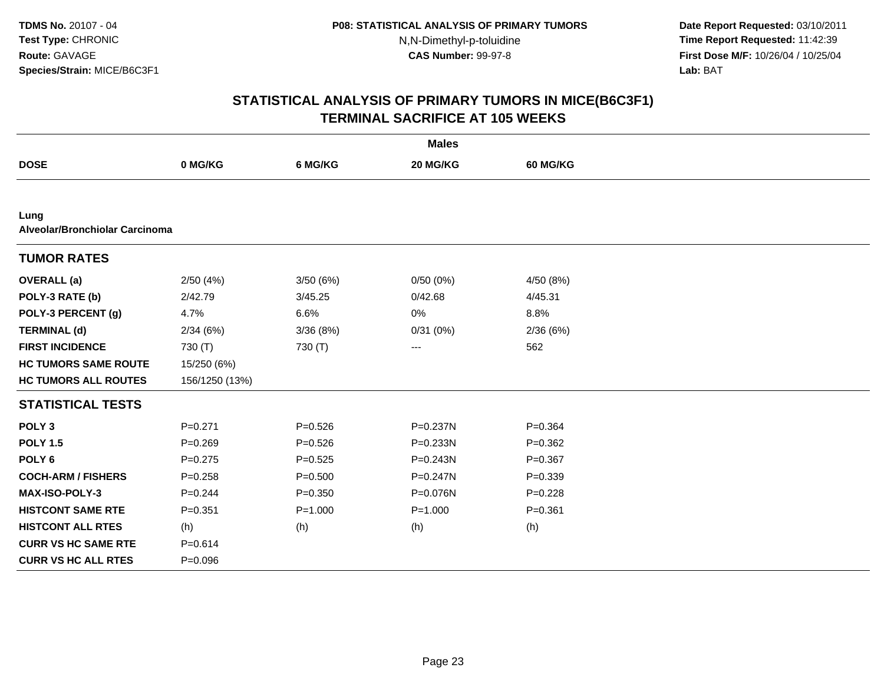**Date Report Requested:** 03/10/2011 **Time Report Requested:** 11:42:39 **First Dose M/F:** 10/26/04 / 10/25/04 Lab: BAT **Lab:** BAT

|                                        |                |             | <b>Males</b> |             |
|----------------------------------------|----------------|-------------|--------------|-------------|
| <b>DOSE</b>                            | 0 MG/KG        | 6 MG/KG     | 20 MG/KG     | 60 MG/KG    |
|                                        |                |             |              |             |
| Lung<br>Alveolar/Bronchiolar Carcinoma |                |             |              |             |
| <b>TUMOR RATES</b>                     |                |             |              |             |
| <b>OVERALL</b> (a)                     | 2/50(4%)       | 3/50(6%)    | 0/50(0%)     | 4/50(8%)    |
| POLY-3 RATE (b)                        | 2/42.79        | 3/45.25     | 0/42.68      | 4/45.31     |
| POLY-3 PERCENT (g)                     | 4.7%           | 6.6%        | 0%           | 8.8%        |
| <b>TERMINAL (d)</b>                    | 2/34(6%)       | 3/36(8%)    | 0/31(0%)     | 2/36(6%)    |
| <b>FIRST INCIDENCE</b>                 | 730 (T)        | 730 (T)     | ---          | 562         |
| <b>HC TUMORS SAME ROUTE</b>            | 15/250 (6%)    |             |              |             |
| <b>HC TUMORS ALL ROUTES</b>            | 156/1250 (13%) |             |              |             |
| <b>STATISTICAL TESTS</b>               |                |             |              |             |
| POLY <sub>3</sub>                      | $P = 0.271$    | $P = 0.526$ | P=0.237N     | $P = 0.364$ |
| <b>POLY 1.5</b>                        | $P = 0.269$    | $P = 0.526$ | P=0.233N     | $P=0.362$   |
| POLY <sub>6</sub>                      | $P = 0.275$    | $P = 0.525$ | P=0.243N     | $P = 0.367$ |
| <b>COCH-ARM / FISHERS</b>              | $P = 0.258$    | $P = 0.500$ | P=0.247N     | $P = 0.339$ |
| <b>MAX-ISO-POLY-3</b>                  | $P = 0.244$    | $P = 0.350$ | P=0.076N     | $P=0.228$   |
| <b>HISTCONT SAME RTE</b>               | $P = 0.351$    | $P = 1.000$ | $P = 1.000$  | $P = 0.361$ |
| <b>HISTCONT ALL RTES</b>               | (h)            | (h)         | (h)          | (h)         |
| <b>CURR VS HC SAME RTE</b>             | $P = 0.614$    |             |              |             |
| <b>CURR VS HC ALL RTES</b>             | $P = 0.096$    |             |              |             |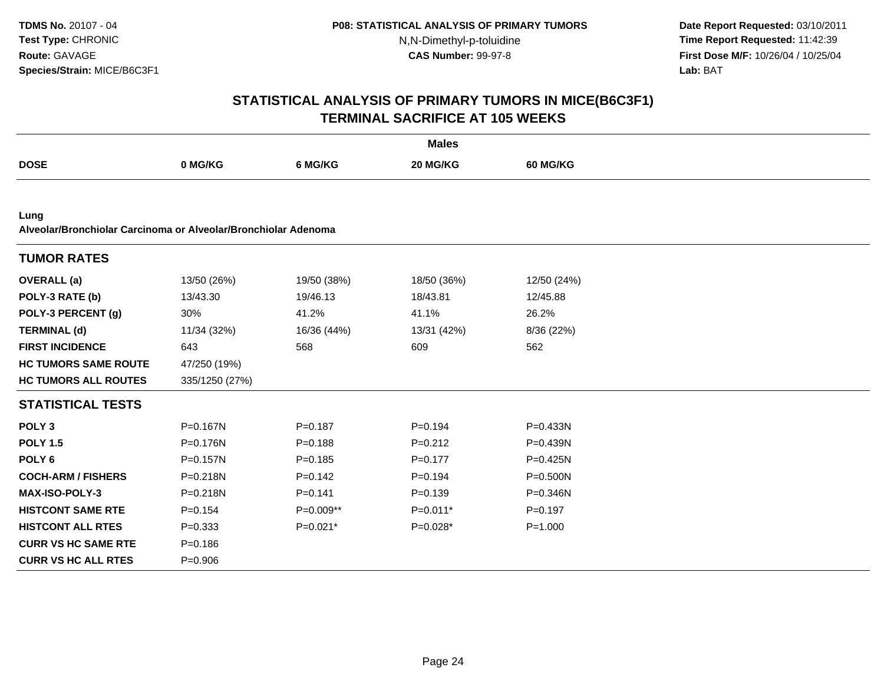**Date Report Requested:** 03/10/2011 **Time Report Requested:** 11:42:39 **First Dose M/F:** 10/26/04 / 10/25/04 Lab: BAT **Lab:** BAT

|                                                                        |                |             | <b>Males</b> |                 |  |
|------------------------------------------------------------------------|----------------|-------------|--------------|-----------------|--|
| <b>DOSE</b>                                                            | 0 MG/KG        | 6 MG/KG     | 20 MG/KG     | <b>60 MG/KG</b> |  |
|                                                                        |                |             |              |                 |  |
| Lung<br>Alveolar/Bronchiolar Carcinoma or Alveolar/Bronchiolar Adenoma |                |             |              |                 |  |
| <b>TUMOR RATES</b>                                                     |                |             |              |                 |  |
| <b>OVERALL</b> (a)                                                     | 13/50 (26%)    | 19/50 (38%) | 18/50 (36%)  | 12/50 (24%)     |  |
| POLY-3 RATE (b)                                                        | 13/43.30       | 19/46.13    | 18/43.81     | 12/45.88        |  |
| POLY-3 PERCENT (g)                                                     | 30%            | 41.2%       | 41.1%        | 26.2%           |  |
| <b>TERMINAL (d)</b>                                                    | 11/34 (32%)    | 16/36 (44%) | 13/31 (42%)  | 8/36 (22%)      |  |
| <b>FIRST INCIDENCE</b>                                                 | 643            | 568         | 609          | 562             |  |
| <b>HC TUMORS SAME ROUTE</b>                                            | 47/250 (19%)   |             |              |                 |  |
| <b>HC TUMORS ALL ROUTES</b>                                            | 335/1250 (27%) |             |              |                 |  |
| <b>STATISTICAL TESTS</b>                                               |                |             |              |                 |  |
| POLY <sub>3</sub>                                                      | P=0.167N       | $P = 0.187$ | $P = 0.194$  | $P = 0.433N$    |  |
| <b>POLY 1.5</b>                                                        | P=0.176N       | $P = 0.188$ | $P = 0.212$  | P=0.439N        |  |
| POLY <sub>6</sub>                                                      | P=0.157N       | $P = 0.185$ | $P = 0.177$  | $P = 0.425N$    |  |
| <b>COCH-ARM / FISHERS</b>                                              | P=0.218N       | $P=0.142$   | $P = 0.194$  | $P = 0.500N$    |  |
| <b>MAX-ISO-POLY-3</b>                                                  | P=0.218N       | $P = 0.141$ | $P = 0.139$  | $P = 0.346N$    |  |
| <b>HISTCONT SAME RTE</b>                                               | $P = 0.154$    | P=0.009**   | $P=0.011*$   | $P=0.197$       |  |
| <b>HISTCONT ALL RTES</b>                                               | $P = 0.333$    | $P=0.021*$  | $P=0.028*$   | $P = 1.000$     |  |
| <b>CURR VS HC SAME RTE</b>                                             | $P = 0.186$    |             |              |                 |  |
| <b>CURR VS HC ALL RTES</b>                                             | $P = 0.906$    |             |              |                 |  |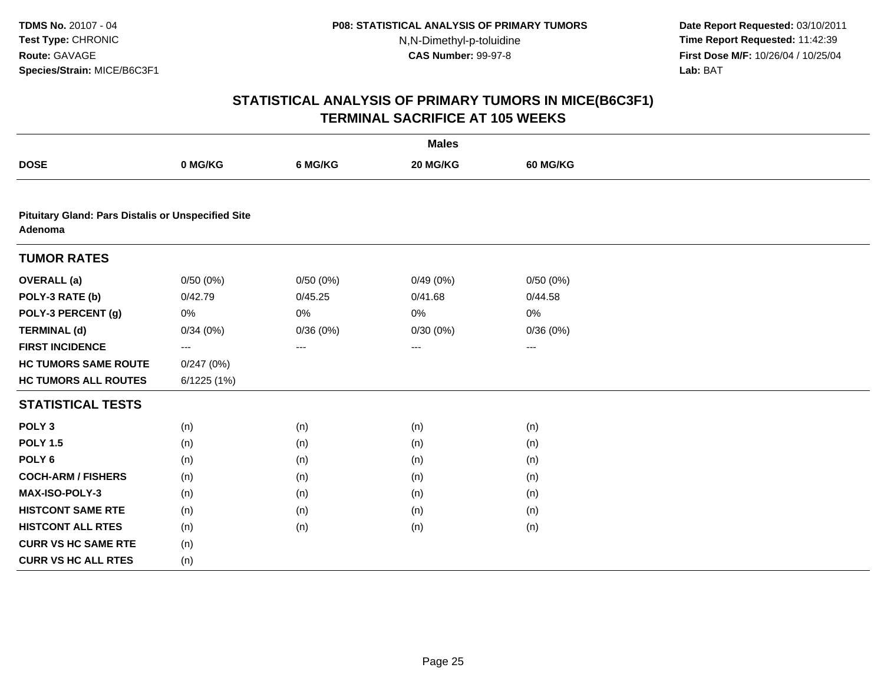**Date Report Requested:** 03/10/2011 **Time Report Requested:** 11:42:39 **First Dose M/F:** 10/26/04 / 10/25/04 Lab: BAT **Lab:** BAT

|                                                                      |             |          | <b>Males</b> |                 |  |
|----------------------------------------------------------------------|-------------|----------|--------------|-----------------|--|
| <b>DOSE</b>                                                          | 0 MG/KG     | 6 MG/KG  | 20 MG/KG     | <b>60 MG/KG</b> |  |
|                                                                      |             |          |              |                 |  |
| <b>Pituitary Gland: Pars Distalis or Unspecified Site</b><br>Adenoma |             |          |              |                 |  |
| <b>TUMOR RATES</b>                                                   |             |          |              |                 |  |
| <b>OVERALL</b> (a)                                                   | 0/50(0%)    | 0/50(0%) | 0/49(0%)     | 0/50(0%)        |  |
| POLY-3 RATE (b)                                                      | 0/42.79     | 0/45.25  | 0/41.68      | 0/44.58         |  |
| POLY-3 PERCENT (g)                                                   | 0%          | 0%       | 0%           | 0%              |  |
| <b>TERMINAL (d)</b>                                                  | 0/34(0%)    | 0/36(0%) | 0/30(0%)     | 0/36(0%)        |  |
| <b>FIRST INCIDENCE</b>                                               | $---$       | ---      | ---          | $\cdots$        |  |
| <b>HC TUMORS SAME ROUTE</b>                                          | 0/247(0%)   |          |              |                 |  |
| <b>HC TUMORS ALL ROUTES</b>                                          | 6/1225 (1%) |          |              |                 |  |
| <b>STATISTICAL TESTS</b>                                             |             |          |              |                 |  |
| POLY <sub>3</sub>                                                    | (n)         | (n)      | (n)          | (n)             |  |
| <b>POLY 1.5</b>                                                      | (n)         | (n)      | (n)          | (n)             |  |
| POLY <sub>6</sub>                                                    | (n)         | (n)      | (n)          | (n)             |  |
| <b>COCH-ARM / FISHERS</b>                                            | (n)         | (n)      | (n)          | (n)             |  |
| MAX-ISO-POLY-3                                                       | (n)         | (n)      | (n)          | (n)             |  |
| <b>HISTCONT SAME RTE</b>                                             | (n)         | (n)      | (n)          | (n)             |  |
| <b>HISTCONT ALL RTES</b>                                             | (n)         | (n)      | (n)          | (n)             |  |
| <b>CURR VS HC SAME RTE</b>                                           | (n)         |          |              |                 |  |
| <b>CURR VS HC ALL RTES</b>                                           | (n)         |          |              |                 |  |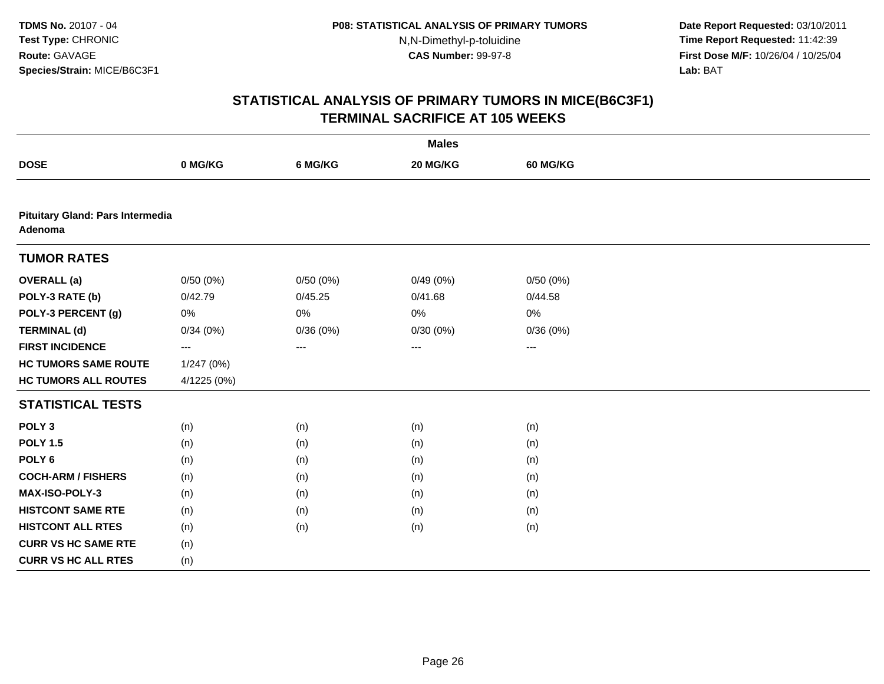**Date Report Requested:** 03/10/2011 **Time Report Requested:** 11:42:39 **First Dose M/F:** 10/26/04 / 10/25/04 Lab: BAT **Lab:** BAT

|                                             |                   |          | <b>Males</b> |                        |  |
|---------------------------------------------|-------------------|----------|--------------|------------------------|--|
| <b>DOSE</b>                                 | 0 MG/KG           | 6 MG/KG  | 20 MG/KG     | <b>60 MG/KG</b>        |  |
|                                             |                   |          |              |                        |  |
| Pituitary Gland: Pars Intermedia<br>Adenoma |                   |          |              |                        |  |
| <b>TUMOR RATES</b>                          |                   |          |              |                        |  |
| <b>OVERALL</b> (a)                          | 0/50(0%)          | 0/50(0%) | 0/49(0%)     | 0/50(0%)               |  |
| POLY-3 RATE (b)                             | 0/42.79           | 0/45.25  | 0/41.68      | 0/44.58                |  |
| POLY-3 PERCENT (g)                          | 0%                | $0\%$    | 0%           | 0%                     |  |
| <b>TERMINAL (d)</b>                         | 0/34(0%)          | 0/36(0%) | 0/30(0%)     | 0/36(0%)               |  |
| <b>FIRST INCIDENCE</b>                      | $\qquad \qquad -$ | $---$    | $--$         | $\qquad \qquad \cdots$ |  |
| <b>HC TUMORS SAME ROUTE</b>                 | 1/247 (0%)        |          |              |                        |  |
| <b>HC TUMORS ALL ROUTES</b>                 | 4/1225 (0%)       |          |              |                        |  |
| <b>STATISTICAL TESTS</b>                    |                   |          |              |                        |  |
| POLY <sub>3</sub>                           | (n)               | (n)      | (n)          | (n)                    |  |
| <b>POLY 1.5</b>                             | (n)               | (n)      | (n)          | (n)                    |  |
| POLY <sub>6</sub>                           | (n)               | (n)      | (n)          | (n)                    |  |
| <b>COCH-ARM / FISHERS</b>                   | (n)               | (n)      | (n)          | (n)                    |  |
| MAX-ISO-POLY-3                              | (n)               | (n)      | (n)          | (n)                    |  |
| <b>HISTCONT SAME RTE</b>                    | (n)               | (n)      | (n)          | (n)                    |  |
| <b>HISTCONT ALL RTES</b>                    | (n)               | (n)      | (n)          | (n)                    |  |
| <b>CURR VS HC SAME RTE</b>                  | (n)               |          |              |                        |  |
| <b>CURR VS HC ALL RTES</b>                  | (n)               |          |              |                        |  |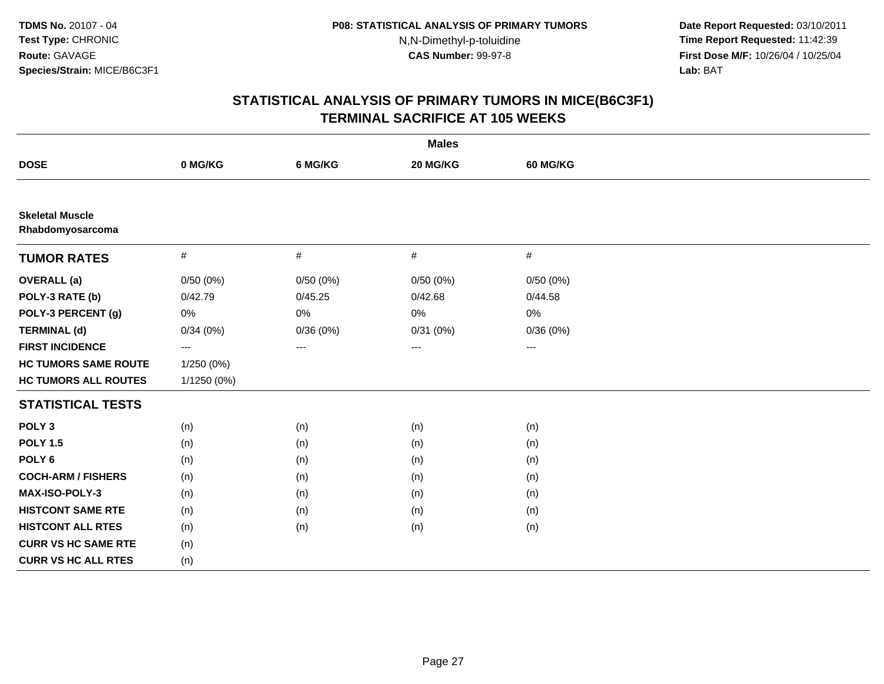**Date Report Requested:** 03/10/2011 **Time Report Requested:** 11:42:39 **First Dose M/F:** 10/26/04 / 10/25/04 Lab: BAT **Lab:** BAT

|                                            |             |          | <b>Males</b> |          |  |
|--------------------------------------------|-------------|----------|--------------|----------|--|
| <b>DOSE</b>                                | 0 MG/KG     | 6 MG/KG  | 20 MG/KG     | 60 MG/KG |  |
|                                            |             |          |              |          |  |
| <b>Skeletal Muscle</b><br>Rhabdomyosarcoma |             |          |              |          |  |
| <b>TUMOR RATES</b>                         | $\#$        | $\#$     | $\#$         | #        |  |
| <b>OVERALL</b> (a)                         | 0/50(0%)    | 0/50(0%) | 0/50(0%)     | 0/50(0%) |  |
| POLY-3 RATE (b)                            | 0/42.79     | 0/45.25  | 0/42.68      | 0/44.58  |  |
| POLY-3 PERCENT (g)                         | 0%          | $0\%$    | 0%           | 0%       |  |
| <b>TERMINAL (d)</b>                        | 0/34(0%)    | 0/36(0%) | 0/31(0%)     | 0/36(0%) |  |
| <b>FIRST INCIDENCE</b>                     | $--$        | ---      | ---          | $--$     |  |
| <b>HC TUMORS SAME ROUTE</b>                | 1/250 (0%)  |          |              |          |  |
| <b>HC TUMORS ALL ROUTES</b>                | 1/1250 (0%) |          |              |          |  |
| <b>STATISTICAL TESTS</b>                   |             |          |              |          |  |
| POLY <sub>3</sub>                          | (n)         | (n)      | (n)          | (n)      |  |
| <b>POLY 1.5</b>                            | (n)         | (n)      | (n)          | (n)      |  |
| POLY <sub>6</sub>                          | (n)         | (n)      | (n)          | (n)      |  |
| <b>COCH-ARM / FISHERS</b>                  | (n)         | (n)      | (n)          | (n)      |  |
| <b>MAX-ISO-POLY-3</b>                      | (n)         | (n)      | (n)          | (n)      |  |
| <b>HISTCONT SAME RTE</b>                   | (n)         | (n)      | (n)          | (n)      |  |
| <b>HISTCONT ALL RTES</b>                   | (n)         | (n)      | (n)          | (n)      |  |
| <b>CURR VS HC SAME RTE</b>                 | (n)         |          |              |          |  |
| <b>CURR VS HC ALL RTES</b>                 | (n)         |          |              |          |  |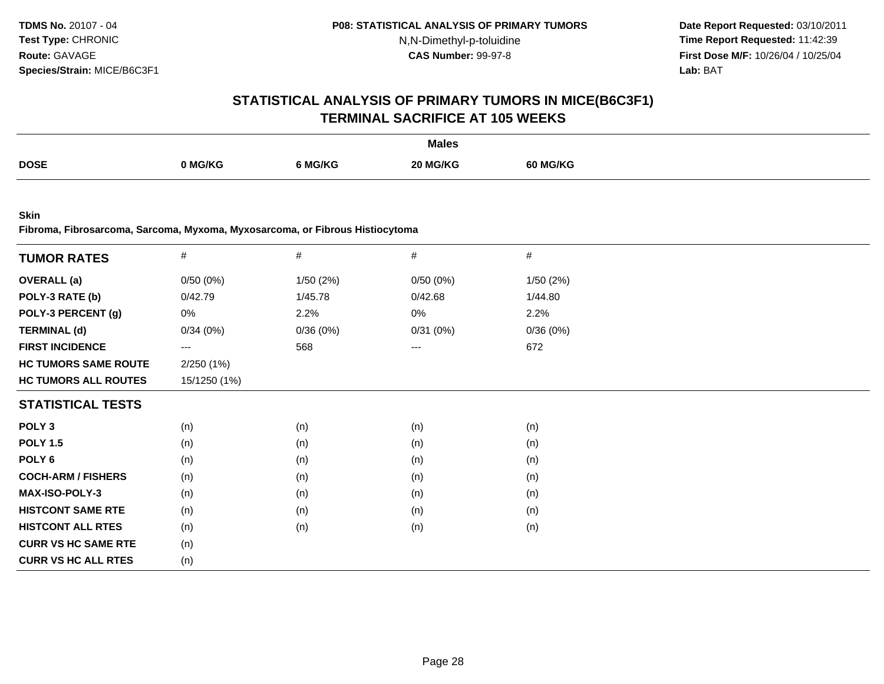**Date Report Requested:** 03/10/2011 **Time Report Requested:** 11:42:39 **First Dose M/F:** 10/26/04 / 10/25/04<br>**Lab:** BAT **Lab:** BAT

#### **STATISTICAL ANALYSIS OF PRIMARY TUMORS IN MICE(B6C3F1)TERMINAL SACRIFICE AT 105 WEEKS**

|             |         |         | <b>Males</b> |                 |
|-------------|---------|---------|--------------|-----------------|
| <b>DOSE</b> |         |         | <b>MG/KG</b> |                 |
|             | 0 MG/KG | MG/KG ز | 20 M         | <b>60 MG/KG</b> |
|             |         |         |              |                 |

**Skin**

**Fibroma, Fibrosarcoma, Sarcoma, Myxoma, Myxosarcoma, or Fibrous Histiocytoma**

| <b>TUMOR RATES</b>          | $\#$         | $\#$     | $\#$     | $\#$     |  |
|-----------------------------|--------------|----------|----------|----------|--|
|                             |              |          |          |          |  |
| <b>OVERALL</b> (a)          | 0/50(0%)     | 1/50(2%) | 0/50(0%) | 1/50(2%) |  |
| POLY-3 RATE (b)             | 0/42.79      | 1/45.78  | 0/42.68  | 1/44.80  |  |
| POLY-3 PERCENT (g)          | 0%           | 2.2%     | 0%       | 2.2%     |  |
| <b>TERMINAL (d)</b>         | 0/34(0%)     | 0/36(0%) | 0/31(0%) | 0/36(0%) |  |
| <b>FIRST INCIDENCE</b>      | $--$         | 568      | ---      | 672      |  |
| <b>HC TUMORS SAME ROUTE</b> | 2/250(1%)    |          |          |          |  |
| <b>HC TUMORS ALL ROUTES</b> | 15/1250 (1%) |          |          |          |  |
| <b>STATISTICAL TESTS</b>    |              |          |          |          |  |
| POLY <sub>3</sub>           | (n)          | (n)      | (n)      | (n)      |  |
| <b>POLY 1.5</b>             | (n)          | (n)      | (n)      | (n)      |  |
| POLY <sub>6</sub>           | (n)          | (n)      | (n)      | (n)      |  |
| <b>COCH-ARM / FISHERS</b>   | (n)          | (n)      | (n)      | (n)      |  |
| <b>MAX-ISO-POLY-3</b>       | (n)          | (n)      | (n)      | (n)      |  |
| <b>HISTCONT SAME RTE</b>    | (n)          | (n)      | (n)      | (n)      |  |
| <b>HISTCONT ALL RTES</b>    | (n)          | (n)      | (n)      | (n)      |  |
| <b>CURR VS HC SAME RTE</b>  | (n)          |          |          |          |  |
| <b>CURR VS HC ALL RTES</b>  | (n)          |          |          |          |  |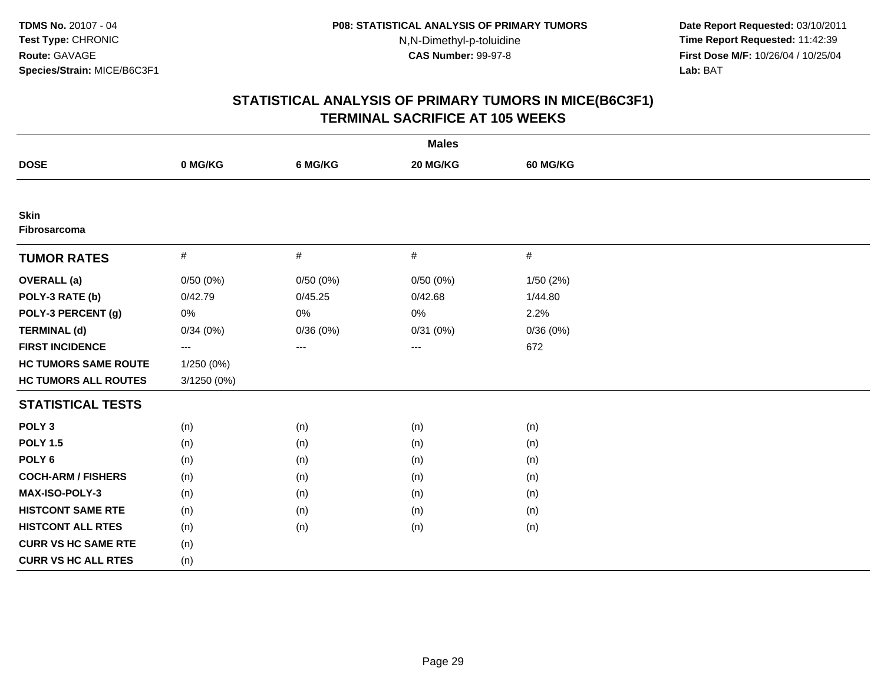**Date Report Requested:** 03/10/2011 **Time Report Requested:** 11:42:39 **First Dose M/F:** 10/26/04 / 10/25/04 Lab: BAT **Lab:** BAT

| <b>Males</b>                |             |          |          |                 |  |  |
|-----------------------------|-------------|----------|----------|-----------------|--|--|
| <b>DOSE</b>                 | 0 MG/KG     | 6 MG/KG  | 20 MG/KG | <b>60 MG/KG</b> |  |  |
|                             |             |          |          |                 |  |  |
| <b>Skin</b><br>Fibrosarcoma |             |          |          |                 |  |  |
| <b>TUMOR RATES</b>          | #           | $\#$     | #        | $\#$            |  |  |
| <b>OVERALL</b> (a)          | 0/50(0%)    | 0/50(0%) | 0/50(0%) | 1/50(2%)        |  |  |
| POLY-3 RATE (b)             | 0/42.79     | 0/45.25  | 0/42.68  | 1/44.80         |  |  |
| POLY-3 PERCENT (g)          | 0%          | 0%       | 0%       | 2.2%            |  |  |
| <b>TERMINAL (d)</b>         | 0/34(0%)    | 0/36(0%) | 0/31(0%) | 0/36(0%)        |  |  |
| <b>FIRST INCIDENCE</b>      | $\cdots$    | ---      | ---      | 672             |  |  |
| <b>HC TUMORS SAME ROUTE</b> | 1/250 (0%)  |          |          |                 |  |  |
| <b>HC TUMORS ALL ROUTES</b> | 3/1250 (0%) |          |          |                 |  |  |
| <b>STATISTICAL TESTS</b>    |             |          |          |                 |  |  |
| POLY <sub>3</sub>           | (n)         | (n)      | (n)      | (n)             |  |  |
| <b>POLY 1.5</b>             | (n)         | (n)      | (n)      | (n)             |  |  |
| POLY <sub>6</sub>           | (n)         | (n)      | (n)      | (n)             |  |  |
| <b>COCH-ARM / FISHERS</b>   | (n)         | (n)      | (n)      | (n)             |  |  |
| <b>MAX-ISO-POLY-3</b>       | (n)         | (n)      | (n)      | (n)             |  |  |
| <b>HISTCONT SAME RTE</b>    | (n)         | (n)      | (n)      | (n)             |  |  |
| <b>HISTCONT ALL RTES</b>    | (n)         | (n)      | (n)      | (n)             |  |  |
| <b>CURR VS HC SAME RTE</b>  | (n)         |          |          |                 |  |  |
| <b>CURR VS HC ALL RTES</b>  | (n)         |          |          |                 |  |  |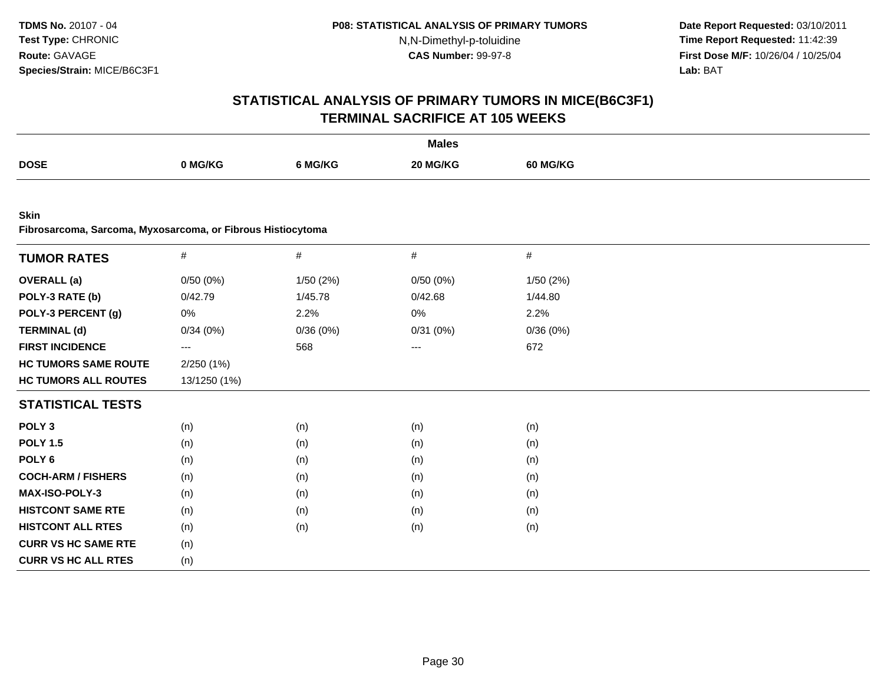**Date Report Requested:** 03/10/2011 **Time Report Requested:** 11:42:39 **First Dose M/F:** 10/26/04 / 10/25/04 Lab: BAT **Lab:** BAT

|                                                                            |                         |          | <b>Males</b> |          |  |
|----------------------------------------------------------------------------|-------------------------|----------|--------------|----------|--|
| <b>DOSE</b>                                                                | 0 MG/KG                 | 6 MG/KG  | 20 MG/KG     | 60 MG/KG |  |
|                                                                            |                         |          |              |          |  |
| <b>Skin</b><br>Fibrosarcoma, Sarcoma, Myxosarcoma, or Fibrous Histiocytoma |                         |          |              |          |  |
| <b>TUMOR RATES</b>                                                         | $\#$                    | $\#$     | #            | $\#$     |  |
| <b>OVERALL</b> (a)                                                         | 0/50(0%)                | 1/50(2%) | 0/50(0%)     | 1/50(2%) |  |
| POLY-3 RATE (b)                                                            | 0/42.79                 | 1/45.78  | 0/42.68      | 1/44.80  |  |
| POLY-3 PERCENT (g)                                                         | 0%                      | 2.2%     | $0\%$        | 2.2%     |  |
| <b>TERMINAL (d)</b>                                                        | 0/34(0%)                | 0/36(0%) | 0/31(0%)     | 0/36(0%) |  |
| <b>FIRST INCIDENCE</b>                                                     | $\qquad \qquad -\qquad$ | 568      | ---          | 672      |  |
| <b>HC TUMORS SAME ROUTE</b>                                                | 2/250(1%)               |          |              |          |  |
| <b>HC TUMORS ALL ROUTES</b>                                                | 13/1250 (1%)            |          |              |          |  |
| <b>STATISTICAL TESTS</b>                                                   |                         |          |              |          |  |
| POLY <sub>3</sub>                                                          | (n)                     | (n)      | (n)          | (n)      |  |
| <b>POLY 1.5</b>                                                            | (n)                     | (n)      | (n)          | (n)      |  |
| POLY <sub>6</sub>                                                          | (n)                     | (n)      | (n)          | (n)      |  |
| <b>COCH-ARM / FISHERS</b>                                                  | (n)                     | (n)      | (n)          | (n)      |  |
| MAX-ISO-POLY-3                                                             | (n)                     | (n)      | (n)          | (n)      |  |
| <b>HISTCONT SAME RTE</b>                                                   | (n)                     | (n)      | (n)          | (n)      |  |
| <b>HISTCONT ALL RTES</b>                                                   | (n)                     | (n)      | (n)          | (n)      |  |
| <b>CURR VS HC SAME RTE</b>                                                 | (n)                     |          |              |          |  |
| <b>CURR VS HC ALL RTES</b>                                                 | (n)                     |          |              |          |  |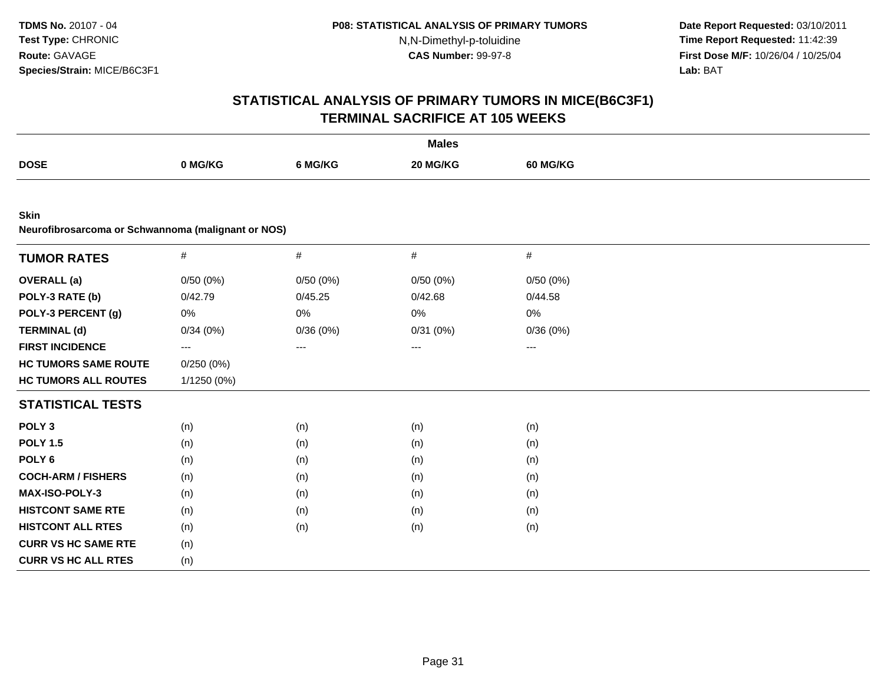**Date Report Requested:** 03/10/2011 **Time Report Requested:** 11:42:39 **First Dose M/F:** 10/26/04 / 10/25/04 Lab: BAT **Lab:** BAT

|                                                                   |                                          |          | <b>Males</b> |                 |  |
|-------------------------------------------------------------------|------------------------------------------|----------|--------------|-----------------|--|
| <b>DOSE</b>                                                       | 0 MG/KG                                  | 6 MG/KG  | 20 MG/KG     | <b>60 MG/KG</b> |  |
|                                                                   |                                          |          |              |                 |  |
| <b>Skin</b><br>Neurofibrosarcoma or Schwannoma (malignant or NOS) |                                          |          |              |                 |  |
|                                                                   |                                          |          |              |                 |  |
| <b>TUMOR RATES</b>                                                | $\#$                                     | $\#$     | $\#$         | $\#$            |  |
| <b>OVERALL</b> (a)                                                | 0/50(0%)                                 | 0/50(0%) | 0/50(0%)     | 0/50(0%)        |  |
| POLY-3 RATE (b)                                                   | 0/42.79                                  | 0/45.25  | 0/42.68      | 0/44.58         |  |
| POLY-3 PERCENT (g)                                                | 0%                                       | 0%       | $0\%$        | 0%              |  |
| <b>TERMINAL (d)</b>                                               | 0/34(0%)                                 | 0/36(0%) | 0/31(0%)     | 0/36(0%)        |  |
| <b>FIRST INCIDENCE</b>                                            | $\hspace{0.05cm} \ldots \hspace{0.05cm}$ | $\cdots$ | ---          | $\cdots$        |  |
| <b>HC TUMORS SAME ROUTE</b>                                       | 0/250(0%)                                |          |              |                 |  |
| <b>HC TUMORS ALL ROUTES</b>                                       | 1/1250 (0%)                              |          |              |                 |  |
| <b>STATISTICAL TESTS</b>                                          |                                          |          |              |                 |  |
| POLY <sub>3</sub>                                                 | (n)                                      | (n)      | (n)          | (n)             |  |
| <b>POLY 1.5</b>                                                   | (n)                                      | (n)      | (n)          | (n)             |  |
| POLY <sub>6</sub>                                                 | (n)                                      | (n)      | (n)          | (n)             |  |
| <b>COCH-ARM / FISHERS</b>                                         | (n)                                      | (n)      | (n)          | (n)             |  |
| <b>MAX-ISO-POLY-3</b>                                             | (n)                                      | (n)      | (n)          | (n)             |  |
| <b>HISTCONT SAME RTE</b>                                          | (n)                                      | (n)      | (n)          | (n)             |  |
| <b>HISTCONT ALL RTES</b>                                          | (n)                                      | (n)      | (n)          | (n)             |  |
| <b>CURR VS HC SAME RTE</b>                                        | (n)                                      |          |              |                 |  |
| <b>CURR VS HC ALL RTES</b>                                        | (n)                                      |          |              |                 |  |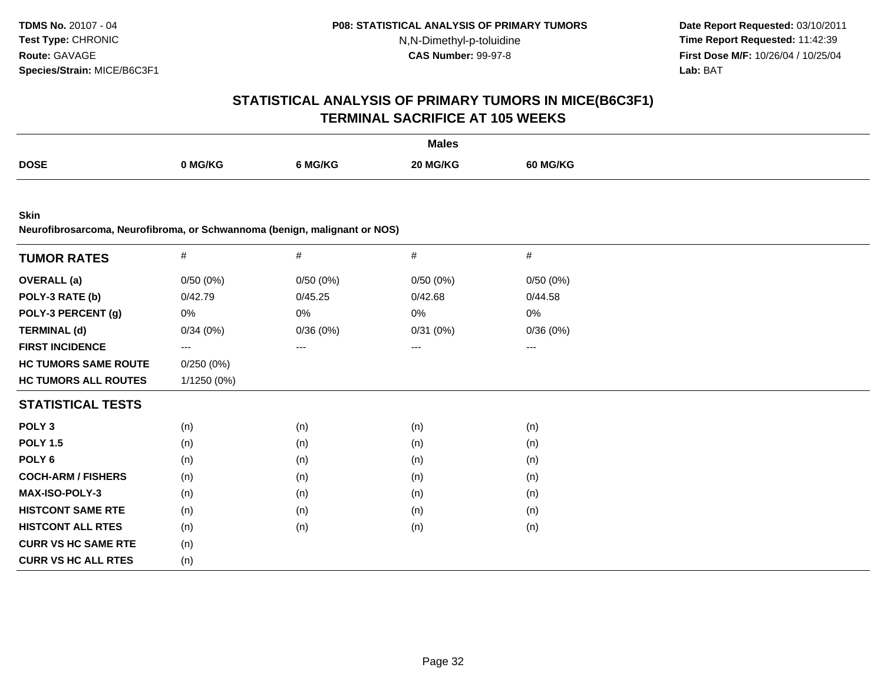**Date Report Requested:** 03/10/2011 **Time Report Requested:** 11:42:39 **First Dose M/F:** 10/26/04 / 10/25/04 Lab: BAT **Lab:** BAT

| <b>Males</b>                |                                                                           |          |          |          |  |  |  |  |  |
|-----------------------------|---------------------------------------------------------------------------|----------|----------|----------|--|--|--|--|--|
| <b>DOSE</b>                 | 0 MG/KG                                                                   | 6 MG/KG  | 20 MG/KG | 60 MG/KG |  |  |  |  |  |
|                             |                                                                           |          |          |          |  |  |  |  |  |
| <b>Skin</b>                 | Neurofibrosarcoma, Neurofibroma, or Schwannoma (benign, malignant or NOS) |          |          |          |  |  |  |  |  |
| <b>TUMOR RATES</b>          | $\#$                                                                      | #        | $\#$     | $\#$     |  |  |  |  |  |
| <b>OVERALL</b> (a)          | 0/50(0%)                                                                  | 0/50(0%) | 0/50(0%) | 0/50(0%) |  |  |  |  |  |
| POLY-3 RATE (b)             | 0/42.79                                                                   | 0/45.25  | 0/42.68  | 0/44.58  |  |  |  |  |  |
| POLY-3 PERCENT (g)          | 0%                                                                        | 0%       | 0%       | 0%       |  |  |  |  |  |
| <b>TERMINAL (d)</b>         | 0/34(0%)                                                                  | 0/36(0%) | 0/31(0%) | 0/36(0%) |  |  |  |  |  |
| <b>FIRST INCIDENCE</b>      | $\qquad \qquad \cdots$                                                    | $---$    | ---      | ---      |  |  |  |  |  |
| <b>HC TUMORS SAME ROUTE</b> | 0/250(0%)                                                                 |          |          |          |  |  |  |  |  |
| <b>HC TUMORS ALL ROUTES</b> | 1/1250 (0%)                                                               |          |          |          |  |  |  |  |  |
| <b>STATISTICAL TESTS</b>    |                                                                           |          |          |          |  |  |  |  |  |
| POLY <sub>3</sub>           | (n)                                                                       | (n)      | (n)      | (n)      |  |  |  |  |  |
| <b>POLY 1.5</b>             | (n)                                                                       | (n)      | (n)      | (n)      |  |  |  |  |  |
| POLY <sub>6</sub>           | (n)                                                                       | (n)      | (n)      | (n)      |  |  |  |  |  |
| <b>COCH-ARM / FISHERS</b>   | (n)                                                                       | (n)      | (n)      | (n)      |  |  |  |  |  |
| MAX-ISO-POLY-3              | (n)                                                                       | (n)      | (n)      | (n)      |  |  |  |  |  |
| <b>HISTCONT SAME RTE</b>    | (n)                                                                       | (n)      | (n)      | (n)      |  |  |  |  |  |
| <b>HISTCONT ALL RTES</b>    | (n)                                                                       | (n)      | (n)      | (n)      |  |  |  |  |  |
| <b>CURR VS HC SAME RTE</b>  | (n)                                                                       |          |          |          |  |  |  |  |  |
| <b>CURR VS HC ALL RTES</b>  | (n)                                                                       |          |          |          |  |  |  |  |  |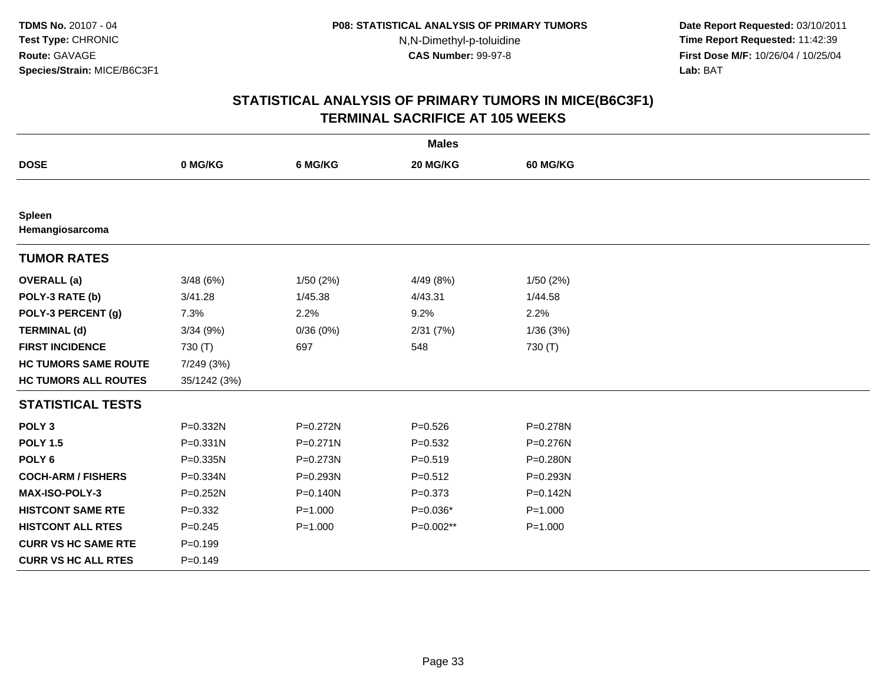**Date Report Requested:** 03/10/2011 **Time Report Requested:** 11:42:39 **First Dose M/F:** 10/26/04 / 10/25/04 Lab: BAT **Lab:** BAT

|                                  |              |              | <b>Males</b> |                 |
|----------------------------------|--------------|--------------|--------------|-----------------|
| <b>DOSE</b>                      | 0 MG/KG      | 6 MG/KG      | 20 MG/KG     | <b>60 MG/KG</b> |
|                                  |              |              |              |                 |
| <b>Spleen</b><br>Hemangiosarcoma |              |              |              |                 |
| <b>TUMOR RATES</b>               |              |              |              |                 |
| <b>OVERALL</b> (a)               | 3/48(6%)     | 1/50(2%)     | 4/49 (8%)    | 1/50(2%)        |
| POLY-3 RATE (b)                  | 3/41.28      | 1/45.38      | 4/43.31      | 1/44.58         |
| POLY-3 PERCENT (g)               | 7.3%         | 2.2%         | 9.2%         | 2.2%            |
| <b>TERMINAL (d)</b>              | 3/34(9%)     | 0/36(0%)     | 2/31(7%)     | 1/36(3%)        |
| <b>FIRST INCIDENCE</b>           | 730 (T)      | 697          | 548          | 730 (T)         |
| <b>HC TUMORS SAME ROUTE</b>      | 7/249 (3%)   |              |              |                 |
| <b>HC TUMORS ALL ROUTES</b>      | 35/1242 (3%) |              |              |                 |
| <b>STATISTICAL TESTS</b>         |              |              |              |                 |
| POLY <sub>3</sub>                | P=0.332N     | P=0.272N     | $P = 0.526$  | P=0.278N        |
| <b>POLY 1.5</b>                  | P=0.331N     | $P = 0.271N$ | $P=0.532$    | P=0.276N        |
| POLY <sub>6</sub>                | $P = 0.335N$ | P=0.273N     | $P = 0.519$  | $P = 0.280N$    |
| <b>COCH-ARM / FISHERS</b>        | P=0.334N     | P=0.293N     | $P=0.512$    | P=0.293N        |
| MAX-ISO-POLY-3                   | P=0.252N     | P=0.140N     | $P = 0.373$  | P=0.142N        |
| <b>HISTCONT SAME RTE</b>         | $P=0.332$    | $P = 1.000$  | $P=0.036*$   | $P = 1.000$     |
| <b>HISTCONT ALL RTES</b>         | $P = 0.245$  | $P = 1.000$  | P=0.002**    | $P = 1.000$     |
| <b>CURR VS HC SAME RTE</b>       | $P = 0.199$  |              |              |                 |
| <b>CURR VS HC ALL RTES</b>       | $P=0.149$    |              |              |                 |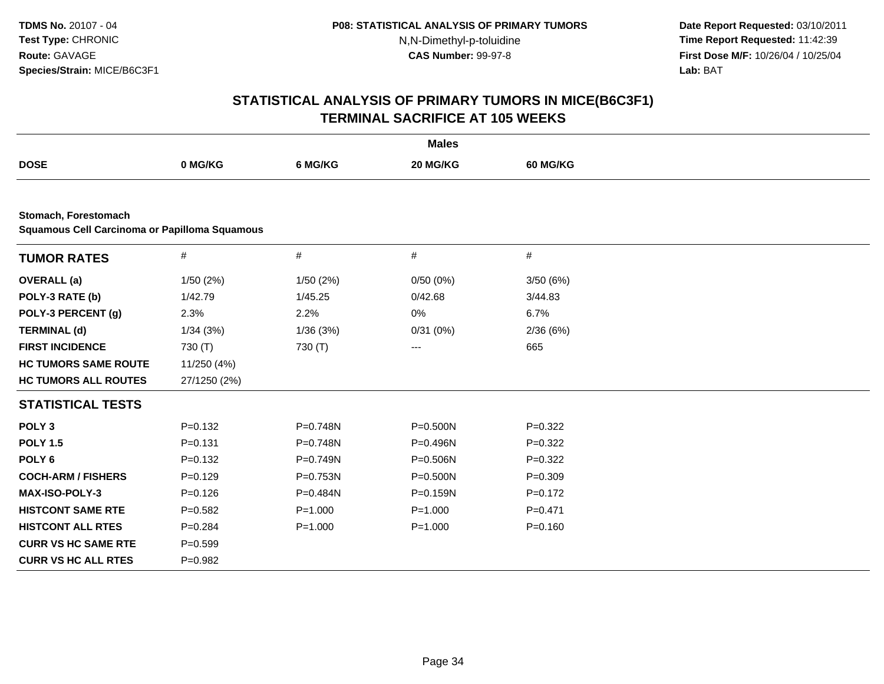**Date Report Requested:** 03/10/2011 **Time Report Requested:** 11:42:39 **First Dose M/F:** 10/26/04 / 10/25/04 Lab: BAT **Lab:** BAT

|                                                                       |              |              | <b>Males</b> |                 |  |
|-----------------------------------------------------------------------|--------------|--------------|--------------|-----------------|--|
| <b>DOSE</b>                                                           | 0 MG/KG      | 6 MG/KG      | 20 MG/KG     | <b>60 MG/KG</b> |  |
|                                                                       |              |              |              |                 |  |
| Stomach, Forestomach<br>Squamous Cell Carcinoma or Papilloma Squamous |              |              |              |                 |  |
| <b>TUMOR RATES</b>                                                    | $\#$         | #            | $\#$         | $\#$            |  |
| <b>OVERALL</b> (a)                                                    | 1/50 (2%)    | 1/50(2%)     | 0/50(0%)     | 3/50 (6%)       |  |
| POLY-3 RATE (b)                                                       | 1/42.79      | 1/45.25      | 0/42.68      | 3/44.83         |  |
| POLY-3 PERCENT (g)                                                    | 2.3%         | 2.2%         | 0%           | 6.7%            |  |
| <b>TERMINAL (d)</b>                                                   | 1/34(3%)     | 1/36(3%)     | 0/31(0%)     | 2/36(6%)        |  |
| <b>FIRST INCIDENCE</b>                                                | 730 (T)      | 730 (T)      | $\cdots$     | 665             |  |
| <b>HC TUMORS SAME ROUTE</b>                                           | 11/250 (4%)  |              |              |                 |  |
| <b>HC TUMORS ALL ROUTES</b>                                           | 27/1250 (2%) |              |              |                 |  |
| <b>STATISTICAL TESTS</b>                                              |              |              |              |                 |  |
| POLY <sub>3</sub>                                                     | $P=0.132$    | P=0.748N     | P=0.500N     | $P=0.322$       |  |
| <b>POLY 1.5</b>                                                       | $P = 0.131$  | $P = 0.748N$ | $P = 0.496N$ | $P=0.322$       |  |
| POLY <sub>6</sub>                                                     | $P=0.132$    | P=0.749N     | P=0.506N     | $P=0.322$       |  |
| <b>COCH-ARM / FISHERS</b>                                             | $P=0.129$    | P=0.753N     | P=0.500N     | $P = 0.309$     |  |
| <b>MAX-ISO-POLY-3</b>                                                 | $P = 0.126$  | P=0.484N     | P=0.159N     | $P=0.172$       |  |
| <b>HISTCONT SAME RTE</b>                                              | $P = 0.582$  | $P = 1.000$  | $P = 1.000$  | $P = 0.471$     |  |
| <b>HISTCONT ALL RTES</b>                                              | $P=0.284$    | $P = 1.000$  | $P = 1.000$  | $P=0.160$       |  |
| <b>CURR VS HC SAME RTE</b>                                            | $P = 0.599$  |              |              |                 |  |
| <b>CURR VS HC ALL RTES</b>                                            | $P=0.982$    |              |              |                 |  |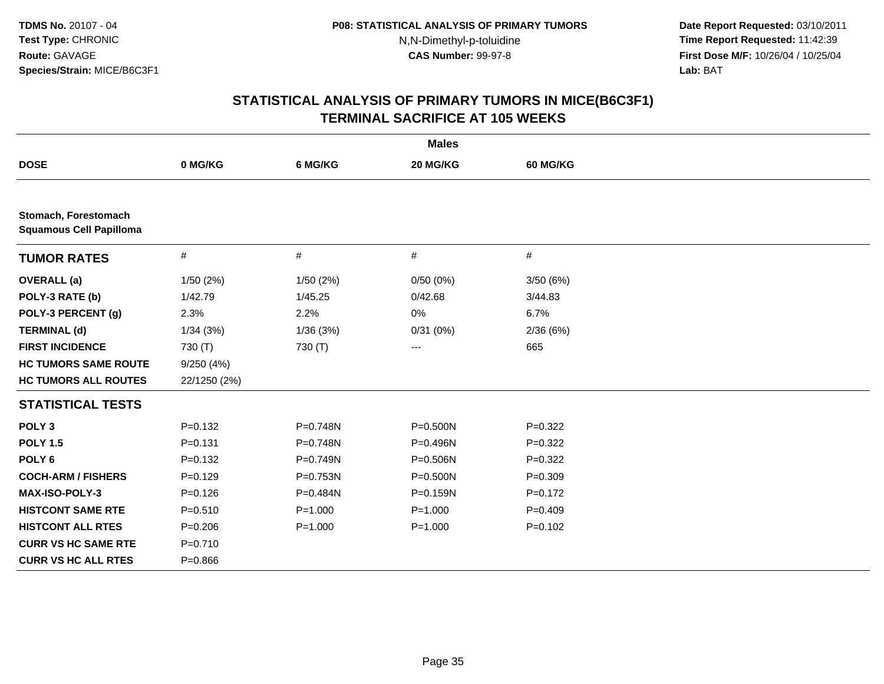**Date Report Requested:** 03/10/2011 **Time Report Requested:** 11:42:39 **First Dose M/F:** 10/26/04 / 10/25/04 Lab: BAT **Lab:** BAT

| <b>Males</b>                                           |              |             |             |             |  |  |
|--------------------------------------------------------|--------------|-------------|-------------|-------------|--|--|
| <b>DOSE</b>                                            | 0 MG/KG      | 6 MG/KG     | 20 MG/KG    | 60 MG/KG    |  |  |
|                                                        |              |             |             |             |  |  |
| Stomach, Forestomach<br><b>Squamous Cell Papilloma</b> |              |             |             |             |  |  |
| <b>TUMOR RATES</b>                                     | $\#$         | #           | $\#$        | $\#$        |  |  |
| <b>OVERALL</b> (a)                                     | 1/50(2%)     | 1/50(2%)    | 0/50(0%)    | 3/50(6%)    |  |  |
| POLY-3 RATE (b)                                        | 1/42.79      | 1/45.25     | 0/42.68     | 3/44.83     |  |  |
| POLY-3 PERCENT (g)                                     | 2.3%         | 2.2%        | 0%          | 6.7%        |  |  |
| <b>TERMINAL (d)</b>                                    | 1/34(3%)     | 1/36(3%)    | 0/31(0%)    | 2/36(6%)    |  |  |
| <b>FIRST INCIDENCE</b>                                 | 730 (T)      | 730 (T)     | $---$       | 665         |  |  |
| <b>HC TUMORS SAME ROUTE</b>                            | 9/250(4%)    |             |             |             |  |  |
| <b>HC TUMORS ALL ROUTES</b>                            | 22/1250 (2%) |             |             |             |  |  |
| <b>STATISTICAL TESTS</b>                               |              |             |             |             |  |  |
| POLY <sub>3</sub>                                      | $P=0.132$    | P=0.748N    | P=0.500N    | $P=0.322$   |  |  |
| <b>POLY 1.5</b>                                        | $P = 0.131$  | P=0.748N    | P=0.496N    | $P=0.322$   |  |  |
| POLY <sub>6</sub>                                      | $P=0.132$    | P=0.749N    | P=0.506N    | $P=0.322$   |  |  |
| <b>COCH-ARM / FISHERS</b>                              | $P = 0.129$  | P=0.753N    | P=0.500N    | $P = 0.309$ |  |  |
| <b>MAX-ISO-POLY-3</b>                                  | $P = 0.126$  | P=0.484N    | P=0.159N    | $P=0.172$   |  |  |
| <b>HISTCONT SAME RTE</b>                               | $P = 0.510$  | $P = 1.000$ | $P = 1.000$ | $P=0.409$   |  |  |
| <b>HISTCONT ALL RTES</b>                               | $P = 0.206$  | $P = 1.000$ | $P = 1.000$ | $P = 0.102$ |  |  |
| <b>CURR VS HC SAME RTE</b>                             | $P = 0.710$  |             |             |             |  |  |
| <b>CURR VS HC ALL RTES</b>                             | $P = 0.866$  |             |             |             |  |  |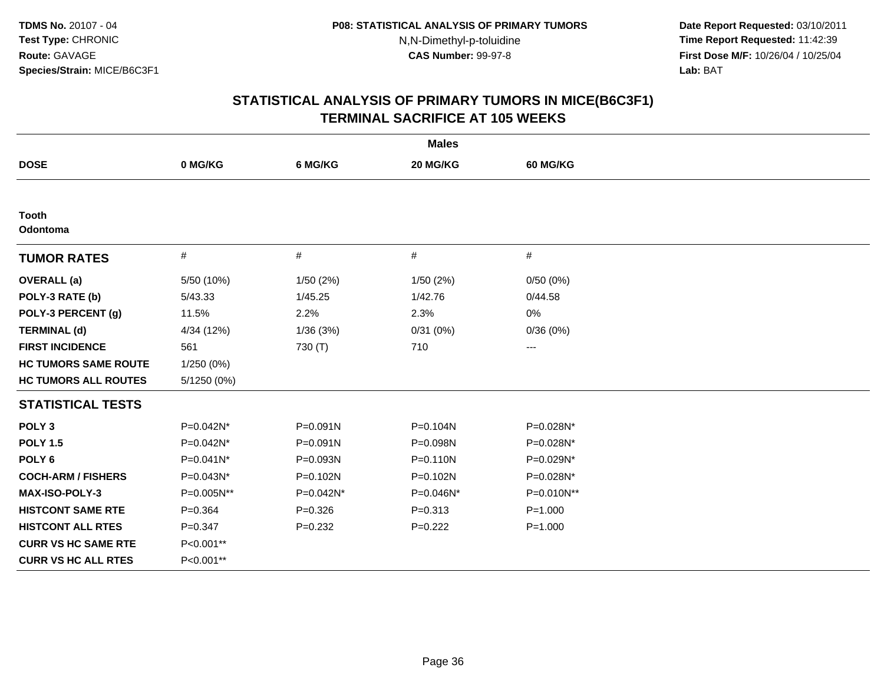**Date Report Requested:** 03/10/2011 **Time Report Requested:** 11:42:39 **First Dose M/F:** 10/26/04 / 10/25/04 Lab: BAT **Lab:** BAT

| <b>Males</b>                |             |             |              |             |  |  |
|-----------------------------|-------------|-------------|--------------|-------------|--|--|
| <b>DOSE</b>                 | 0 MG/KG     | 6 MG/KG     | 20 MG/KG     | 60 MG/KG    |  |  |
|                             |             |             |              |             |  |  |
| <b>Tooth</b><br>Odontoma    |             |             |              |             |  |  |
| <b>TUMOR RATES</b>          | #           | #           | #            | #           |  |  |
| <b>OVERALL</b> (a)          | 5/50 (10%)  | 1/50(2%)    | 1/50(2%)     | 0/50(0%)    |  |  |
| POLY-3 RATE (b)             | 5/43.33     | 1/45.25     | 1/42.76      | 0/44.58     |  |  |
| POLY-3 PERCENT (g)          | 11.5%       | 2.2%        | 2.3%         | 0%          |  |  |
| <b>TERMINAL (d)</b>         | 4/34 (12%)  | 1/36(3%)    | 0/31(0%)     | 0/36(0%)    |  |  |
| <b>FIRST INCIDENCE</b>      | 561         | 730 (T)     | 710          | ---         |  |  |
| <b>HC TUMORS SAME ROUTE</b> | 1/250 (0%)  |             |              |             |  |  |
| <b>HC TUMORS ALL ROUTES</b> | 5/1250 (0%) |             |              |             |  |  |
| <b>STATISTICAL TESTS</b>    |             |             |              |             |  |  |
| POLY <sub>3</sub>           | P=0.042N*   | P=0.091N    | P=0.104N     | P=0.028N*   |  |  |
| <b>POLY 1.5</b>             | P=0.042N*   | P=0.091N    | P=0.098N     | P=0.028N*   |  |  |
| POLY <sub>6</sub>           | P=0.041N*   | P=0.093N    | $P = 0.110N$ | P=0.029N*   |  |  |
| <b>COCH-ARM / FISHERS</b>   | P=0.043N*   | P=0.102N    | P=0.102N     | P=0.028N*   |  |  |
| <b>MAX-ISO-POLY-3</b>       | P=0.005N**  | P=0.042N*   | P=0.046N*    | P=0.010N**  |  |  |
| <b>HISTCONT SAME RTE</b>    | $P = 0.364$ | $P = 0.326$ | $P = 0.313$  | $P = 1.000$ |  |  |
| <b>HISTCONT ALL RTES</b>    | $P = 0.347$ | $P=0.232$   | $P=0.222$    | $P = 1.000$ |  |  |
| <b>CURR VS HC SAME RTE</b>  | P<0.001**   |             |              |             |  |  |
| <b>CURR VS HC ALL RTES</b>  | P<0.001**   |             |              |             |  |  |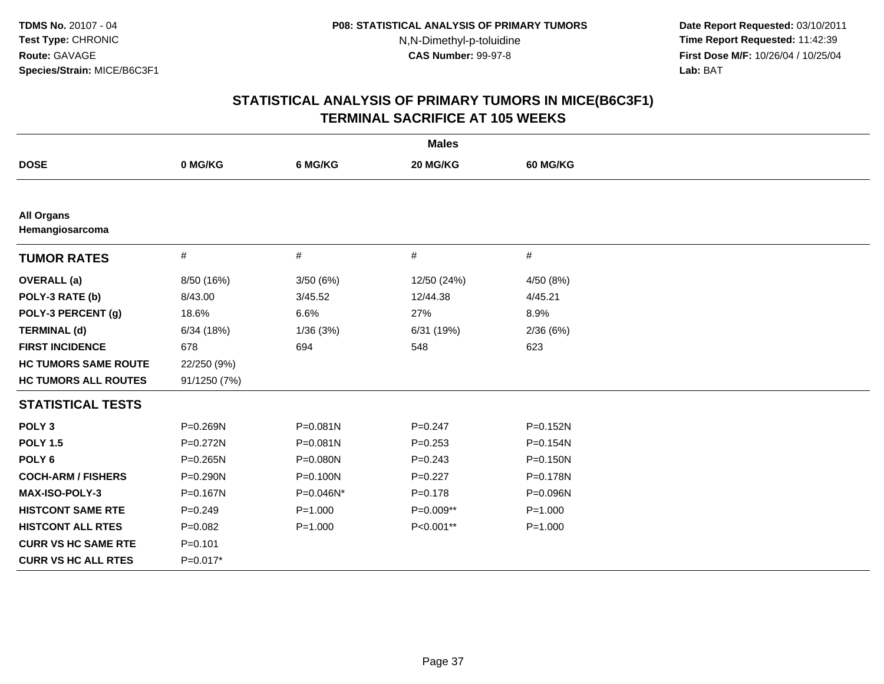**Date Report Requested:** 03/10/2011 **Time Report Requested:** 11:42:39 **First Dose M/F:** 10/26/04 / 10/25/04 Lab: BAT **Lab:** BAT

| <b>Males</b>                         |              |              |             |                 |  |  |
|--------------------------------------|--------------|--------------|-------------|-----------------|--|--|
| <b>DOSE</b>                          | 0 MG/KG      | 6 MG/KG      | 20 MG/KG    | <b>60 MG/KG</b> |  |  |
|                                      |              |              |             |                 |  |  |
| <b>All Organs</b><br>Hemangiosarcoma |              |              |             |                 |  |  |
| <b>TUMOR RATES</b>                   | $\#$         | $\#$         | #           | #               |  |  |
| <b>OVERALL</b> (a)                   | 8/50 (16%)   | 3/50(6%)     | 12/50 (24%) | 4/50 (8%)       |  |  |
| POLY-3 RATE (b)                      | 8/43.00      | 3/45.52      | 12/44.38    | 4/45.21         |  |  |
| POLY-3 PERCENT (g)                   | 18.6%        | 6.6%         | 27%         | 8.9%            |  |  |
| <b>TERMINAL (d)</b>                  | 6/34(18%)    | 1/36(3%)     | 6/31 (19%)  | 2/36(6%)        |  |  |
| <b>FIRST INCIDENCE</b>               | 678          | 694          | 548         | 623             |  |  |
| <b>HC TUMORS SAME ROUTE</b>          | 22/250 (9%)  |              |             |                 |  |  |
| <b>HC TUMORS ALL ROUTES</b>          | 91/1250 (7%) |              |             |                 |  |  |
| <b>STATISTICAL TESTS</b>             |              |              |             |                 |  |  |
| POLY <sub>3</sub>                    | P=0.269N     | $P = 0.081N$ | $P = 0.247$ | P=0.152N        |  |  |
| <b>POLY 1.5</b>                      | $P = 0.272N$ | $P = 0.081N$ | $P = 0.253$ | P=0.154N        |  |  |
| POLY <sub>6</sub>                    | $P = 0.265N$ | P=0.080N     | $P = 0.243$ | $P = 0.150N$    |  |  |
| <b>COCH-ARM / FISHERS</b>            | $P = 0.290N$ | $P = 0.100N$ | $P=0.227$   | P=0.178N        |  |  |
| <b>MAX-ISO-POLY-3</b>                | P=0.167N     | P=0.046N*    | $P = 0.178$ | P=0.096N        |  |  |
| <b>HISTCONT SAME RTE</b>             | $P=0.249$    | $P = 1.000$  | P=0.009**   | $P = 1.000$     |  |  |
| <b>HISTCONT ALL RTES</b>             | $P=0.082$    | $P = 1.000$  | P<0.001**   | $P = 1.000$     |  |  |
| <b>CURR VS HC SAME RTE</b>           | $P = 0.101$  |              |             |                 |  |  |
| <b>CURR VS HC ALL RTES</b>           | $P=0.017*$   |              |             |                 |  |  |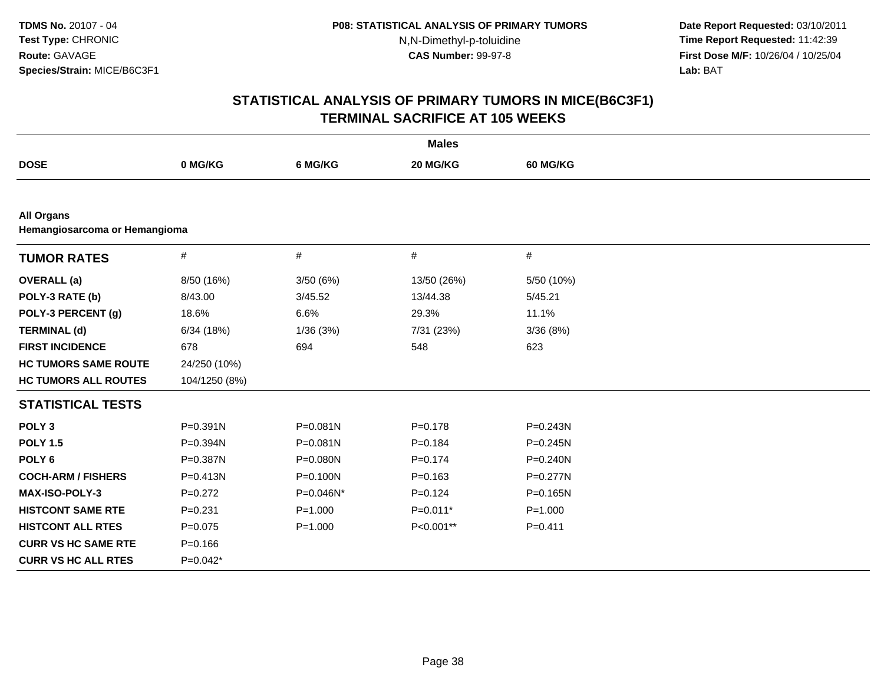**Date Report Requested:** 03/10/2011 **Time Report Requested:** 11:42:39 **First Dose M/F:** 10/26/04 / 10/25/04 Lab: BAT **Lab:** BAT

| <b>Males</b>                                       |               |             |             |              |  |
|----------------------------------------------------|---------------|-------------|-------------|--------------|--|
| <b>DOSE</b>                                        | 0 MG/KG       | 6 MG/KG     | 20 MG/KG    | 60 MG/KG     |  |
|                                                    |               |             |             |              |  |
| <b>All Organs</b><br>Hemangiosarcoma or Hemangioma |               |             |             |              |  |
| <b>TUMOR RATES</b>                                 | $\#$          | $\#$        | $\#$        | #            |  |
| <b>OVERALL</b> (a)                                 | 8/50 (16%)    | 3/50(6%)    | 13/50 (26%) | 5/50 (10%)   |  |
| POLY-3 RATE (b)                                    | 8/43.00       | 3/45.52     | 13/44.38    | 5/45.21      |  |
| POLY-3 PERCENT (g)                                 | 18.6%         | 6.6%        | 29.3%       | 11.1%        |  |
| <b>TERMINAL (d)</b>                                | 6/34(18%)     | 1/36(3%)    | 7/31 (23%)  | 3/36(8%)     |  |
| <b>FIRST INCIDENCE</b>                             | 678           | 694         | 548         | 623          |  |
| <b>HC TUMORS SAME ROUTE</b>                        | 24/250 (10%)  |             |             |              |  |
| <b>HC TUMORS ALL ROUTES</b>                        | 104/1250 (8%) |             |             |              |  |
| <b>STATISTICAL TESTS</b>                           |               |             |             |              |  |
| POLY <sub>3</sub>                                  | $P = 0.391N$  | P=0.081N    | $P = 0.178$ | $P = 0.243N$ |  |
| <b>POLY 1.5</b>                                    | P=0.394N      | P=0.081N    | $P = 0.184$ | $P = 0.245N$ |  |
| POLY <sub>6</sub>                                  | P=0.387N      | P=0.080N    | $P = 0.174$ | $P = 0.240N$ |  |
| <b>COCH-ARM / FISHERS</b>                          | $P = 0.413N$  | P=0.100N    | $P = 0.163$ | $P = 0.277N$ |  |
| <b>MAX-ISO-POLY-3</b>                              | $P=0.272$     | P=0.046N*   | $P=0.124$   | $P = 0.165N$ |  |
| <b>HISTCONT SAME RTE</b>                           | $P = 0.231$   | $P = 1.000$ | $P=0.011*$  | $P = 1.000$  |  |
| <b>HISTCONT ALL RTES</b>                           | $P = 0.075$   | $P = 1.000$ | P<0.001**   | $P = 0.411$  |  |
| <b>CURR VS HC SAME RTE</b>                         | $P = 0.166$   |             |             |              |  |
| <b>CURR VS HC ALL RTES</b>                         | $P=0.042*$    |             |             |              |  |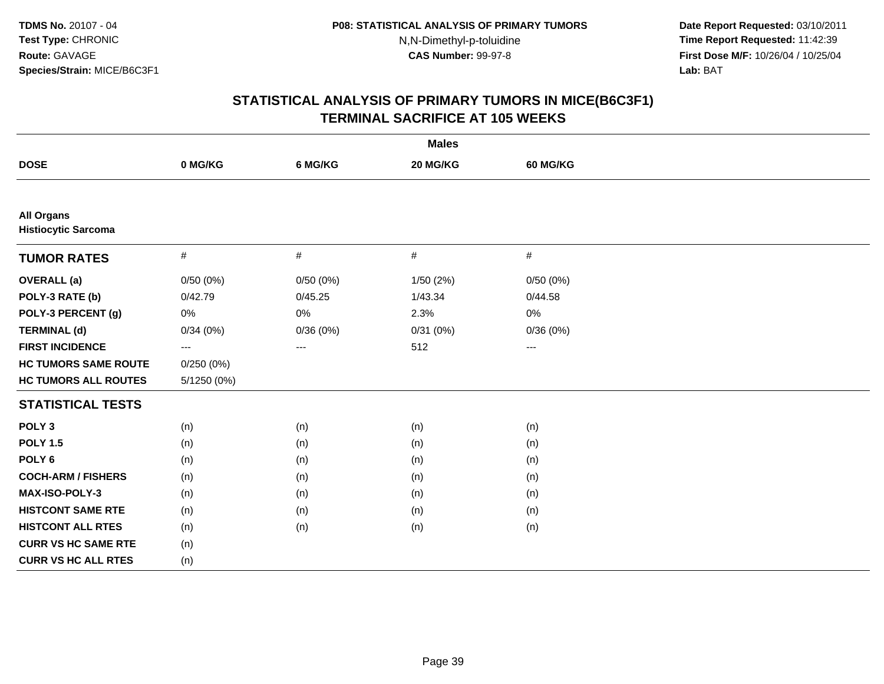**Date Report Requested:** 03/10/2011 **Time Report Requested:** 11:42:39 **First Dose M/F:** 10/26/04 / 10/25/04 Lab: BAT **Lab:** BAT

| <b>Males</b>                                    |             |          |           |                        |  |  |
|-------------------------------------------------|-------------|----------|-----------|------------------------|--|--|
| <b>DOSE</b>                                     | 0 MG/KG     | 6 MG/KG  | 20 MG/KG  | 60 MG/KG               |  |  |
|                                                 |             |          |           |                        |  |  |
| <b>All Organs</b><br><b>Histiocytic Sarcoma</b> |             |          |           |                        |  |  |
| <b>TUMOR RATES</b>                              | $\#$        | $\#$     | $\#$      | #                      |  |  |
| <b>OVERALL</b> (a)                              | 0/50(0%)    | 0/50(0%) | 1/50 (2%) | 0/50(0%)               |  |  |
| POLY-3 RATE (b)                                 | 0/42.79     | 0/45.25  | 1/43.34   | 0/44.58                |  |  |
| POLY-3 PERCENT (g)                              | 0%          | 0%       | 2.3%      | 0%                     |  |  |
| <b>TERMINAL (d)</b>                             | 0/34(0%)    | 0/36(0%) | 0/31(0%)  | 0/36(0%)               |  |  |
| <b>FIRST INCIDENCE</b>                          | $---$       | $---$    | 512       | $\qquad \qquad \cdots$ |  |  |
| <b>HC TUMORS SAME ROUTE</b>                     | 0/250(0%)   |          |           |                        |  |  |
| <b>HC TUMORS ALL ROUTES</b>                     | 5/1250 (0%) |          |           |                        |  |  |
| <b>STATISTICAL TESTS</b>                        |             |          |           |                        |  |  |
| POLY <sub>3</sub>                               | (n)         | (n)      | (n)       | (n)                    |  |  |
| <b>POLY 1.5</b>                                 | (n)         | (n)      | (n)       | (n)                    |  |  |
| POLY <sub>6</sub>                               | (n)         | (n)      | (n)       | (n)                    |  |  |
| <b>COCH-ARM / FISHERS</b>                       | (n)         | (n)      | (n)       | (n)                    |  |  |
| <b>MAX-ISO-POLY-3</b>                           | (n)         | (n)      | (n)       | (n)                    |  |  |
| <b>HISTCONT SAME RTE</b>                        | (n)         | (n)      | (n)       | (n)                    |  |  |
| <b>HISTCONT ALL RTES</b>                        | (n)         | (n)      | (n)       | (n)                    |  |  |
| <b>CURR VS HC SAME RTE</b>                      | (n)         |          |           |                        |  |  |
| <b>CURR VS HC ALL RTES</b>                      | (n)         |          |           |                        |  |  |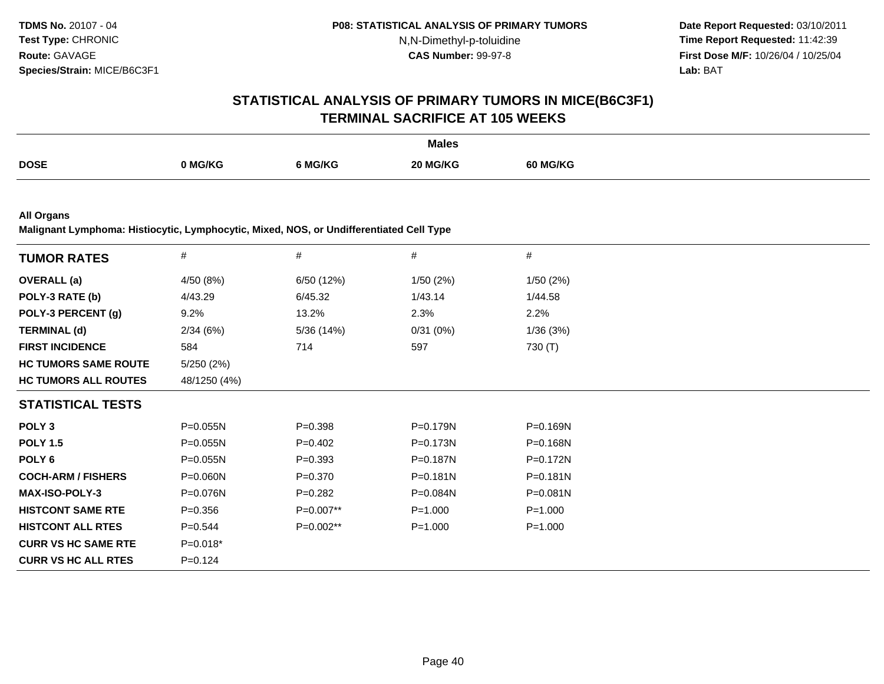**Date Report Requested:** 03/10/2011 **Time Report Requested:** 11:42:39 **First Dose M/F:** 10/26/04 / 10/25/04 Lab: BAT **Lab:** BAT

### **STATISTICAL ANALYSIS OF PRIMARY TUMORS IN MICE(B6C3F1)TERMINAL SACRIFICE AT 105 WEEKS**

|             |         |         | <b>Males</b> |          |
|-------------|---------|---------|--------------|----------|
| <b>DOSE</b> | າ MG/KG | 6 MG/KG | 20 MG/KG     | 60 MG/KG |

**All Organs**

**Malignant Lymphoma: Histiocytic, Lymphocytic, Mixed, NOS, or Undifferentiated Cell Type**

|              |             |              | #            |
|--------------|-------------|--------------|--------------|
| 4/50 (8%)    | 6/50 (12%)  | 1/50(2%)     | 1/50(2%)     |
| 4/43.29      | 6/45.32     | 1/43.14      | 1/44.58      |
| $9.2\%$      | 13.2%       | 2.3%         | 2.2%         |
| 2/34(6%)     | 5/36 (14%)  | 0/31(0%)     | 1/36(3%)     |
| 584          | 714         | 597          | 730 (T)      |
| 5/250 (2%)   |             |              |              |
| 48/1250 (4%) |             |              |              |
|              |             |              |              |
| P=0.055N     | $P = 0.398$ | P=0.179N     | P=0.169N     |
| $P = 0.055N$ | $P=0.402$   | P=0.173N     | $P = 0.168N$ |
| $P = 0.055N$ | $P = 0.393$ | P=0.187N     | P=0.172N     |
| $P = 0.060N$ | $P = 0.370$ | $P = 0.181N$ | $P = 0.181N$ |
| P=0.076N     | $P=0.282$   | P=0.084N     | $P = 0.081N$ |
| $P = 0.356$  | P=0.007**   | $P = 1.000$  | $P = 1.000$  |
| $P = 0.544$  | $P=0.002**$ | $P = 1.000$  | $P = 1.000$  |
| $P=0.018*$   |             |              |              |
| $P = 0.124$  |             |              |              |
|              | $\#$        | #            | #            |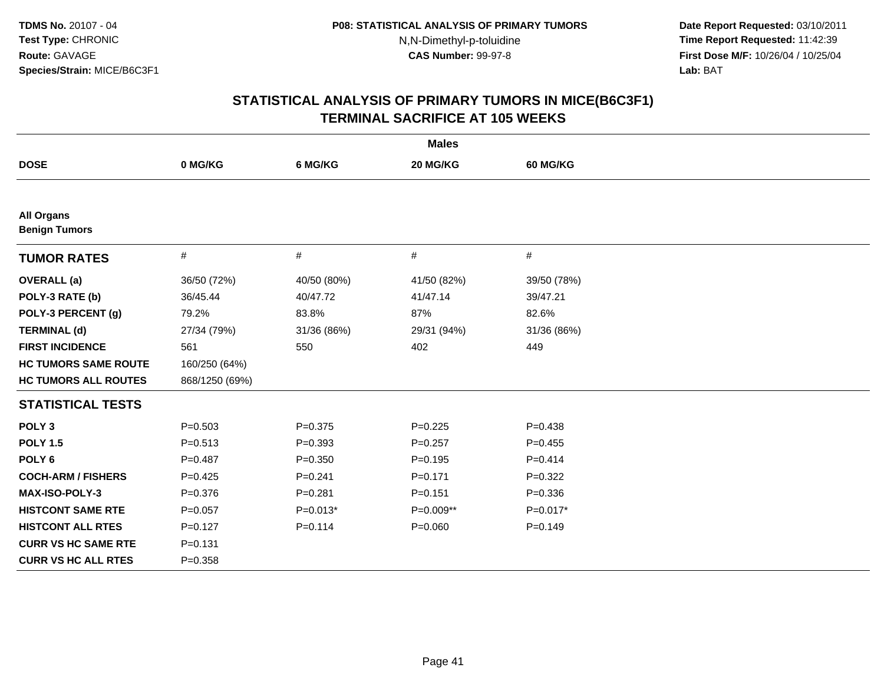**Date Report Requested:** 03/10/2011 **Time Report Requested:** 11:42:39 **First Dose M/F:** 10/26/04 / 10/25/04 Lab: BAT **Lab:** BAT

| <b>Males</b>                              |                |             |             |             |  |
|-------------------------------------------|----------------|-------------|-------------|-------------|--|
| <b>DOSE</b>                               | 0 MG/KG        | 6 MG/KG     | 20 MG/KG    | 60 MG/KG    |  |
|                                           |                |             |             |             |  |
| <b>All Organs</b><br><b>Benign Tumors</b> |                |             |             |             |  |
| <b>TUMOR RATES</b>                        | $\#$           | $\#$        | $\#$        | #           |  |
| <b>OVERALL</b> (a)                        | 36/50 (72%)    | 40/50 (80%) | 41/50 (82%) | 39/50 (78%) |  |
| POLY-3 RATE (b)                           | 36/45.44       | 40/47.72    | 41/47.14    | 39/47.21    |  |
| POLY-3 PERCENT (g)                        | 79.2%          | 83.8%       | 87%         | 82.6%       |  |
| <b>TERMINAL (d)</b>                       | 27/34 (79%)    | 31/36 (86%) | 29/31 (94%) | 31/36 (86%) |  |
| <b>FIRST INCIDENCE</b>                    | 561            | 550         | 402         | 449         |  |
| <b>HC TUMORS SAME ROUTE</b>               | 160/250 (64%)  |             |             |             |  |
| <b>HC TUMORS ALL ROUTES</b>               | 868/1250 (69%) |             |             |             |  |
| <b>STATISTICAL TESTS</b>                  |                |             |             |             |  |
| POLY <sub>3</sub>                         | $P = 0.503$    | $P = 0.375$ | $P = 0.225$ | $P = 0.438$ |  |
| <b>POLY 1.5</b>                           | $P = 0.513$    | $P = 0.393$ | $P = 0.257$ | $P=0.455$   |  |
| POLY <sub>6</sub>                         | $P=0.487$      | $P = 0.350$ | $P = 0.195$ | $P = 0.414$ |  |
| <b>COCH-ARM / FISHERS</b>                 | $P=0.425$      | $P = 0.241$ | $P = 0.171$ | $P=0.322$   |  |
| MAX-ISO-POLY-3                            | $P = 0.376$    | $P = 0.281$ | $P = 0.151$ | $P = 0.336$ |  |
| <b>HISTCONT SAME RTE</b>                  | $P=0.057$      | $P=0.013*$  | P=0.009**   | $P=0.017*$  |  |
| <b>HISTCONT ALL RTES</b>                  | $P=0.127$      | $P = 0.114$ | $P = 0.060$ | $P=0.149$   |  |
| <b>CURR VS HC SAME RTE</b>                | $P = 0.131$    |             |             |             |  |
| <b>CURR VS HC ALL RTES</b>                | $P = 0.358$    |             |             |             |  |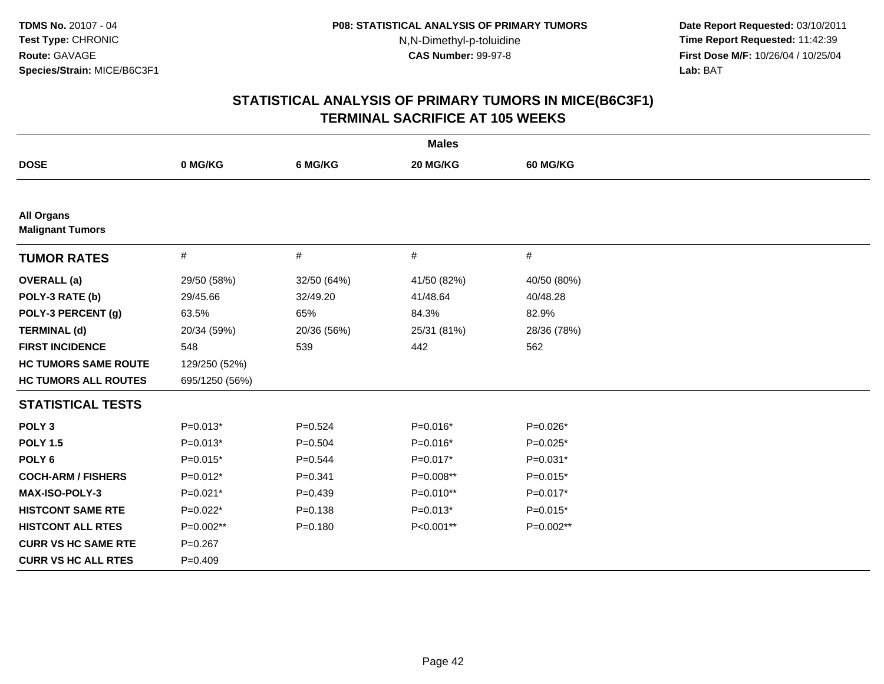**Date Report Requested:** 03/10/2011 **Time Report Requested:** 11:42:39 **First Dose M/F:** 10/26/04 / 10/25/04 Lab: BAT **Lab:** BAT

| <b>Males</b>                                 |                |             |             |             |  |
|----------------------------------------------|----------------|-------------|-------------|-------------|--|
| <b>DOSE</b>                                  | 0 MG/KG        | 6 MG/KG     | 20 MG/KG    | 60 MG/KG    |  |
|                                              |                |             |             |             |  |
| <b>All Organs</b><br><b>Malignant Tumors</b> |                |             |             |             |  |
| <b>TUMOR RATES</b>                           | $\#$           | $\#$        | #           | $\#$        |  |
| <b>OVERALL</b> (a)                           | 29/50 (58%)    | 32/50 (64%) | 41/50 (82%) | 40/50 (80%) |  |
| POLY-3 RATE (b)                              | 29/45.66       | 32/49.20    | 41/48.64    | 40/48.28    |  |
| POLY-3 PERCENT (g)                           | 63.5%          | 65%         | 84.3%       | 82.9%       |  |
| <b>TERMINAL (d)</b>                          | 20/34 (59%)    | 20/36 (56%) | 25/31 (81%) | 28/36 (78%) |  |
| <b>FIRST INCIDENCE</b>                       | 548            | 539         | 442         | 562         |  |
| <b>HC TUMORS SAME ROUTE</b>                  | 129/250 (52%)  |             |             |             |  |
| <b>HC TUMORS ALL ROUTES</b>                  | 695/1250 (56%) |             |             |             |  |
| <b>STATISTICAL TESTS</b>                     |                |             |             |             |  |
| POLY <sub>3</sub>                            | $P=0.013*$     | $P = 0.524$ | $P=0.016*$  | $P=0.026*$  |  |
| <b>POLY 1.5</b>                              | $P=0.013*$     | $P = 0.504$ | $P=0.016*$  | $P=0.025*$  |  |
| POLY <sub>6</sub>                            | $P=0.015*$     | $P = 0.544$ | $P=0.017*$  | $P=0.031*$  |  |
| <b>COCH-ARM / FISHERS</b>                    | $P=0.012*$     | $P = 0.341$ | P=0.008**   | $P=0.015*$  |  |
| <b>MAX-ISO-POLY-3</b>                        | $P=0.021*$     | $P = 0.439$ | P=0.010**   | $P=0.017*$  |  |
| <b>HISTCONT SAME RTE</b>                     | $P=0.022*$     | $P = 0.138$ | $P=0.013*$  | $P=0.015*$  |  |
| <b>HISTCONT ALL RTES</b>                     | P=0.002**      | $P = 0.180$ | P<0.001**   | P=0.002**   |  |
| <b>CURR VS HC SAME RTE</b>                   | $P = 0.267$    |             |             |             |  |
| <b>CURR VS HC ALL RTES</b>                   | $P=0.409$      |             |             |             |  |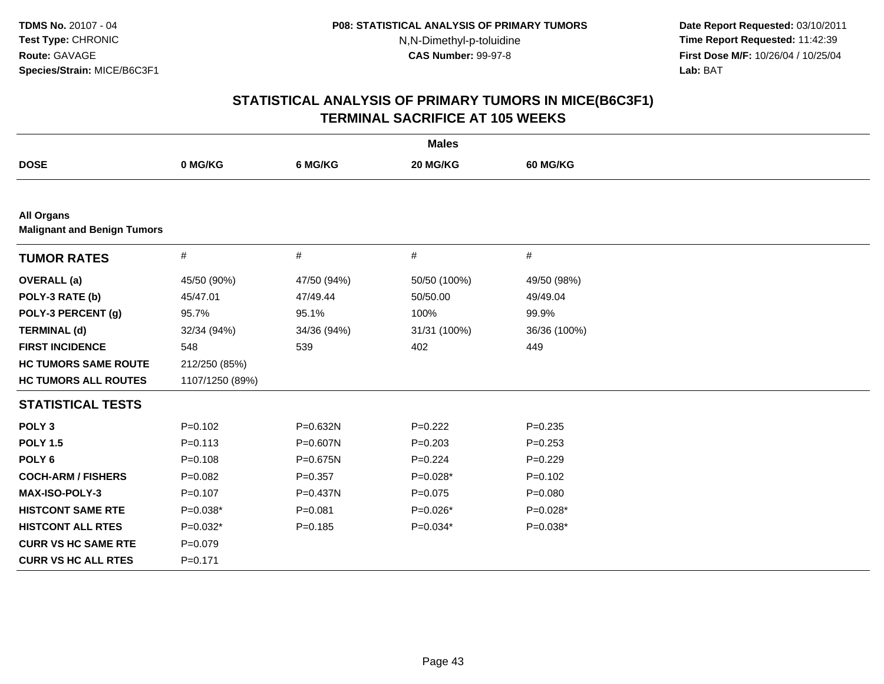**Date Report Requested:** 03/10/2011 **Time Report Requested:** 11:42:39 **First Dose M/F:** 10/26/04 / 10/25/04 Lab: BAT **Lab:** BAT

| <b>Males</b>                                            |                 |              |              |              |  |
|---------------------------------------------------------|-----------------|--------------|--------------|--------------|--|
| <b>DOSE</b>                                             | 0 MG/KG         | 6 MG/KG      | 20 MG/KG     | 60 MG/KG     |  |
|                                                         |                 |              |              |              |  |
| <b>All Organs</b><br><b>Malignant and Benign Tumors</b> |                 |              |              |              |  |
| <b>TUMOR RATES</b>                                      | $\#$            | $\#$         | #            | $\#$         |  |
| <b>OVERALL</b> (a)                                      | 45/50 (90%)     | 47/50 (94%)  | 50/50 (100%) | 49/50 (98%)  |  |
| POLY-3 RATE (b)                                         | 45/47.01        | 47/49.44     | 50/50.00     | 49/49.04     |  |
| POLY-3 PERCENT (g)                                      | 95.7%           | 95.1%        | 100%         | 99.9%        |  |
| <b>TERMINAL (d)</b>                                     | 32/34 (94%)     | 34/36 (94%)  | 31/31 (100%) | 36/36 (100%) |  |
| <b>FIRST INCIDENCE</b>                                  | 548             | 539          | 402          | 449          |  |
| <b>HC TUMORS SAME ROUTE</b>                             | 212/250 (85%)   |              |              |              |  |
| <b>HC TUMORS ALL ROUTES</b>                             | 1107/1250 (89%) |              |              |              |  |
| <b>STATISTICAL TESTS</b>                                |                 |              |              |              |  |
| POLY <sub>3</sub>                                       | $P=0.102$       | P=0.632N     | $P=0.222$    | $P = 0.235$  |  |
| <b>POLY 1.5</b>                                         | $P = 0.113$     | $P = 0.607N$ | $P = 0.203$  | $P = 0.253$  |  |
| POLY <sub>6</sub>                                       | $P = 0.108$     | P=0.675N     | $P=0.224$    | $P=0.229$    |  |
| <b>COCH-ARM / FISHERS</b>                               | $P=0.082$       | $P = 0.357$  | $P=0.028*$   | $P = 0.102$  |  |
| <b>MAX-ISO-POLY-3</b>                                   | $P=0.107$       | P=0.437N     | $P=0.075$    | $P = 0.080$  |  |
| <b>HISTCONT SAME RTE</b>                                | $P=0.038*$      | $P = 0.081$  | $P=0.026*$   | $P=0.028*$   |  |
| <b>HISTCONT ALL RTES</b>                                | $P=0.032*$      | $P=0.185$    | $P=0.034*$   | $P=0.038*$   |  |
| <b>CURR VS HC SAME RTE</b>                              | $P = 0.079$     |              |              |              |  |
| <b>CURR VS HC ALL RTES</b>                              | $P=0.171$       |              |              |              |  |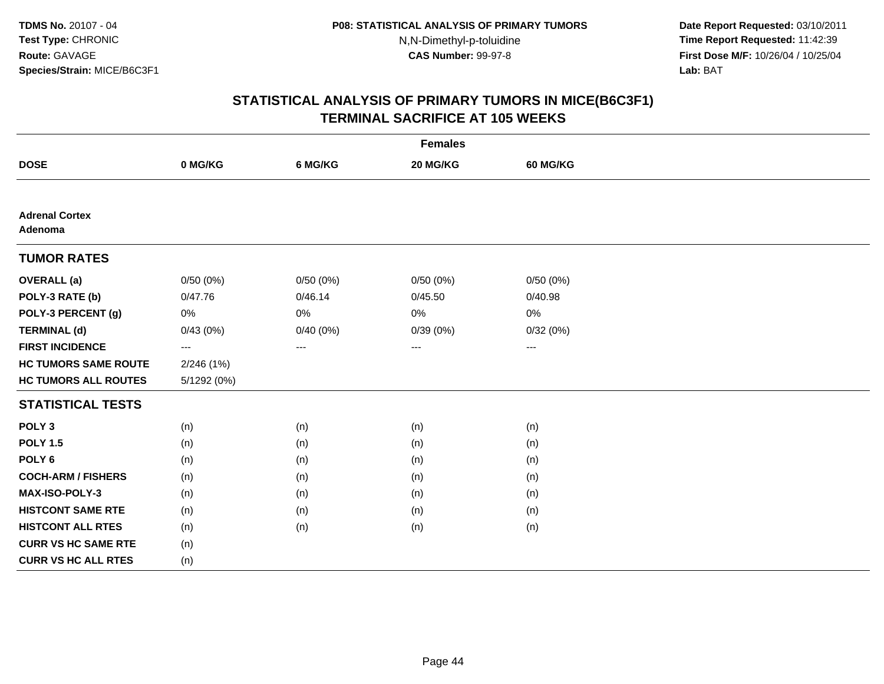**Date Report Requested:** 03/10/2011 **Time Report Requested:** 11:42:39 **First Dose M/F:** 10/26/04 / 10/25/04 Lab: BAT **Lab:** BAT

| <b>Females</b>                   |                     |          |          |                     |  |  |
|----------------------------------|---------------------|----------|----------|---------------------|--|--|
| <b>DOSE</b>                      | 0 MG/KG             | 6 MG/KG  | 20 MG/KG | <b>60 MG/KG</b>     |  |  |
|                                  |                     |          |          |                     |  |  |
| <b>Adrenal Cortex</b><br>Adenoma |                     |          |          |                     |  |  |
| <b>TUMOR RATES</b>               |                     |          |          |                     |  |  |
| <b>OVERALL</b> (a)               | 0/50(0%)            | 0/50(0%) | 0/50(0%) | 0/50(0%)            |  |  |
| POLY-3 RATE (b)                  | 0/47.76             | 0/46.14  | 0/45.50  | 0/40.98             |  |  |
| POLY-3 PERCENT (g)               | 0%                  | 0%       | 0%       | 0%                  |  |  |
| <b>TERMINAL (d)</b>              | 0/43(0%)            | 0/40(0%) | 0/39(0%) | 0/32(0%)            |  |  |
| <b>FIRST INCIDENCE</b>           | $\qquad \qquad - -$ | $---$    | ---      | $\qquad \qquad - -$ |  |  |
| <b>HC TUMORS SAME ROUTE</b>      | 2/246(1%)           |          |          |                     |  |  |
| <b>HC TUMORS ALL ROUTES</b>      | 5/1292 (0%)         |          |          |                     |  |  |
| <b>STATISTICAL TESTS</b>         |                     |          |          |                     |  |  |
| POLY <sub>3</sub>                | (n)                 | (n)      | (n)      | (n)                 |  |  |
| <b>POLY 1.5</b>                  | (n)                 | (n)      | (n)      | (n)                 |  |  |
| POLY <sub>6</sub>                | (n)                 | (n)      | (n)      | (n)                 |  |  |
| <b>COCH-ARM / FISHERS</b>        | (n)                 | (n)      | (n)      | (n)                 |  |  |
| <b>MAX-ISO-POLY-3</b>            | (n)                 | (n)      | (n)      | (n)                 |  |  |
| <b>HISTCONT SAME RTE</b>         | (n)                 | (n)      | (n)      | (n)                 |  |  |
| <b>HISTCONT ALL RTES</b>         | (n)                 | (n)      | (n)      | (n)                 |  |  |
| <b>CURR VS HC SAME RTE</b>       | (n)                 |          |          |                     |  |  |
| <b>CURR VS HC ALL RTES</b>       | (n)                 |          |          |                     |  |  |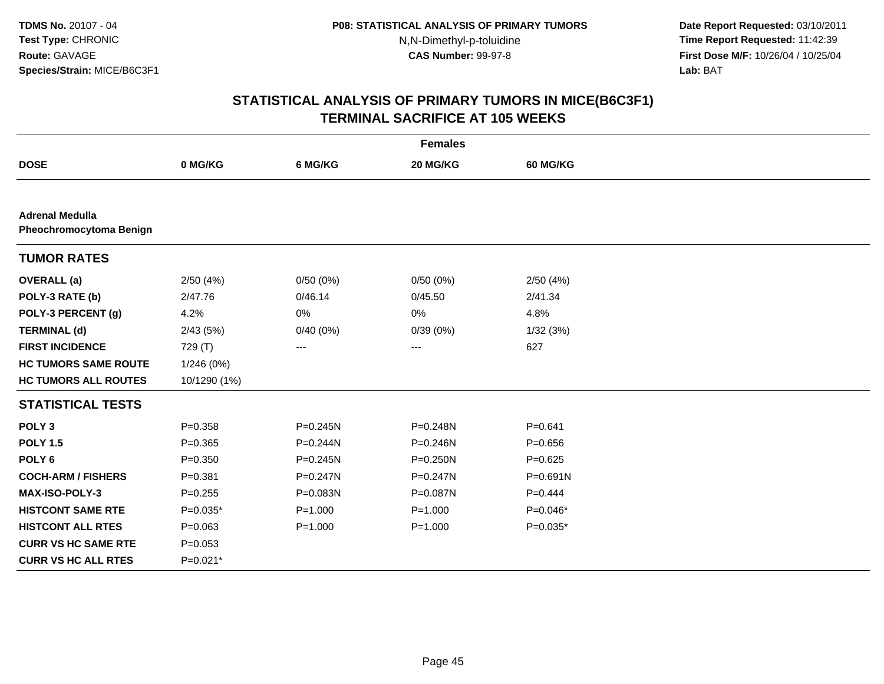**Date Report Requested:** 03/10/2011 **Time Report Requested:** 11:42:39 **First Dose M/F:** 10/26/04 / 10/25/04 Lab: BAT **Lab:** BAT

| <b>Females</b>                                    |              |              |              |                 |  |  |
|---------------------------------------------------|--------------|--------------|--------------|-----------------|--|--|
| <b>DOSE</b>                                       | 0 MG/KG      | 6 MG/KG      | 20 MG/KG     | <b>60 MG/KG</b> |  |  |
|                                                   |              |              |              |                 |  |  |
| <b>Adrenal Medulla</b><br>Pheochromocytoma Benign |              |              |              |                 |  |  |
| <b>TUMOR RATES</b>                                |              |              |              |                 |  |  |
| <b>OVERALL</b> (a)                                | 2/50(4%)     | 0/50(0%)     | 0/50(0%)     | 2/50(4%)        |  |  |
| POLY-3 RATE (b)                                   | 2/47.76      | 0/46.14      | 0/45.50      | 2/41.34         |  |  |
| POLY-3 PERCENT (g)                                | 4.2%         | 0%           | 0%           | 4.8%            |  |  |
| <b>TERMINAL (d)</b>                               | 2/43(5%)     | 0/40(0%)     | 0/39(0%)     | 1/32(3%)        |  |  |
| <b>FIRST INCIDENCE</b>                            | 729 (T)      | $\cdots$     | $\cdots$     | 627             |  |  |
| <b>HC TUMORS SAME ROUTE</b>                       | 1/246 (0%)   |              |              |                 |  |  |
| <b>HC TUMORS ALL ROUTES</b>                       | 10/1290 (1%) |              |              |                 |  |  |
| <b>STATISTICAL TESTS</b>                          |              |              |              |                 |  |  |
| POLY <sub>3</sub>                                 | $P = 0.358$  | $P = 0.245N$ | P=0.248N     | $P = 0.641$     |  |  |
| <b>POLY 1.5</b>                                   | $P = 0.365$  | $P = 0.244N$ | $P = 0.246N$ | $P = 0.656$     |  |  |
| POLY <sub>6</sub>                                 | $P = 0.350$  | $P = 0.245N$ | P=0.250N     | $P=0.625$       |  |  |
| <b>COCH-ARM / FISHERS</b>                         | $P = 0.381$  | $P = 0.247N$ | P=0.247N     | $P = 0.691N$    |  |  |
| <b>MAX-ISO-POLY-3</b>                             | $P=0.255$    | P=0.083N     | P=0.087N     | $P=0.444$       |  |  |
| <b>HISTCONT SAME RTE</b>                          | $P=0.035*$   | $P = 1.000$  | $P = 1.000$  | $P=0.046*$      |  |  |
| <b>HISTCONT ALL RTES</b>                          | $P = 0.063$  | $P = 1.000$  | $P = 1.000$  | $P=0.035*$      |  |  |
| <b>CURR VS HC SAME RTE</b>                        | $P = 0.053$  |              |              |                 |  |  |
| <b>CURR VS HC ALL RTES</b>                        | $P=0.021*$   |              |              |                 |  |  |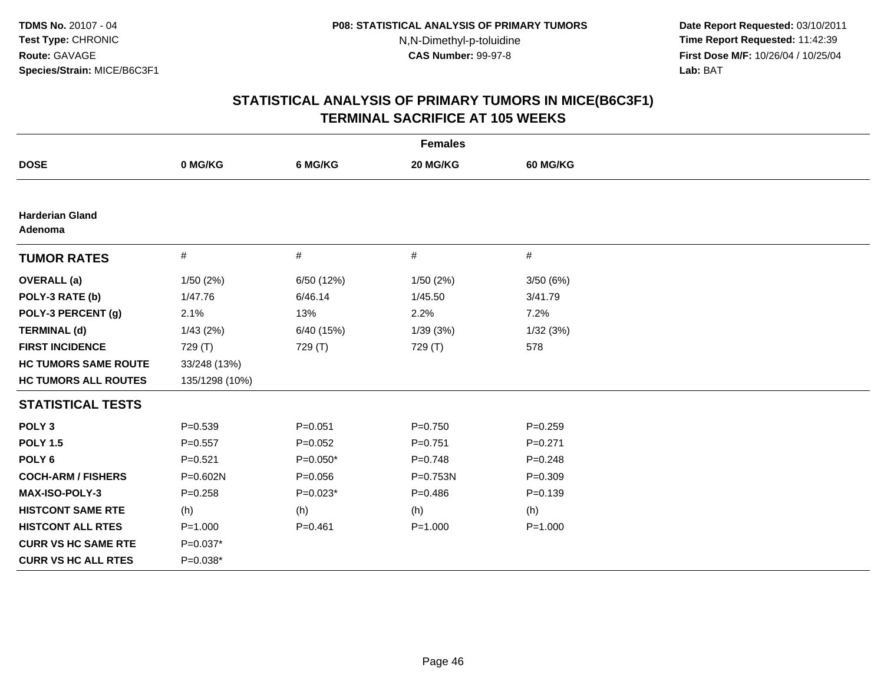**Date Report Requested:** 03/10/2011 **Time Report Requested:** 11:42:39 **First Dose M/F:** 10/26/04 / 10/25/04 Lab: BAT **Lab:** BAT

| <b>Females</b>                    |                |             |             |             |  |
|-----------------------------------|----------------|-------------|-------------|-------------|--|
| <b>DOSE</b>                       | 0 MG/KG        | 6 MG/KG     | 20 MG/KG    | 60 MG/KG    |  |
|                                   |                |             |             |             |  |
| <b>Harderian Gland</b><br>Adenoma |                |             |             |             |  |
| <b>TUMOR RATES</b>                | $\#$           | $\#$        | #           | #           |  |
| <b>OVERALL</b> (a)                | 1/50(2%)       | 6/50 (12%)  | 1/50 (2%)   | 3/50(6%)    |  |
| POLY-3 RATE (b)                   | 1/47.76        | 6/46.14     | 1/45.50     | 3/41.79     |  |
| POLY-3 PERCENT (g)                | 2.1%           | 13%         | 2.2%        | 7.2%        |  |
| <b>TERMINAL (d)</b>               | 1/43(2%)       | 6/40 (15%)  | 1/39(3%)    | 1/32(3%)    |  |
| <b>FIRST INCIDENCE</b>            | 729 (T)        | 729 (T)     | 729 (T)     | 578         |  |
| <b>HC TUMORS SAME ROUTE</b>       | 33/248 (13%)   |             |             |             |  |
| <b>HC TUMORS ALL ROUTES</b>       | 135/1298 (10%) |             |             |             |  |
| <b>STATISTICAL TESTS</b>          |                |             |             |             |  |
| POLY <sub>3</sub>                 | $P = 0.539$    | $P = 0.051$ | $P = 0.750$ | $P = 0.259$ |  |
| <b>POLY 1.5</b>                   | $P=0.557$      | $P=0.052$   | $P=0.751$   | $P = 0.271$ |  |
| POLY <sub>6</sub>                 | $P = 0.521$    | $P=0.050*$  | $P = 0.748$ | $P = 0.248$ |  |
| <b>COCH-ARM / FISHERS</b>         | P=0.602N       | $P = 0.056$ | P=0.753N    | $P = 0.309$ |  |
| MAX-ISO-POLY-3                    | $P = 0.258$    | $P=0.023*$  | $P = 0.486$ | $P = 0.139$ |  |
| <b>HISTCONT SAME RTE</b>          | (h)            | (h)         | (h)         | (h)         |  |
| <b>HISTCONT ALL RTES</b>          | $P = 1.000$    | $P = 0.461$ | $P = 1.000$ | $P = 1.000$ |  |
| <b>CURR VS HC SAME RTE</b>        | $P=0.037*$     |             |             |             |  |
| <b>CURR VS HC ALL RTES</b>        | $P=0.038*$     |             |             |             |  |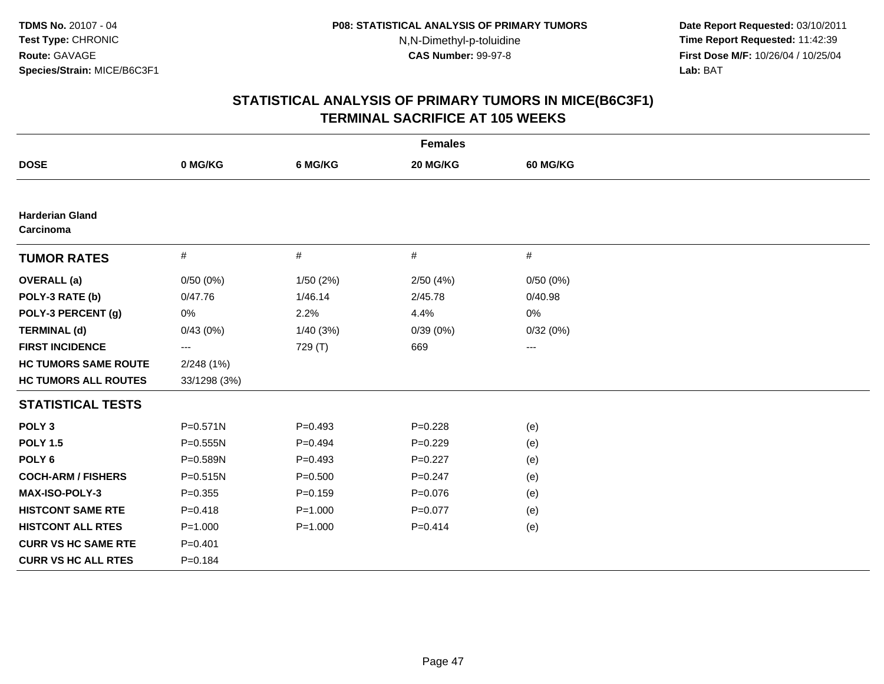**Date Report Requested:** 03/10/2011 **Time Report Requested:** 11:42:39 **First Dose M/F:** 10/26/04 / 10/25/04 Lab: BAT **Lab:** BAT

| <b>Females</b>                      |              |             |             |          |  |  |
|-------------------------------------|--------------|-------------|-------------|----------|--|--|
| <b>DOSE</b>                         | 0 MG/KG      | 6 MG/KG     | 20 MG/KG    | 60 MG/KG |  |  |
|                                     |              |             |             |          |  |  |
| <b>Harderian Gland</b><br>Carcinoma |              |             |             |          |  |  |
| <b>TUMOR RATES</b>                  | #            | #           | $\#$        | #        |  |  |
| <b>OVERALL</b> (a)                  | 0/50(0%)     | 1/50(2%)    | 2/50(4%)    | 0/50(0%) |  |  |
| POLY-3 RATE (b)                     | 0/47.76      | 1/46.14     | 2/45.78     | 0/40.98  |  |  |
| POLY-3 PERCENT (g)                  | 0%           | 2.2%        | 4.4%        | 0%       |  |  |
| <b>TERMINAL (d)</b>                 | 0/43(0%)     | 1/40(3%)    | 0/39(0%)    | 0/32(0%) |  |  |
| <b>FIRST INCIDENCE</b>              | ---          | 729 (T)     | 669         | $\cdots$ |  |  |
| <b>HC TUMORS SAME ROUTE</b>         | 2/248(1%)    |             |             |          |  |  |
| <b>HC TUMORS ALL ROUTES</b>         | 33/1298 (3%) |             |             |          |  |  |
| <b>STATISTICAL TESTS</b>            |              |             |             |          |  |  |
| POLY <sub>3</sub>                   | $P = 0.571N$ | $P = 0.493$ | $P = 0.228$ | (e)      |  |  |
| <b>POLY 1.5</b>                     | P=0.555N     | $P=0.494$   | $P=0.229$   | (e)      |  |  |
| POLY <sub>6</sub>                   | P=0.589N     | $P = 0.493$ | $P=0.227$   | (e)      |  |  |
| <b>COCH-ARM / FISHERS</b>           | $P = 0.515N$ | $P = 0.500$ | $P=0.247$   | (e)      |  |  |
| <b>MAX-ISO-POLY-3</b>               | $P = 0.355$  | $P = 0.159$ | $P=0.076$   | (e)      |  |  |
| <b>HISTCONT SAME RTE</b>            | $P = 0.418$  | $P = 1.000$ | $P=0.077$   | (e)      |  |  |
| <b>HISTCONT ALL RTES</b>            | $P = 1.000$  | $P = 1.000$ | $P = 0.414$ | (e)      |  |  |
| <b>CURR VS HC SAME RTE</b>          | $P = 0.401$  |             |             |          |  |  |
| <b>CURR VS HC ALL RTES</b>          | $P = 0.184$  |             |             |          |  |  |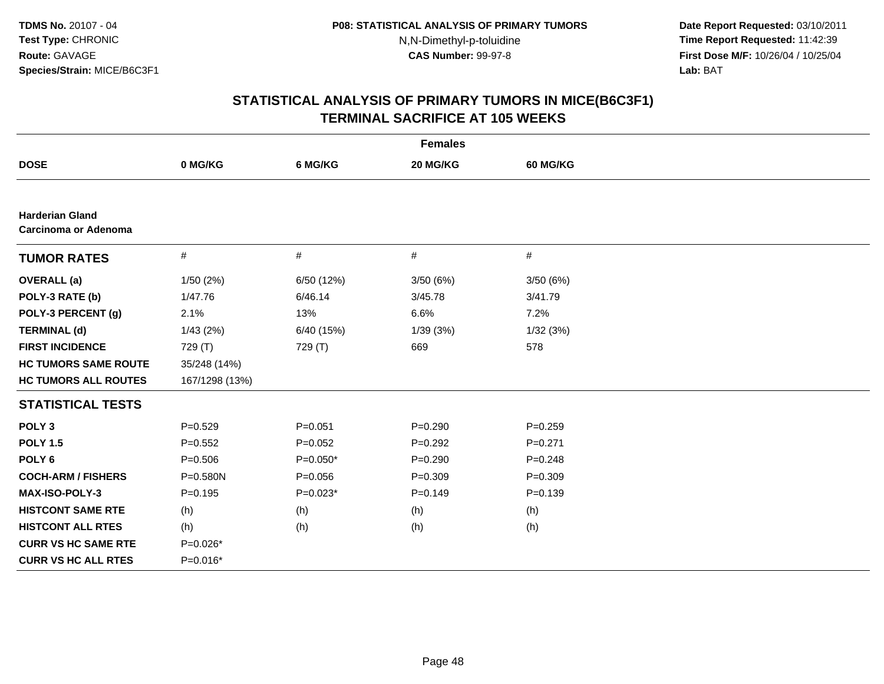**Date Report Requested:** 03/10/2011 **Time Report Requested:** 11:42:39 **First Dose M/F:** 10/26/04 / 10/25/04 Lab: BAT **Lab:** BAT

| <b>Females</b>                                 |                |             |             |             |  |  |  |  |
|------------------------------------------------|----------------|-------------|-------------|-------------|--|--|--|--|
| <b>DOSE</b>                                    | 0 MG/KG        | 6 MG/KG     | 20 MG/KG    | 60 MG/KG    |  |  |  |  |
|                                                |                |             |             |             |  |  |  |  |
| <b>Harderian Gland</b><br>Carcinoma or Adenoma |                |             |             |             |  |  |  |  |
| <b>TUMOR RATES</b>                             | #              | #           | #           | $\#$        |  |  |  |  |
| <b>OVERALL</b> (a)                             | 1/50 (2%)      | 6/50 (12%)  | 3/50(6%)    | 3/50(6%)    |  |  |  |  |
| POLY-3 RATE (b)                                | 1/47.76        | 6/46.14     | 3/45.78     | 3/41.79     |  |  |  |  |
| POLY-3 PERCENT (g)                             | 2.1%           | 13%         | 6.6%        | 7.2%        |  |  |  |  |
| <b>TERMINAL (d)</b>                            | 1/43(2%)       | 6/40 (15%)  | 1/39(3%)    | 1/32(3%)    |  |  |  |  |
| <b>FIRST INCIDENCE</b>                         | 729 (T)        | 729 (T)     | 669         | 578         |  |  |  |  |
| <b>HC TUMORS SAME ROUTE</b>                    | 35/248 (14%)   |             |             |             |  |  |  |  |
| <b>HC TUMORS ALL ROUTES</b>                    | 167/1298 (13%) |             |             |             |  |  |  |  |
| <b>STATISTICAL TESTS</b>                       |                |             |             |             |  |  |  |  |
| POLY <sub>3</sub>                              | $P=0.529$      | $P = 0.051$ | $P=0.290$   | $P = 0.259$ |  |  |  |  |
| <b>POLY 1.5</b>                                | $P=0.552$      | $P=0.052$   | $P=0.292$   | $P = 0.271$ |  |  |  |  |
| POLY <sub>6</sub>                              | $P = 0.506$    | $P=0.050*$  | $P=0.290$   | $P = 0.248$ |  |  |  |  |
| <b>COCH-ARM / FISHERS</b>                      | P=0.580N       | $P = 0.056$ | $P = 0.309$ | $P = 0.309$ |  |  |  |  |
| <b>MAX-ISO-POLY-3</b>                          | $P = 0.195$    | $P=0.023*$  | $P=0.149$   | $P = 0.139$ |  |  |  |  |
| <b>HISTCONT SAME RTE</b>                       | (h)            | (h)         | (h)         | (h)         |  |  |  |  |
| <b>HISTCONT ALL RTES</b>                       | (h)            | (h)         | (h)         | (h)         |  |  |  |  |
| <b>CURR VS HC SAME RTE</b>                     | $P=0.026*$     |             |             |             |  |  |  |  |
| <b>CURR VS HC ALL RTES</b>                     | P=0.016*       |             |             |             |  |  |  |  |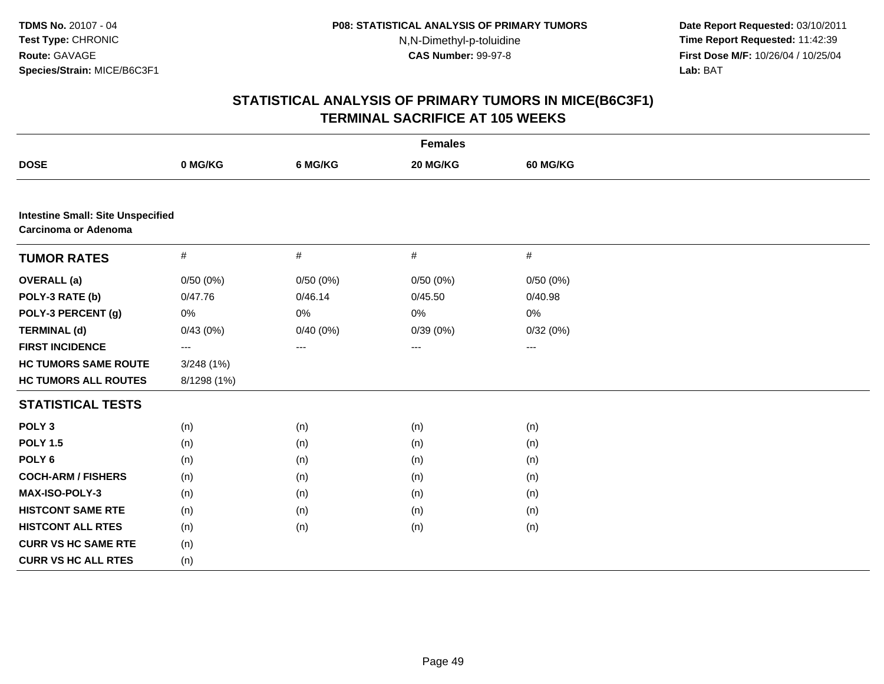**Date Report Requested:** 03/10/2011 **Time Report Requested:** 11:42:39 **First Dose M/F:** 10/26/04 / 10/25/04 Lab: BAT **Lab:** BAT

|                                                                         | <b>Females</b> |          |                        |                 |  |  |  |  |
|-------------------------------------------------------------------------|----------------|----------|------------------------|-----------------|--|--|--|--|
| <b>DOSE</b>                                                             | 0 MG/KG        | 6 MG/KG  | 20 MG/KG               | <b>60 MG/KG</b> |  |  |  |  |
|                                                                         |                |          |                        |                 |  |  |  |  |
| <b>Intestine Small: Site Unspecified</b><br><b>Carcinoma or Adenoma</b> |                |          |                        |                 |  |  |  |  |
| <b>TUMOR RATES</b>                                                      | $\#$           | $\#$     | $\#$                   | $\#$            |  |  |  |  |
| <b>OVERALL</b> (a)                                                      | 0/50(0%)       | 0/50(0%) | 0/50(0%)               | 0/50(0%)        |  |  |  |  |
| POLY-3 RATE (b)                                                         | 0/47.76        | 0/46.14  | 0/45.50                | 0/40.98         |  |  |  |  |
| POLY-3 PERCENT (g)                                                      | 0%             | $0\%$    | 0%                     | 0%              |  |  |  |  |
| <b>TERMINAL (d)</b>                                                     | 0/43(0%)       | 0/40(0%) | 0/39(0%)               | 0/32(0%)        |  |  |  |  |
| <b>FIRST INCIDENCE</b>                                                  | ---            | $---$    | $\qquad \qquad \cdots$ | $--$            |  |  |  |  |
| <b>HC TUMORS SAME ROUTE</b>                                             | 3/248(1%)      |          |                        |                 |  |  |  |  |
| <b>HC TUMORS ALL ROUTES</b>                                             | 8/1298 (1%)    |          |                        |                 |  |  |  |  |
| <b>STATISTICAL TESTS</b>                                                |                |          |                        |                 |  |  |  |  |
| POLY <sub>3</sub>                                                       | (n)            | (n)      | (n)                    | (n)             |  |  |  |  |
| <b>POLY 1.5</b>                                                         | (n)            | (n)      | (n)                    | (n)             |  |  |  |  |
| POLY <sub>6</sub>                                                       | (n)            | (n)      | (n)                    | (n)             |  |  |  |  |
| <b>COCH-ARM / FISHERS</b>                                               | (n)            | (n)      | (n)                    | (n)             |  |  |  |  |
| MAX-ISO-POLY-3                                                          | (n)            | (n)      | (n)                    | (n)             |  |  |  |  |
| <b>HISTCONT SAME RTE</b>                                                | (n)            | (n)      | (n)                    | (n)             |  |  |  |  |
| <b>HISTCONT ALL RTES</b>                                                | (n)            | (n)      | (n)                    | (n)             |  |  |  |  |
| <b>CURR VS HC SAME RTE</b>                                              | (n)            |          |                        |                 |  |  |  |  |
| <b>CURR VS HC ALL RTES</b>                                              | (n)            |          |                        |                 |  |  |  |  |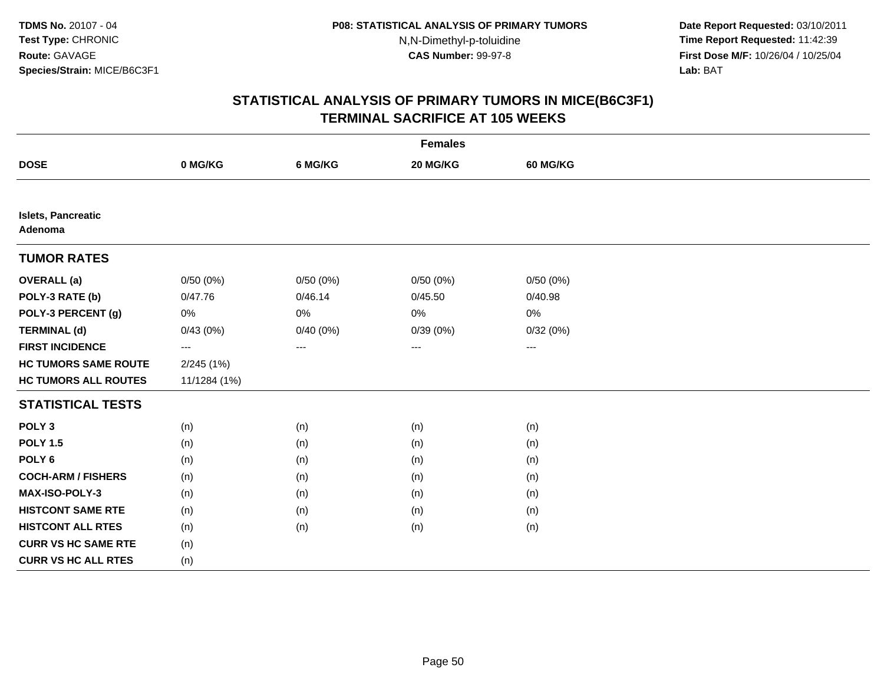**Date Report Requested:** 03/10/2011 **Time Report Requested:** 11:42:39 **First Dose M/F:** 10/26/04 / 10/25/04 Lab: BAT **Lab:** BAT

|                                      | <b>Females</b> |             |          |                          |  |  |  |  |
|--------------------------------------|----------------|-------------|----------|--------------------------|--|--|--|--|
| <b>DOSE</b>                          | 0 MG/KG        | 6 MG/KG     | 20 MG/KG | <b>60 MG/KG</b>          |  |  |  |  |
|                                      |                |             |          |                          |  |  |  |  |
| <b>Islets, Pancreatic</b><br>Adenoma |                |             |          |                          |  |  |  |  |
| <b>TUMOR RATES</b>                   |                |             |          |                          |  |  |  |  |
| <b>OVERALL</b> (a)                   | 0/50(0%)       | 0/50(0%)    | 0/50(0%) | 0/50(0%)                 |  |  |  |  |
| POLY-3 RATE (b)                      | 0/47.76        | 0/46.14     | 0/45.50  | 0/40.98                  |  |  |  |  |
| POLY-3 PERCENT (g)                   | 0%             | 0%          | 0%       | 0%                       |  |  |  |  |
| <b>TERMINAL (d)</b>                  | 0/43(0%)       | $0/40(0\%)$ | 0/39(0%) | 0/32(0%)                 |  |  |  |  |
| <b>FIRST INCIDENCE</b>               | $\cdots$       | ---         | $--$     | $\hspace{0.05cm} \ldots$ |  |  |  |  |
| <b>HC TUMORS SAME ROUTE</b>          | 2/245(1%)      |             |          |                          |  |  |  |  |
| <b>HC TUMORS ALL ROUTES</b>          | 11/1284 (1%)   |             |          |                          |  |  |  |  |
| <b>STATISTICAL TESTS</b>             |                |             |          |                          |  |  |  |  |
| POLY <sub>3</sub>                    | (n)            | (n)         | (n)      | (n)                      |  |  |  |  |
| <b>POLY 1.5</b>                      | (n)            | (n)         | (n)      | (n)                      |  |  |  |  |
| POLY <sub>6</sub>                    | (n)            | (n)         | (n)      | (n)                      |  |  |  |  |
| <b>COCH-ARM / FISHERS</b>            | (n)            | (n)         | (n)      | (n)                      |  |  |  |  |
| MAX-ISO-POLY-3                       | (n)            | (n)         | (n)      | (n)                      |  |  |  |  |
| <b>HISTCONT SAME RTE</b>             | (n)            | (n)         | (n)      | (n)                      |  |  |  |  |
| <b>HISTCONT ALL RTES</b>             | (n)            | (n)         | (n)      | (n)                      |  |  |  |  |
| <b>CURR VS HC SAME RTE</b>           | (n)            |             |          |                          |  |  |  |  |
| <b>CURR VS HC ALL RTES</b>           | (n)            |             |          |                          |  |  |  |  |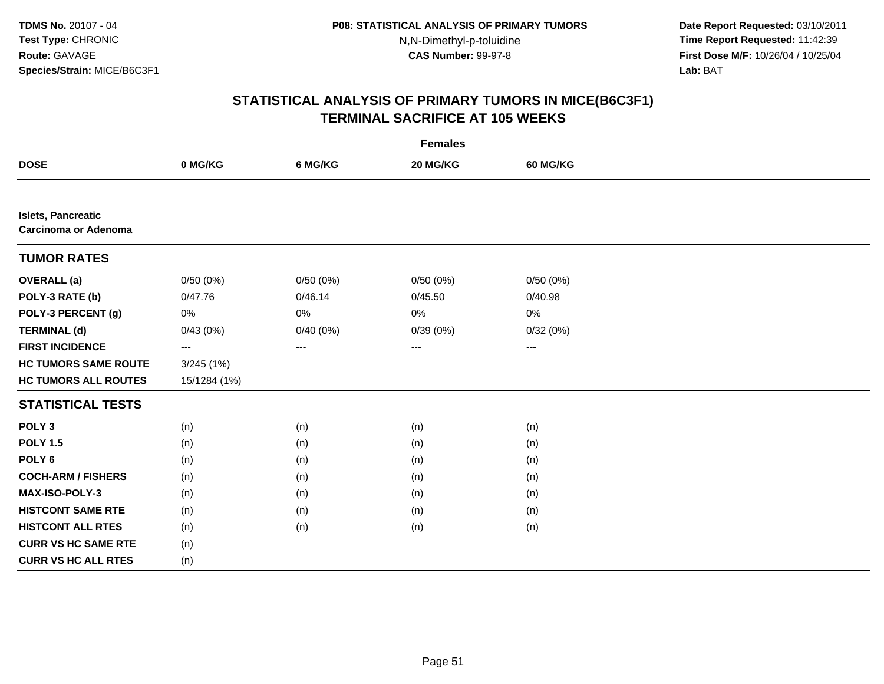**Date Report Requested:** 03/10/2011 **Time Report Requested:** 11:42:39 **First Dose M/F:** 10/26/04 / 10/25/04 Lab: BAT **Lab:** BAT

|                                                          | <b>Females</b> |          |          |                 |  |  |  |  |
|----------------------------------------------------------|----------------|----------|----------|-----------------|--|--|--|--|
| <b>DOSE</b>                                              | 0 MG/KG        | 6 MG/KG  | 20 MG/KG | <b>60 MG/KG</b> |  |  |  |  |
|                                                          |                |          |          |                 |  |  |  |  |
| <b>Islets, Pancreatic</b><br><b>Carcinoma or Adenoma</b> |                |          |          |                 |  |  |  |  |
| <b>TUMOR RATES</b>                                       |                |          |          |                 |  |  |  |  |
| <b>OVERALL</b> (a)                                       | 0/50(0%)       | 0/50(0%) | 0/50(0%) | 0/50(0%)        |  |  |  |  |
| POLY-3 RATE (b)                                          | 0/47.76        | 0/46.14  | 0/45.50  | 0/40.98         |  |  |  |  |
| POLY-3 PERCENT (g)                                       | 0%             | 0%       | $0\%$    | 0%              |  |  |  |  |
| <b>TERMINAL (d)</b>                                      | 0/43(0%)       | 0/40(0%) | 0/39(0%) | 0/32(0%)        |  |  |  |  |
| <b>FIRST INCIDENCE</b>                                   | ---            | ---      | ---      | ---             |  |  |  |  |
| <b>HC TUMORS SAME ROUTE</b>                              | 3/245(1%)      |          |          |                 |  |  |  |  |
| <b>HC TUMORS ALL ROUTES</b>                              | 15/1284 (1%)   |          |          |                 |  |  |  |  |
| <b>STATISTICAL TESTS</b>                                 |                |          |          |                 |  |  |  |  |
| POLY <sub>3</sub>                                        | (n)            | (n)      | (n)      | (n)             |  |  |  |  |
| <b>POLY 1.5</b>                                          | (n)            | (n)      | (n)      | (n)             |  |  |  |  |
| POLY <sub>6</sub>                                        | (n)            | (n)      | (n)      | (n)             |  |  |  |  |
| <b>COCH-ARM / FISHERS</b>                                | (n)            | (n)      | (n)      | (n)             |  |  |  |  |
| MAX-ISO-POLY-3                                           | (n)            | (n)      | (n)      | (n)             |  |  |  |  |
| <b>HISTCONT SAME RTE</b>                                 | (n)            | (n)      | (n)      | (n)             |  |  |  |  |
| <b>HISTCONT ALL RTES</b>                                 | (n)            | (n)      | (n)      | (n)             |  |  |  |  |
| <b>CURR VS HC SAME RTE</b>                               | (n)            |          |          |                 |  |  |  |  |
| <b>CURR VS HC ALL RTES</b>                               | (n)            |          |          |                 |  |  |  |  |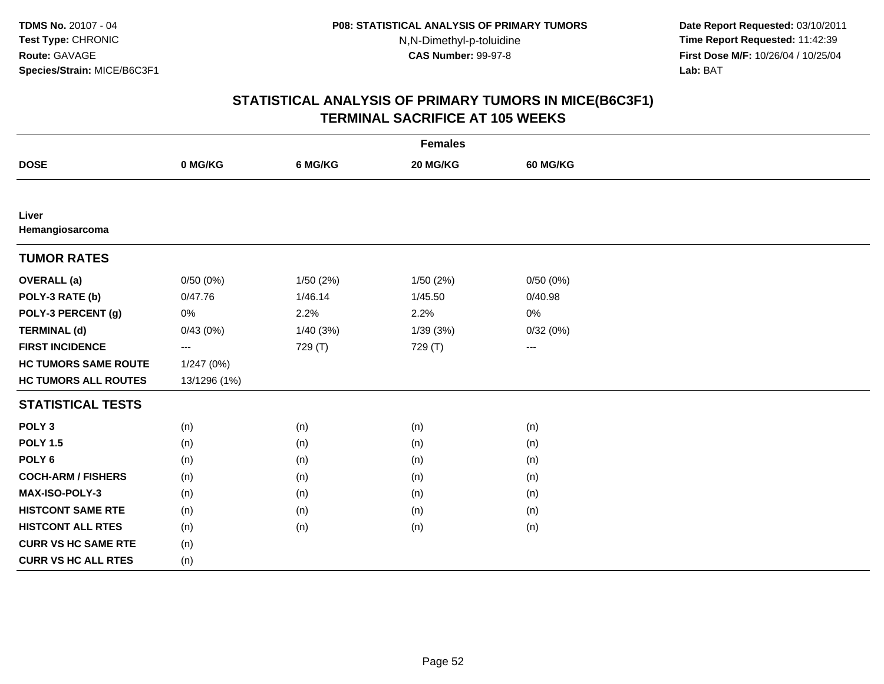**Date Report Requested:** 03/10/2011 **Time Report Requested:** 11:42:39 **First Dose M/F:** 10/26/04 / 10/25/04 Lab: BAT **Lab:** BAT

|                             | <b>Females</b>         |          |           |                 |  |  |  |  |
|-----------------------------|------------------------|----------|-----------|-----------------|--|--|--|--|
| <b>DOSE</b>                 | 0 MG/KG                | 6 MG/KG  | 20 MG/KG  | <b>60 MG/KG</b> |  |  |  |  |
|                             |                        |          |           |                 |  |  |  |  |
| Liver<br>Hemangiosarcoma    |                        |          |           |                 |  |  |  |  |
| <b>TUMOR RATES</b>          |                        |          |           |                 |  |  |  |  |
| <b>OVERALL</b> (a)          | 0/50(0%)               | 1/50(2%) | 1/50 (2%) | 0/50(0%)        |  |  |  |  |
| POLY-3 RATE (b)             | 0/47.76                | 1/46.14  | 1/45.50   | 0/40.98         |  |  |  |  |
| POLY-3 PERCENT (g)          | 0%                     | 2.2%     | 2.2%      | 0%              |  |  |  |  |
| <b>TERMINAL (d)</b>         | 0/43(0%)               | 1/40(3%) | 1/39(3%)  | 0/32(0%)        |  |  |  |  |
| <b>FIRST INCIDENCE</b>      | $\qquad \qquad \cdots$ | 729 (T)  | 729 (T)   | $\cdots$        |  |  |  |  |
| <b>HC TUMORS SAME ROUTE</b> | 1/247 (0%)             |          |           |                 |  |  |  |  |
| <b>HC TUMORS ALL ROUTES</b> | 13/1296 (1%)           |          |           |                 |  |  |  |  |
| <b>STATISTICAL TESTS</b>    |                        |          |           |                 |  |  |  |  |
| POLY <sub>3</sub>           | (n)                    | (n)      | (n)       | (n)             |  |  |  |  |
| <b>POLY 1.5</b>             | (n)                    | (n)      | (n)       | (n)             |  |  |  |  |
| POLY <sub>6</sub>           | (n)                    | (n)      | (n)       | (n)             |  |  |  |  |
| <b>COCH-ARM / FISHERS</b>   | (n)                    | (n)      | (n)       | (n)             |  |  |  |  |
| MAX-ISO-POLY-3              | (n)                    | (n)      | (n)       | (n)             |  |  |  |  |
| <b>HISTCONT SAME RTE</b>    | (n)                    | (n)      | (n)       | (n)             |  |  |  |  |
| <b>HISTCONT ALL RTES</b>    | (n)                    | (n)      | (n)       | (n)             |  |  |  |  |
| <b>CURR VS HC SAME RTE</b>  | (n)                    |          |           |                 |  |  |  |  |
| <b>CURR VS HC ALL RTES</b>  | (n)                    |          |           |                 |  |  |  |  |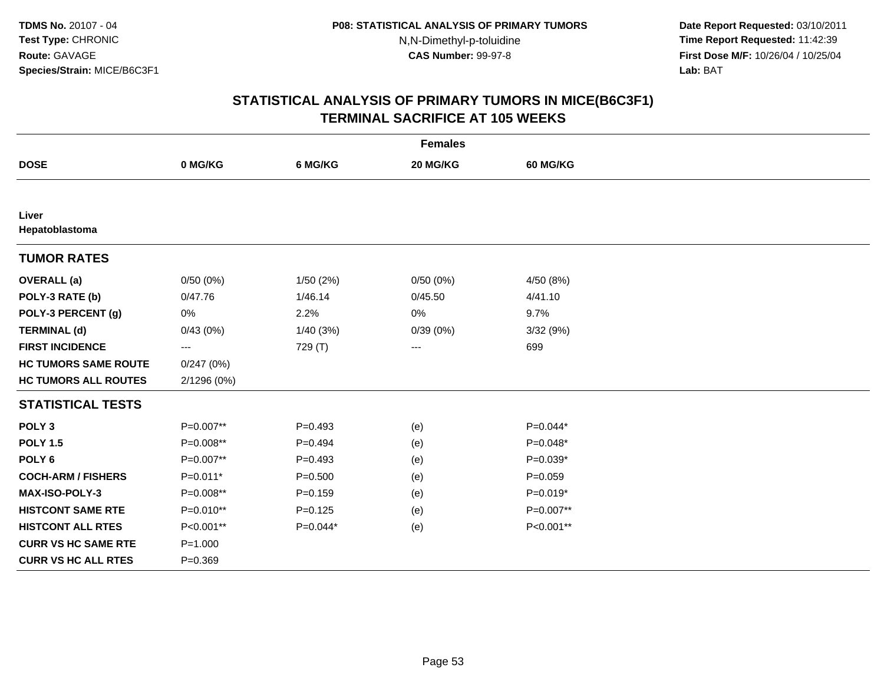**Date Report Requested:** 03/10/2011 **Time Report Requested:** 11:42:39 **First Dose M/F:** 10/26/04 / 10/25/04 Lab: BAT **Lab:** BAT

| <b>Females</b>              |             |             |          |             |  |  |  |
|-----------------------------|-------------|-------------|----------|-------------|--|--|--|
| <b>DOSE</b>                 | 0 MG/KG     | 6 MG/KG     | 20 MG/KG | 60 MG/KG    |  |  |  |
|                             |             |             |          |             |  |  |  |
| Liver<br>Hepatoblastoma     |             |             |          |             |  |  |  |
| <b>TUMOR RATES</b>          |             |             |          |             |  |  |  |
| <b>OVERALL</b> (a)          | 0/50(0%)    | 1/50(2%)    | 0/50(0%) | 4/50 (8%)   |  |  |  |
| POLY-3 RATE (b)             | 0/47.76     | 1/46.14     | 0/45.50  | 4/41.10     |  |  |  |
| POLY-3 PERCENT (g)          | $0\%$       | 2.2%        | 0%       | 9.7%        |  |  |  |
| <b>TERMINAL (d)</b>         | 0/43(0%)    | 1/40(3%)    | 0/39(0%) | 3/32(9%)    |  |  |  |
| <b>FIRST INCIDENCE</b>      | $--$        | 729 (T)     | $--$     | 699         |  |  |  |
| <b>HC TUMORS SAME ROUTE</b> | 0/247(0%)   |             |          |             |  |  |  |
| <b>HC TUMORS ALL ROUTES</b> | 2/1296 (0%) |             |          |             |  |  |  |
| <b>STATISTICAL TESTS</b>    |             |             |          |             |  |  |  |
| POLY <sub>3</sub>           | P=0.007**   | $P=0.493$   | (e)      | $P=0.044*$  |  |  |  |
| <b>POLY 1.5</b>             | P=0.008**   | $P=0.494$   | (e)      | $P=0.048*$  |  |  |  |
| POLY <sub>6</sub>           | P=0.007**   | $P=0.493$   | (e)      | $P=0.039*$  |  |  |  |
| <b>COCH-ARM / FISHERS</b>   | P=0.011*    | $P = 0.500$ | (e)      | $P = 0.059$ |  |  |  |
| MAX-ISO-POLY-3              | P=0.008**   | $P = 0.159$ | (e)      | $P=0.019*$  |  |  |  |
| <b>HISTCONT SAME RTE</b>    | P=0.010**   | $P=0.125$   | (e)      | P=0.007**   |  |  |  |
| <b>HISTCONT ALL RTES</b>    | P<0.001**   | $P=0.044*$  | (e)      | P<0.001**   |  |  |  |
| <b>CURR VS HC SAME RTE</b>  | $P = 1.000$ |             |          |             |  |  |  |
| <b>CURR VS HC ALL RTES</b>  | $P = 0.369$ |             |          |             |  |  |  |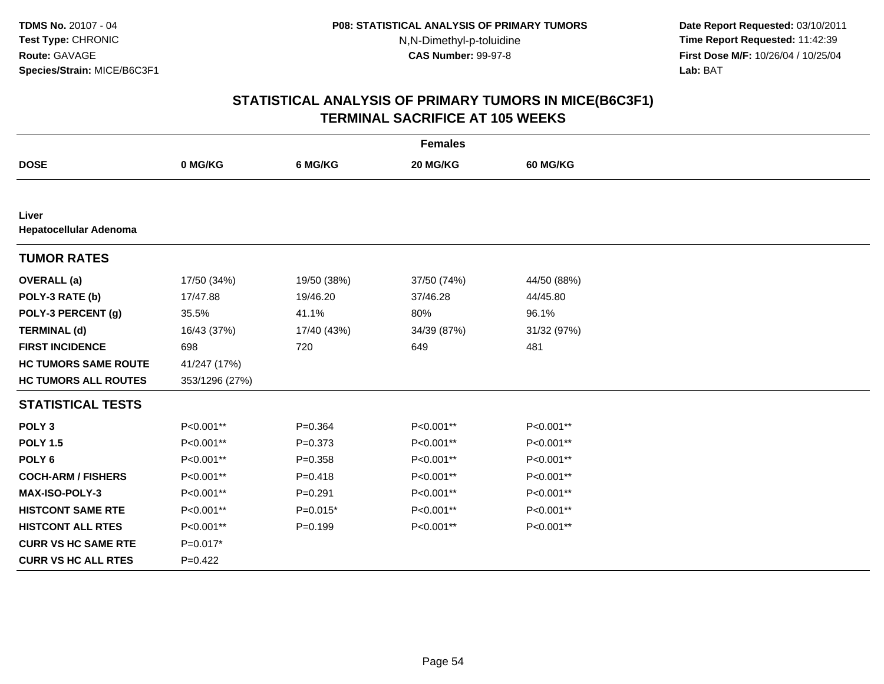**Date Report Requested:** 03/10/2011 **Time Report Requested:** 11:42:39 **First Dose M/F:** 10/26/04 / 10/25/04 Lab: BAT **Lab:** BAT

| <b>Females</b>                  |                |             |             |                 |  |  |  |
|---------------------------------|----------------|-------------|-------------|-----------------|--|--|--|
| <b>DOSE</b>                     | 0 MG/KG        | 6 MG/KG     | 20 MG/KG    | <b>60 MG/KG</b> |  |  |  |
|                                 |                |             |             |                 |  |  |  |
| Liver<br>Hepatocellular Adenoma |                |             |             |                 |  |  |  |
| <b>TUMOR RATES</b>              |                |             |             |                 |  |  |  |
| <b>OVERALL</b> (a)              | 17/50 (34%)    | 19/50 (38%) | 37/50 (74%) | 44/50 (88%)     |  |  |  |
| POLY-3 RATE (b)                 | 17/47.88       | 19/46.20    | 37/46.28    | 44/45.80        |  |  |  |
| POLY-3 PERCENT (g)              | 35.5%          | 41.1%       | 80%         | 96.1%           |  |  |  |
| <b>TERMINAL (d)</b>             | 16/43 (37%)    | 17/40 (43%) | 34/39 (87%) | 31/32 (97%)     |  |  |  |
| <b>FIRST INCIDENCE</b>          | 698            | 720         | 649         | 481             |  |  |  |
| <b>HC TUMORS SAME ROUTE</b>     | 41/247 (17%)   |             |             |                 |  |  |  |
| <b>HC TUMORS ALL ROUTES</b>     | 353/1296 (27%) |             |             |                 |  |  |  |
| <b>STATISTICAL TESTS</b>        |                |             |             |                 |  |  |  |
| POLY <sub>3</sub>               | P<0.001**      | $P = 0.364$ | P<0.001**   | P<0.001**       |  |  |  |
| <b>POLY 1.5</b>                 | P<0.001**      | $P = 0.373$ | P<0.001**   | P<0.001**       |  |  |  |
| POLY <sub>6</sub>               | P<0.001**      | $P = 0.358$ | P<0.001**   | P<0.001**       |  |  |  |
| <b>COCH-ARM / FISHERS</b>       | P<0.001**      | $P = 0.418$ | P<0.001**   | P<0.001**       |  |  |  |
| <b>MAX-ISO-POLY-3</b>           | P<0.001**      | $P = 0.291$ | P<0.001**   | P<0.001**       |  |  |  |
| <b>HISTCONT SAME RTE</b>        | P<0.001**      | $P=0.015*$  | P<0.001**   | P<0.001**       |  |  |  |
| <b>HISTCONT ALL RTES</b>        | P<0.001**      | $P = 0.199$ | P<0.001**   | P<0.001**       |  |  |  |
| <b>CURR VS HC SAME RTE</b>      | $P=0.017*$     |             |             |                 |  |  |  |
| <b>CURR VS HC ALL RTES</b>      | $P=0.422$      |             |             |                 |  |  |  |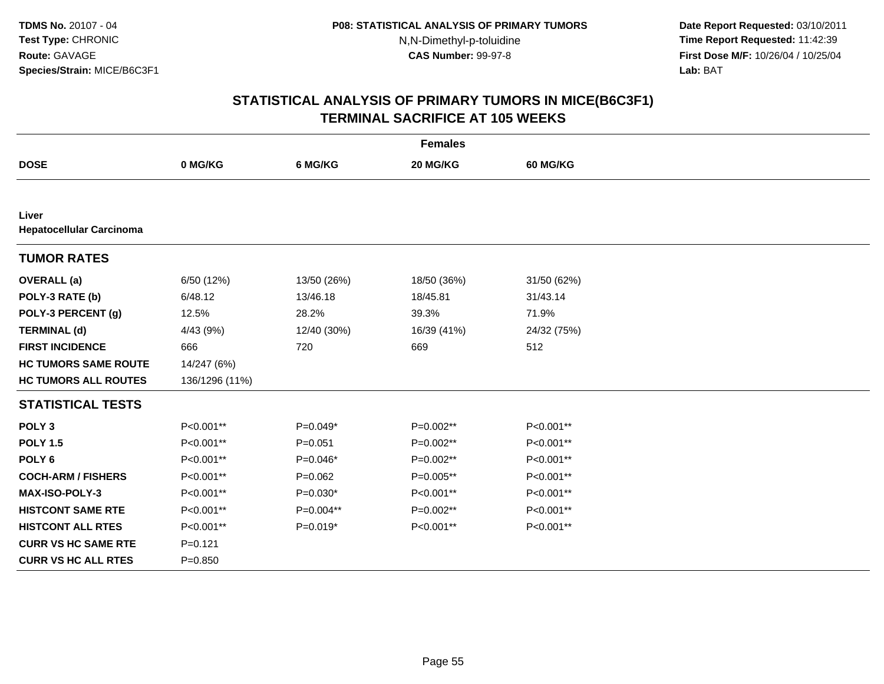**Date Report Requested:** 03/10/2011 **Time Report Requested:** 11:42:39 **First Dose M/F:** 10/26/04 / 10/25/04 Lab: BAT **Lab:** BAT

| <b>Females</b>                           |                |             |             |                 |  |  |  |
|------------------------------------------|----------------|-------------|-------------|-----------------|--|--|--|
| <b>DOSE</b>                              | 0 MG/KG        | 6 MG/KG     | 20 MG/KG    | <b>60 MG/KG</b> |  |  |  |
|                                          |                |             |             |                 |  |  |  |
| Liver<br><b>Hepatocellular Carcinoma</b> |                |             |             |                 |  |  |  |
| <b>TUMOR RATES</b>                       |                |             |             |                 |  |  |  |
| <b>OVERALL</b> (a)                       | 6/50 (12%)     | 13/50 (26%) | 18/50 (36%) | 31/50 (62%)     |  |  |  |
| POLY-3 RATE (b)                          | 6/48.12        | 13/46.18    | 18/45.81    | 31/43.14        |  |  |  |
| POLY-3 PERCENT (g)                       | 12.5%          | 28.2%       | 39.3%       | 71.9%           |  |  |  |
| <b>TERMINAL (d)</b>                      | 4/43 (9%)      | 12/40 (30%) | 16/39 (41%) | 24/32 (75%)     |  |  |  |
| <b>FIRST INCIDENCE</b>                   | 666            | 720         | 669         | 512             |  |  |  |
| <b>HC TUMORS SAME ROUTE</b>              | 14/247 (6%)    |             |             |                 |  |  |  |
| <b>HC TUMORS ALL ROUTES</b>              | 136/1296 (11%) |             |             |                 |  |  |  |
| <b>STATISTICAL TESTS</b>                 |                |             |             |                 |  |  |  |
| POLY <sub>3</sub>                        | P<0.001**      | P=0.049*    | P=0.002**   | P<0.001**       |  |  |  |
| <b>POLY 1.5</b>                          | P<0.001**      | $P = 0.051$ | P=0.002**   | P<0.001**       |  |  |  |
| POLY <sub>6</sub>                        | P<0.001**      | $P=0.046*$  | P=0.002**   | P<0.001**       |  |  |  |
| <b>COCH-ARM / FISHERS</b>                | P<0.001**      | $P=0.062$   | $P=0.005**$ | P<0.001**       |  |  |  |
| MAX-ISO-POLY-3                           | P<0.001**      | $P=0.030*$  | P<0.001**   | P<0.001**       |  |  |  |
| <b>HISTCONT SAME RTE</b>                 | P<0.001**      | P=0.004**   | $P=0.002**$ | P<0.001**       |  |  |  |
| <b>HISTCONT ALL RTES</b>                 | P<0.001**      | $P=0.019*$  | P<0.001**   | P<0.001**       |  |  |  |
| <b>CURR VS HC SAME RTE</b>               | $P = 0.121$    |             |             |                 |  |  |  |
| <b>CURR VS HC ALL RTES</b>               | $P = 0.850$    |             |             |                 |  |  |  |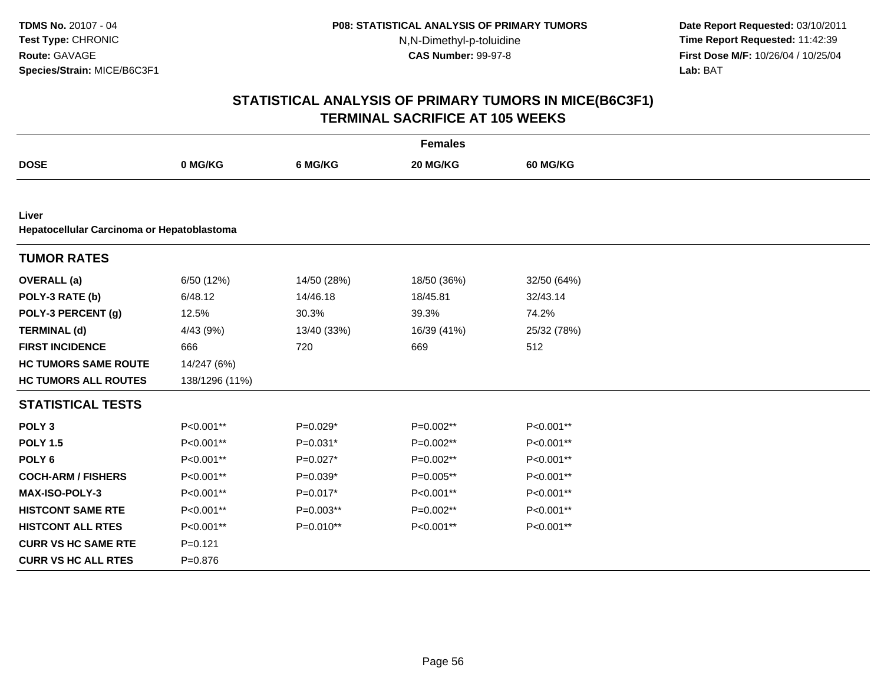**Date Report Requested:** 03/10/2011 **Time Report Requested:** 11:42:39 **First Dose M/F:** 10/26/04 / 10/25/04 Lab: BAT **Lab:** BAT

| <b>Females</b>                                      |                |             |             |                 |  |  |  |  |
|-----------------------------------------------------|----------------|-------------|-------------|-----------------|--|--|--|--|
| <b>DOSE</b>                                         | 0 MG/KG        | 6 MG/KG     | 20 MG/KG    | <b>60 MG/KG</b> |  |  |  |  |
|                                                     |                |             |             |                 |  |  |  |  |
| Liver<br>Hepatocellular Carcinoma or Hepatoblastoma |                |             |             |                 |  |  |  |  |
| <b>TUMOR RATES</b>                                  |                |             |             |                 |  |  |  |  |
| <b>OVERALL</b> (a)                                  | 6/50 (12%)     | 14/50 (28%) | 18/50 (36%) | 32/50 (64%)     |  |  |  |  |
| POLY-3 RATE (b)                                     | 6/48.12        | 14/46.18    | 18/45.81    | 32/43.14        |  |  |  |  |
| POLY-3 PERCENT (g)                                  | 12.5%          | 30.3%       | 39.3%       | 74.2%           |  |  |  |  |
| <b>TERMINAL (d)</b>                                 | 4/43 (9%)      | 13/40 (33%) | 16/39 (41%) | 25/32 (78%)     |  |  |  |  |
| <b>FIRST INCIDENCE</b>                              | 666            | 720         | 669         | 512             |  |  |  |  |
| <b>HC TUMORS SAME ROUTE</b>                         | 14/247 (6%)    |             |             |                 |  |  |  |  |
| <b>HC TUMORS ALL ROUTES</b>                         | 138/1296 (11%) |             |             |                 |  |  |  |  |
| <b>STATISTICAL TESTS</b>                            |                |             |             |                 |  |  |  |  |
| POLY <sub>3</sub>                                   | P<0.001**      | $P=0.029*$  | P=0.002**   | P<0.001**       |  |  |  |  |
| <b>POLY 1.5</b>                                     | P<0.001**      | $P=0.031*$  | P=0.002**   | P<0.001**       |  |  |  |  |
| POLY <sub>6</sub>                                   | P<0.001**      | $P=0.027*$  | P=0.002**   | P<0.001**       |  |  |  |  |
| <b>COCH-ARM / FISHERS</b>                           | P<0.001**      | $P=0.039*$  | P=0.005**   | P<0.001**       |  |  |  |  |
| MAX-ISO-POLY-3                                      | P<0.001**      | $P=0.017*$  | P<0.001**   | P<0.001**       |  |  |  |  |
| <b>HISTCONT SAME RTE</b>                            | P<0.001**      | $P=0.003**$ | P=0.002**   | P<0.001**       |  |  |  |  |
| <b>HISTCONT ALL RTES</b>                            | P<0.001**      | P=0.010**   | P<0.001**   | P<0.001**       |  |  |  |  |
| <b>CURR VS HC SAME RTE</b>                          | $P = 0.121$    |             |             |                 |  |  |  |  |
| <b>CURR VS HC ALL RTES</b>                          | $P = 0.876$    |             |             |                 |  |  |  |  |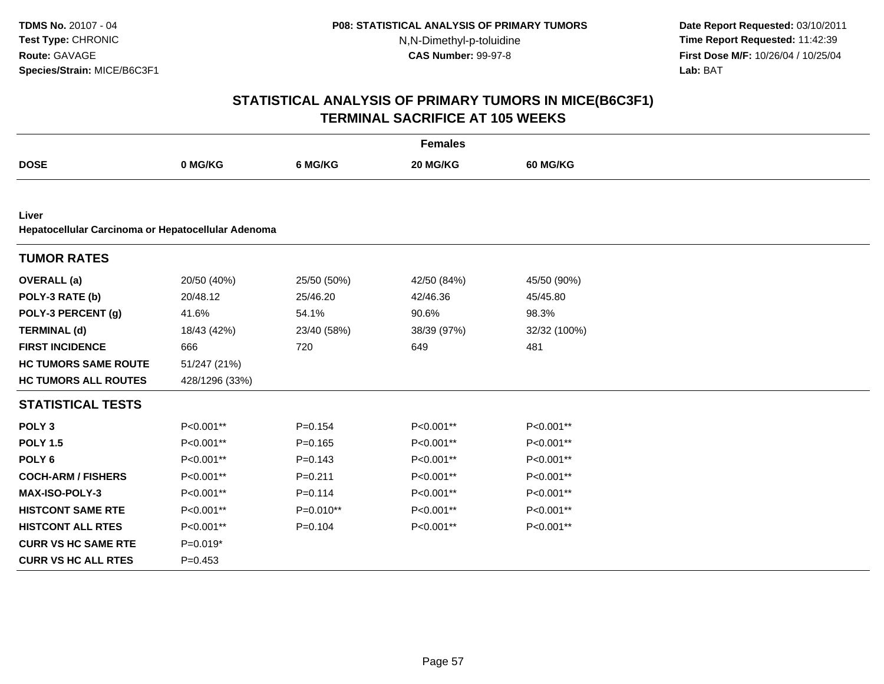**Date Report Requested:** 03/10/2011 **Time Report Requested:** 11:42:39 **First Dose M/F:** 10/26/04 / 10/25/04 Lab: BAT **Lab:** BAT

| <b>Females</b>                                     |                |             |             |                 |  |  |  |  |
|----------------------------------------------------|----------------|-------------|-------------|-----------------|--|--|--|--|
| <b>DOSE</b>                                        | 0 MG/KG        | 6 MG/KG     | 20 MG/KG    | <b>60 MG/KG</b> |  |  |  |  |
|                                                    |                |             |             |                 |  |  |  |  |
| Liver                                              |                |             |             |                 |  |  |  |  |
| Hepatocellular Carcinoma or Hepatocellular Adenoma |                |             |             |                 |  |  |  |  |
| <b>TUMOR RATES</b>                                 |                |             |             |                 |  |  |  |  |
| <b>OVERALL</b> (a)                                 | 20/50 (40%)    | 25/50 (50%) | 42/50 (84%) | 45/50 (90%)     |  |  |  |  |
| POLY-3 RATE (b)                                    | 20/48.12       | 25/46.20    | 42/46.36    | 45/45.80        |  |  |  |  |
| POLY-3 PERCENT (g)                                 | 41.6%          | 54.1%       | 90.6%       | 98.3%           |  |  |  |  |
| <b>TERMINAL (d)</b>                                | 18/43 (42%)    | 23/40 (58%) | 38/39 (97%) | 32/32 (100%)    |  |  |  |  |
| <b>FIRST INCIDENCE</b>                             | 666            | 720         | 649         | 481             |  |  |  |  |
| <b>HC TUMORS SAME ROUTE</b>                        | 51/247 (21%)   |             |             |                 |  |  |  |  |
| <b>HC TUMORS ALL ROUTES</b>                        | 428/1296 (33%) |             |             |                 |  |  |  |  |
| <b>STATISTICAL TESTS</b>                           |                |             |             |                 |  |  |  |  |
| POLY <sub>3</sub>                                  | P<0.001**      | $P = 0.154$ | P<0.001**   | P<0.001**       |  |  |  |  |
| <b>POLY 1.5</b>                                    | P<0.001**      | $P = 0.165$ | P<0.001**   | P<0.001**       |  |  |  |  |
| POLY <sub>6</sub>                                  | P<0.001**      | $P = 0.143$ | P<0.001**   | P<0.001**       |  |  |  |  |
| <b>COCH-ARM / FISHERS</b>                          | P<0.001**      | $P=0.211$   | P<0.001**   | P<0.001**       |  |  |  |  |
| MAX-ISO-POLY-3                                     | P<0.001**      | $P = 0.114$ | P<0.001**   | P<0.001**       |  |  |  |  |
| <b>HISTCONT SAME RTE</b>                           | P<0.001**      | $P=0.010**$ | P<0.001**   | P<0.001**       |  |  |  |  |
| <b>HISTCONT ALL RTES</b>                           | P<0.001**      | $P = 0.104$ | P<0.001**   | P<0.001**       |  |  |  |  |
| <b>CURR VS HC SAME RTE</b>                         | $P=0.019*$     |             |             |                 |  |  |  |  |
| <b>CURR VS HC ALL RTES</b>                         | $P = 0.453$    |             |             |                 |  |  |  |  |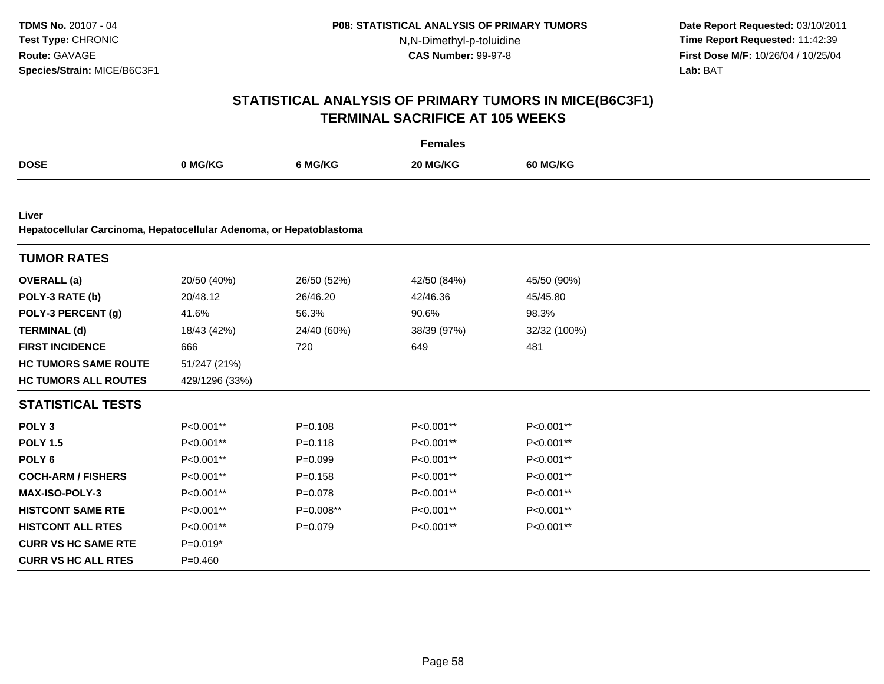**Date Report Requested:** 03/10/2011 **Time Report Requested:** 11:42:39 **First Dose M/F:** 10/26/04 / 10/25/04 Lab: BAT **Lab:** BAT

| <b>Females</b>                                                      |                |             |             |              |  |  |  |  |
|---------------------------------------------------------------------|----------------|-------------|-------------|--------------|--|--|--|--|
| <b>DOSE</b>                                                         | 0 MG/KG        | 6 MG/KG     | 20 MG/KG    | 60 MG/KG     |  |  |  |  |
|                                                                     |                |             |             |              |  |  |  |  |
| Liver                                                               |                |             |             |              |  |  |  |  |
| Hepatocellular Carcinoma, Hepatocellular Adenoma, or Hepatoblastoma |                |             |             |              |  |  |  |  |
| <b>TUMOR RATES</b>                                                  |                |             |             |              |  |  |  |  |
| <b>OVERALL</b> (a)                                                  | 20/50 (40%)    | 26/50 (52%) | 42/50 (84%) | 45/50 (90%)  |  |  |  |  |
| POLY-3 RATE (b)                                                     | 20/48.12       | 26/46.20    | 42/46.36    | 45/45.80     |  |  |  |  |
| POLY-3 PERCENT (g)                                                  | 41.6%          | 56.3%       | 90.6%       | 98.3%        |  |  |  |  |
| <b>TERMINAL (d)</b>                                                 | 18/43 (42%)    | 24/40 (60%) | 38/39 (97%) | 32/32 (100%) |  |  |  |  |
| <b>FIRST INCIDENCE</b>                                              | 666            | 720         | 649         | 481          |  |  |  |  |
| <b>HC TUMORS SAME ROUTE</b>                                         | 51/247 (21%)   |             |             |              |  |  |  |  |
| <b>HC TUMORS ALL ROUTES</b>                                         | 429/1296 (33%) |             |             |              |  |  |  |  |
| <b>STATISTICAL TESTS</b>                                            |                |             |             |              |  |  |  |  |
| POLY <sub>3</sub>                                                   | P<0.001**      | $P = 0.108$ | P<0.001**   | P<0.001**    |  |  |  |  |
| <b>POLY 1.5</b>                                                     | P<0.001**      | $P = 0.118$ | P<0.001**   | P<0.001**    |  |  |  |  |
| POLY <sub>6</sub>                                                   | P<0.001**      | $P=0.099$   | P<0.001**   | P<0.001**    |  |  |  |  |
| <b>COCH-ARM / FISHERS</b>                                           | P<0.001**      | $P = 0.158$ | P<0.001**   | P<0.001**    |  |  |  |  |
| MAX-ISO-POLY-3                                                      | P<0.001**      | $P = 0.078$ | P<0.001**   | P<0.001**    |  |  |  |  |
| <b>HISTCONT SAME RTE</b>                                            | P<0.001**      | P=0.008**   | P<0.001**   | P<0.001**    |  |  |  |  |
| <b>HISTCONT ALL RTES</b>                                            | P<0.001**      | $P=0.079$   | P<0.001**   | P<0.001**    |  |  |  |  |
| <b>CURR VS HC SAME RTE</b>                                          | $P=0.019*$     |             |             |              |  |  |  |  |
| <b>CURR VS HC ALL RTES</b>                                          | $P=0.460$      |             |             |              |  |  |  |  |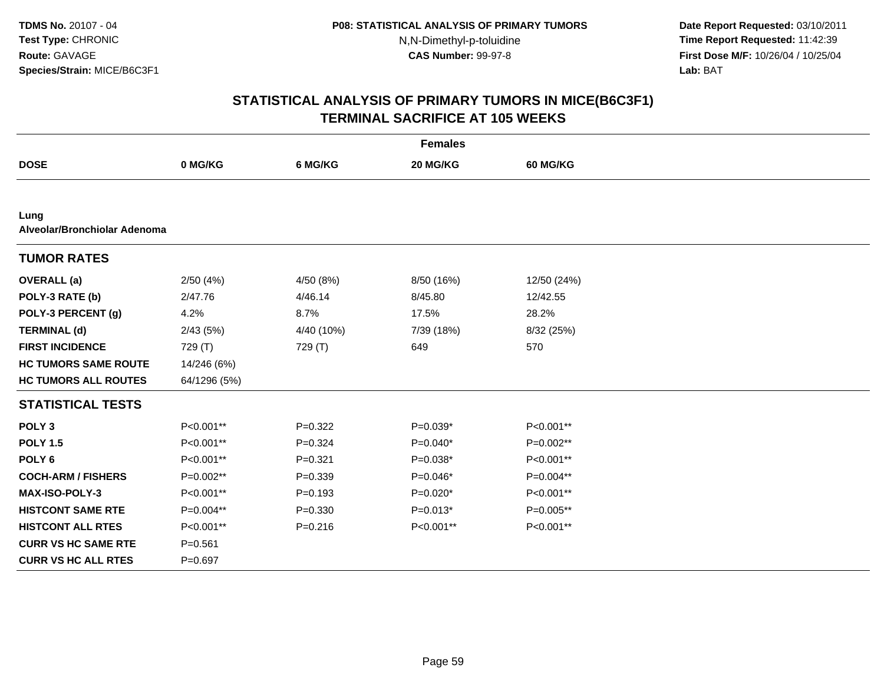**Date Report Requested:** 03/10/2011 **Time Report Requested:** 11:42:39 **First Dose M/F:** 10/26/04 / 10/25/04 Lab: BAT **Lab:** BAT

| <b>Females</b>                       |              |             |            |                 |  |  |  |
|--------------------------------------|--------------|-------------|------------|-----------------|--|--|--|
| <b>DOSE</b>                          | 0 MG/KG      | 6 MG/KG     | 20 MG/KG   | <b>60 MG/KG</b> |  |  |  |
|                                      |              |             |            |                 |  |  |  |
| Lung<br>Alveolar/Bronchiolar Adenoma |              |             |            |                 |  |  |  |
| <b>TUMOR RATES</b>                   |              |             |            |                 |  |  |  |
| <b>OVERALL</b> (a)                   | 2/50(4%)     | 4/50 (8%)   | 8/50 (16%) | 12/50 (24%)     |  |  |  |
| POLY-3 RATE (b)                      | 2/47.76      | 4/46.14     | 8/45.80    | 12/42.55        |  |  |  |
| POLY-3 PERCENT (g)                   | 4.2%         | 8.7%        | 17.5%      | 28.2%           |  |  |  |
| <b>TERMINAL (d)</b>                  | 2/43(5%)     | 4/40 (10%)  | 7/39 (18%) | 8/32 (25%)      |  |  |  |
| <b>FIRST INCIDENCE</b>               | 729 (T)      | 729 (T)     | 649        | 570             |  |  |  |
| <b>HC TUMORS SAME ROUTE</b>          | 14/246 (6%)  |             |            |                 |  |  |  |
| <b>HC TUMORS ALL ROUTES</b>          | 64/1296 (5%) |             |            |                 |  |  |  |
| <b>STATISTICAL TESTS</b>             |              |             |            |                 |  |  |  |
| POLY <sub>3</sub>                    | P<0.001**    | $P=0.322$   | $P=0.039*$ | P<0.001**       |  |  |  |
| <b>POLY 1.5</b>                      | P<0.001**    | $P=0.324$   | $P=0.040*$ | P=0.002**       |  |  |  |
| POLY <sub>6</sub>                    | P<0.001**    | $P = 0.321$ | $P=0.038*$ | P<0.001**       |  |  |  |
| <b>COCH-ARM / FISHERS</b>            | P=0.002**    | $P = 0.339$ | $P=0.046*$ | P=0.004**       |  |  |  |
| <b>MAX-ISO-POLY-3</b>                | P<0.001**    | $P = 0.193$ | $P=0.020*$ | P<0.001**       |  |  |  |
| <b>HISTCONT SAME RTE</b>             | P=0.004**    | $P = 0.330$ | $P=0.013*$ | $P=0.005**$     |  |  |  |
| <b>HISTCONT ALL RTES</b>             | P<0.001**    | $P = 0.216$ | P<0.001**  | P<0.001**       |  |  |  |
| <b>CURR VS HC SAME RTE</b>           | $P = 0.561$  |             |            |                 |  |  |  |
| <b>CURR VS HC ALL RTES</b>           | $P=0.697$    |             |            |                 |  |  |  |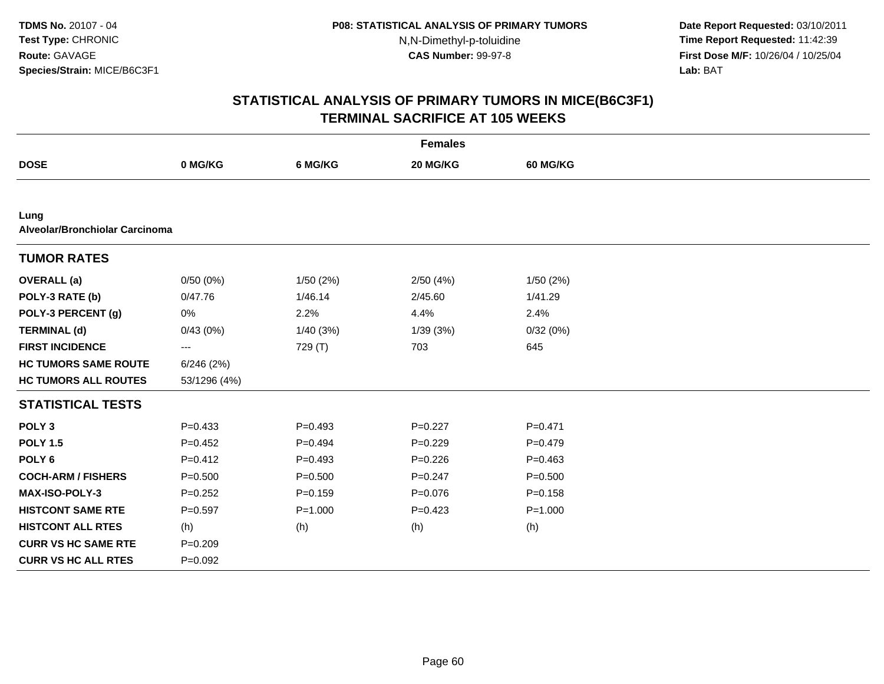**Date Report Requested:** 03/10/2011 **Time Report Requested:** 11:42:39 **First Dose M/F:** 10/26/04 / 10/25/04 Lab: BAT **Lab:** BAT

|                                        |                        |             | <b>Females</b> |             |  |
|----------------------------------------|------------------------|-------------|----------------|-------------|--|
| <b>DOSE</b>                            | 0 MG/KG                | 6 MG/KG     | 20 MG/KG       | 60 MG/KG    |  |
|                                        |                        |             |                |             |  |
| Lung<br>Alveolar/Bronchiolar Carcinoma |                        |             |                |             |  |
| <b>TUMOR RATES</b>                     |                        |             |                |             |  |
| <b>OVERALL</b> (a)                     | 0/50(0%)               | 1/50(2%)    | 2/50(4%)       | 1/50(2%)    |  |
| POLY-3 RATE (b)                        | 0/47.76                | 1/46.14     | 2/45.60        | 1/41.29     |  |
| POLY-3 PERCENT (g)                     | 0%                     | 2.2%        | 4.4%           | 2.4%        |  |
| <b>TERMINAL (d)</b>                    | 0/43(0%)               | 1/40 (3%)   | 1/39(3%)       | 0/32(0%)    |  |
| <b>FIRST INCIDENCE</b>                 | $\qquad \qquad \cdots$ | 729 (T)     | 703            | 645         |  |
| <b>HC TUMORS SAME ROUTE</b>            | 6/246(2%)              |             |                |             |  |
| <b>HC TUMORS ALL ROUTES</b>            | 53/1296 (4%)           |             |                |             |  |
| <b>STATISTICAL TESTS</b>               |                        |             |                |             |  |
| POLY <sub>3</sub>                      | $P = 0.433$            | $P=0.493$   | $P=0.227$      | $P = 0.471$ |  |
| <b>POLY 1.5</b>                        | $P=0.452$              | $P=0.494$   | $P=0.229$      | $P = 0.479$ |  |
| POLY <sub>6</sub>                      | $P=0.412$              | $P=0.493$   | $P=0.226$      | $P = 0.463$ |  |
| <b>COCH-ARM / FISHERS</b>              | $P = 0.500$            | $P = 0.500$ | $P = 0.247$    | $P = 0.500$ |  |
| <b>MAX-ISO-POLY-3</b>                  | $P = 0.252$            | $P = 0.159$ | $P=0.076$      | $P = 0.158$ |  |
| <b>HISTCONT SAME RTE</b>               | $P = 0.597$            | $P = 1.000$ | $P=0.423$      | $P = 1.000$ |  |
| <b>HISTCONT ALL RTES</b>               | (h)                    | (h)         | (h)            | (h)         |  |
| <b>CURR VS HC SAME RTE</b>             | $P = 0.209$            |             |                |             |  |
| <b>CURR VS HC ALL RTES</b>             | $P=0.092$              |             |                |             |  |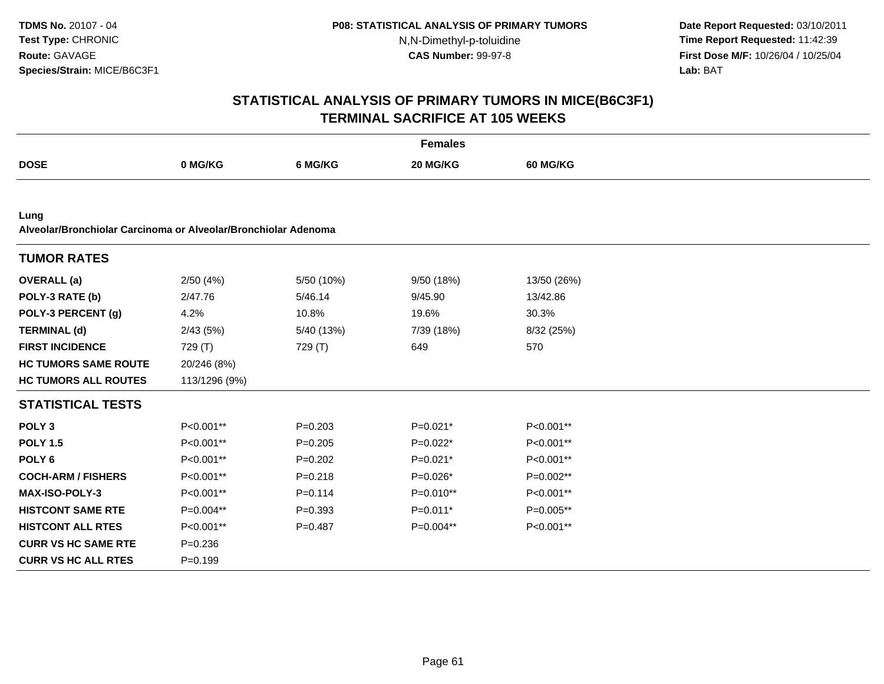**Date Report Requested:** 03/10/2011 **Time Report Requested:** 11:42:39 **First Dose M/F:** 10/26/04 / 10/25/04 Lab: BAT **Lab:** BAT

|                                                                        |               |             | <b>Females</b> |                 |  |
|------------------------------------------------------------------------|---------------|-------------|----------------|-----------------|--|
| <b>DOSE</b>                                                            | 0 MG/KG       | 6 MG/KG     | 20 MG/KG       | <b>60 MG/KG</b> |  |
|                                                                        |               |             |                |                 |  |
| Lung<br>Alveolar/Bronchiolar Carcinoma or Alveolar/Bronchiolar Adenoma |               |             |                |                 |  |
| <b>TUMOR RATES</b>                                                     |               |             |                |                 |  |
| <b>OVERALL</b> (a)                                                     | 2/50(4%)      | 5/50 (10%)  | 9/50(18%)      | 13/50 (26%)     |  |
| POLY-3 RATE (b)                                                        | 2/47.76       | 5/46.14     | 9/45.90        | 13/42.86        |  |
| POLY-3 PERCENT (g)                                                     | 4.2%          | 10.8%       | 19.6%          | 30.3%           |  |
| <b>TERMINAL (d)</b>                                                    | 2/43(5%)      | 5/40 (13%)  | 7/39 (18%)     | 8/32 (25%)      |  |
| <b>FIRST INCIDENCE</b>                                                 | 729 (T)       | 729 (T)     | 649            | 570             |  |
| <b>HC TUMORS SAME ROUTE</b>                                            | 20/246 (8%)   |             |                |                 |  |
| <b>HC TUMORS ALL ROUTES</b>                                            | 113/1296 (9%) |             |                |                 |  |
| <b>STATISTICAL TESTS</b>                                               |               |             |                |                 |  |
| POLY <sub>3</sub>                                                      | P<0.001**     | $P = 0.203$ | $P=0.021*$     | P<0.001**       |  |
| <b>POLY 1.5</b>                                                        | P<0.001**     | $P = 0.205$ | $P=0.022*$     | P<0.001**       |  |
| POLY <sub>6</sub>                                                      | P<0.001**     | $P = 0.202$ | $P=0.021*$     | P<0.001**       |  |
| <b>COCH-ARM / FISHERS</b>                                              | P<0.001**     | $P = 0.218$ | $P=0.026*$     | P=0.002**       |  |
| <b>MAX-ISO-POLY-3</b>                                                  | P<0.001**     | $P = 0.114$ | P=0.010**      | P<0.001**       |  |
| <b>HISTCONT SAME RTE</b>                                               | P=0.004**     | $P = 0.393$ | $P=0.011*$     | P=0.005**       |  |
| <b>HISTCONT ALL RTES</b>                                               | P<0.001**     | $P=0.487$   | P=0.004**      | P<0.001**       |  |
| <b>CURR VS HC SAME RTE</b>                                             | $P = 0.236$   |             |                |                 |  |
| <b>CURR VS HC ALL RTES</b>                                             | $P = 0.199$   |             |                |                 |  |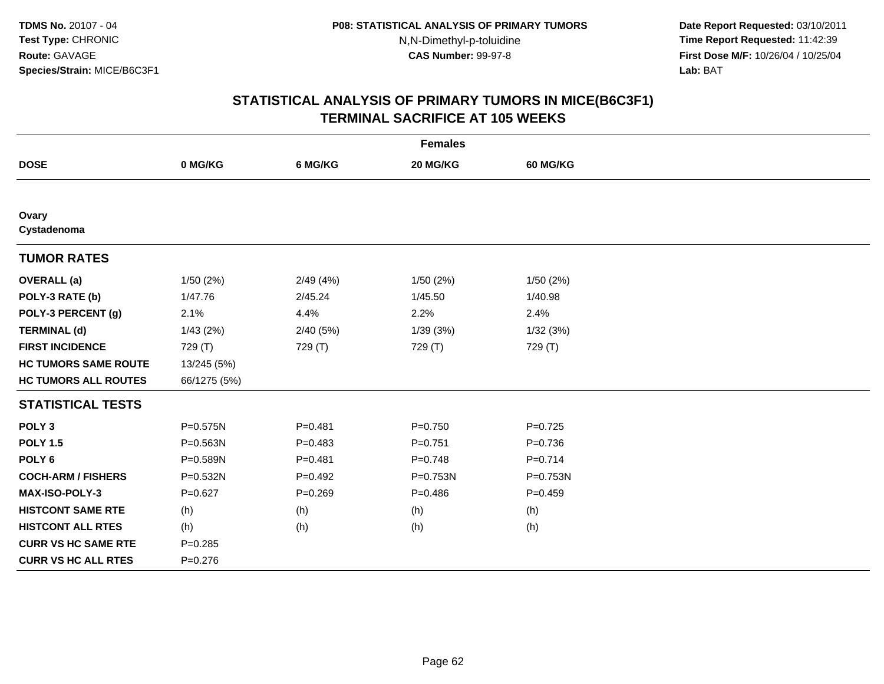**Date Report Requested:** 03/10/2011 **Time Report Requested:** 11:42:39 **First Dose M/F:** 10/26/04 / 10/25/04 Lab: BAT **Lab:** BAT

|                             |              |             | <b>Females</b> |             |  |
|-----------------------------|--------------|-------------|----------------|-------------|--|
| <b>DOSE</b>                 | 0 MG/KG      | 6 MG/KG     | 20 MG/KG       | 60 MG/KG    |  |
|                             |              |             |                |             |  |
| Ovary<br>Cystadenoma        |              |             |                |             |  |
| <b>TUMOR RATES</b>          |              |             |                |             |  |
| <b>OVERALL</b> (a)          | 1/50(2%)     | 2/49(4%)    | 1/50(2%)       | 1/50(2%)    |  |
| POLY-3 RATE (b)             | 1/47.76      | 2/45.24     | 1/45.50        | 1/40.98     |  |
| POLY-3 PERCENT (g)          | 2.1%         | 4.4%        | 2.2%           | 2.4%        |  |
| <b>TERMINAL (d)</b>         | 1/43(2%)     | 2/40 (5%)   | 1/39(3%)       | 1/32(3%)    |  |
| <b>FIRST INCIDENCE</b>      | 729 (T)      | 729 (T)     | 729 (T)        | 729 (T)     |  |
| <b>HC TUMORS SAME ROUTE</b> | 13/245 (5%)  |             |                |             |  |
| <b>HC TUMORS ALL ROUTES</b> | 66/1275 (5%) |             |                |             |  |
| <b>STATISTICAL TESTS</b>    |              |             |                |             |  |
| POLY <sub>3</sub>           | P=0.575N     | $P = 0.481$ | $P=0.750$      | $P=0.725$   |  |
| <b>POLY 1.5</b>             | P=0.563N     | $P = 0.483$ | $P = 0.751$    | $P = 0.736$ |  |
| POLY <sub>6</sub>           | P=0.589N     | $P = 0.481$ | $P = 0.748$    | $P = 0.714$ |  |
| <b>COCH-ARM / FISHERS</b>   | P=0.532N     | $P=0.492$   | P=0.753N       | P=0.753N    |  |
| <b>MAX-ISO-POLY-3</b>       | $P=0.627$    | $P = 0.269$ | $P = 0.486$    | $P=0.459$   |  |
| <b>HISTCONT SAME RTE</b>    | (h)          | (h)         | (h)            | (h)         |  |
| <b>HISTCONT ALL RTES</b>    | (h)          | (h)         | (h)            | (h)         |  |
| <b>CURR VS HC SAME RTE</b>  | $P = 0.285$  |             |                |             |  |
| <b>CURR VS HC ALL RTES</b>  | $P = 0.276$  |             |                |             |  |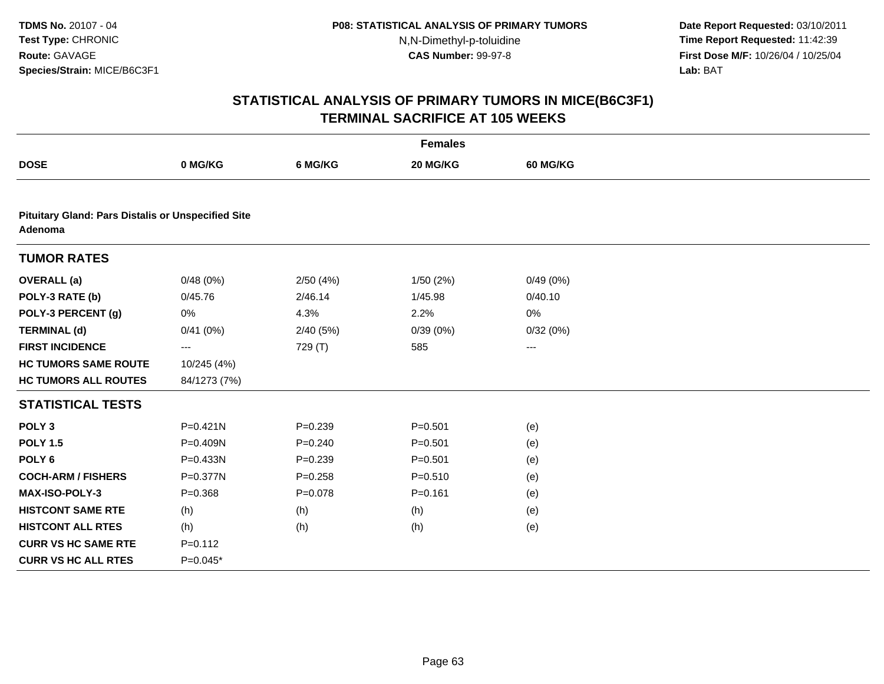**Date Report Requested:** 03/10/2011 **Time Report Requested:** 11:42:39 **First Dose M/F:** 10/26/04 / 10/25/04 Lab: BAT **Lab:** BAT

|                                                                      |              |             | <b>Females</b> |                 |  |
|----------------------------------------------------------------------|--------------|-------------|----------------|-----------------|--|
| <b>DOSE</b>                                                          | 0 MG/KG      | 6 MG/KG     | 20 MG/KG       | <b>60 MG/KG</b> |  |
|                                                                      |              |             |                |                 |  |
| <b>Pituitary Gland: Pars Distalis or Unspecified Site</b><br>Adenoma |              |             |                |                 |  |
| <b>TUMOR RATES</b>                                                   |              |             |                |                 |  |
| <b>OVERALL</b> (a)                                                   | 0/48(0%)     | 2/50(4%)    | 1/50(2%)       | 0/49(0%)        |  |
| POLY-3 RATE (b)                                                      | 0/45.76      | 2/46.14     | 1/45.98        | 0/40.10         |  |
| POLY-3 PERCENT (g)                                                   | 0%           | 4.3%        | 2.2%           | 0%              |  |
| <b>TERMINAL (d)</b>                                                  | 0/41(0%)     | 2/40(5%)    | 0/39(0%)       | 0/32(0%)        |  |
| <b>FIRST INCIDENCE</b>                                               | ---          | 729 (T)     | 585            | ---             |  |
| <b>HC TUMORS SAME ROUTE</b>                                          | 10/245 (4%)  |             |                |                 |  |
| <b>HC TUMORS ALL ROUTES</b>                                          | 84/1273 (7%) |             |                |                 |  |
| <b>STATISTICAL TESTS</b>                                             |              |             |                |                 |  |
| POLY <sub>3</sub>                                                    | $P = 0.421N$ | $P = 0.239$ | $P = 0.501$    | (e)             |  |
| <b>POLY 1.5</b>                                                      | P=0.409N     | $P = 0.240$ | $P = 0.501$    | (e)             |  |
| POLY <sub>6</sub>                                                    | P=0.433N     | $P = 0.239$ | $P = 0.501$    | (e)             |  |
| <b>COCH-ARM / FISHERS</b>                                            | P=0.377N     | $P = 0.258$ | $P = 0.510$    | (e)             |  |
| <b>MAX-ISO-POLY-3</b>                                                | $P = 0.368$  | $P = 0.078$ | $P = 0.161$    | (e)             |  |
| <b>HISTCONT SAME RTE</b>                                             | (h)          | (h)         | (h)            | (e)             |  |
| <b>HISTCONT ALL RTES</b>                                             | (h)          | (h)         | (h)            | (e)             |  |
| <b>CURR VS HC SAME RTE</b>                                           | $P = 0.112$  |             |                |                 |  |
| <b>CURR VS HC ALL RTES</b>                                           | $P=0.045*$   |             |                |                 |  |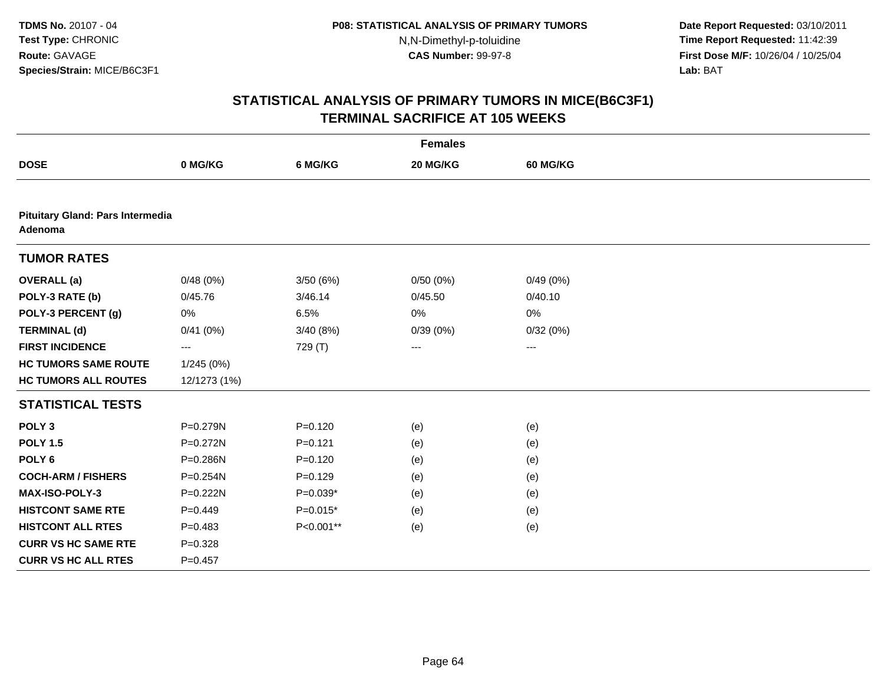**Date Report Requested:** 03/10/2011 **Time Report Requested:** 11:42:39 **First Dose M/F:** 10/26/04 / 10/25/04 Lab: BAT **Lab:** BAT

|                                             |              |             | <b>Females</b> |          |  |
|---------------------------------------------|--------------|-------------|----------------|----------|--|
| <b>DOSE</b>                                 | 0 MG/KG      | 6 MG/KG     | 20 MG/KG       | 60 MG/KG |  |
|                                             |              |             |                |          |  |
| Pituitary Gland: Pars Intermedia<br>Adenoma |              |             |                |          |  |
| <b>TUMOR RATES</b>                          |              |             |                |          |  |
| <b>OVERALL</b> (a)                          | 0/48(0%)     | 3/50(6%)    | 0/50(0%)       | 0/49(0%) |  |
| POLY-3 RATE (b)                             | 0/45.76      | 3/46.14     | 0/45.50        | 0/40.10  |  |
| POLY-3 PERCENT (g)                          | 0%           | 6.5%        | 0%             | 0%       |  |
| <b>TERMINAL (d)</b>                         | 0/41(0%)     | 3/40(8%)    | 0/39(0%)       | 0/32(0%) |  |
| <b>FIRST INCIDENCE</b>                      | ---          | 729 (T)     | ---            | ---      |  |
| <b>HC TUMORS SAME ROUTE</b>                 | 1/245(0%)    |             |                |          |  |
| <b>HC TUMORS ALL ROUTES</b>                 | 12/1273 (1%) |             |                |          |  |
| <b>STATISTICAL TESTS</b>                    |              |             |                |          |  |
| POLY <sub>3</sub>                           | P=0.279N     | $P=0.120$   | (e)            | (e)      |  |
| <b>POLY 1.5</b>                             | $P = 0.272N$ | $P = 0.121$ | (e)            | (e)      |  |
| POLY <sub>6</sub>                           | P=0.286N     | $P = 0.120$ | (e)            | (e)      |  |
| <b>COCH-ARM / FISHERS</b>                   | P=0.254N     | $P=0.129$   | (e)            | (e)      |  |
| MAX-ISO-POLY-3                              | P=0.222N     | $P=0.039*$  | (e)            | (e)      |  |
| <b>HISTCONT SAME RTE</b>                    | $P=0.449$    | $P=0.015*$  | (e)            | (e)      |  |
| <b>HISTCONT ALL RTES</b>                    | $P = 0.483$  | P<0.001**   | (e)            | (e)      |  |
| <b>CURR VS HC SAME RTE</b>                  | $P = 0.328$  |             |                |          |  |
| <b>CURR VS HC ALL RTES</b>                  | $P = 0.457$  |             |                |          |  |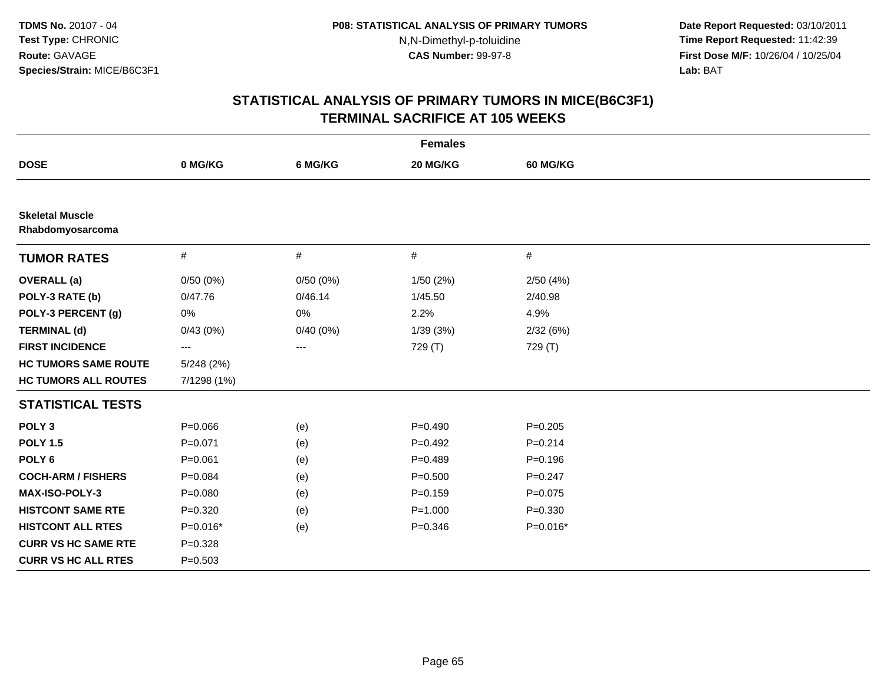**Date Report Requested:** 03/10/2011 **Time Report Requested:** 11:42:39 **First Dose M/F:** 10/26/04 / 10/25/04 Lab: BAT **Lab:** BAT

| <b>Females</b>                             |              |          |             |             |  |  |
|--------------------------------------------|--------------|----------|-------------|-------------|--|--|
| <b>DOSE</b>                                | 0 MG/KG      | 6 MG/KG  | 20 MG/KG    | 60 MG/KG    |  |  |
|                                            |              |          |             |             |  |  |
| <b>Skeletal Muscle</b><br>Rhabdomyosarcoma |              |          |             |             |  |  |
| <b>TUMOR RATES</b>                         | $\#$         | $\#$     | $\#$        | $\#$        |  |  |
| <b>OVERALL</b> (a)                         | 0/50(0%)     | 0/50(0%) | 1/50(2%)    | 2/50(4%)    |  |  |
| POLY-3 RATE (b)                            | 0/47.76      | 0/46.14  | 1/45.50     | 2/40.98     |  |  |
| POLY-3 PERCENT (g)                         | 0%           | $0\%$    | 2.2%        | 4.9%        |  |  |
| <b>TERMINAL (d)</b>                        | 0/43(0%)     | 0/40(0%) | 1/39(3%)    | 2/32(6%)    |  |  |
| <b>FIRST INCIDENCE</b>                     | ---          | ---      | 729 (T)     | 729 (T)     |  |  |
| <b>HC TUMORS SAME ROUTE</b>                | $5/248$ (2%) |          |             |             |  |  |
| <b>HC TUMORS ALL ROUTES</b>                | 7/1298 (1%)  |          |             |             |  |  |
| <b>STATISTICAL TESTS</b>                   |              |          |             |             |  |  |
| POLY <sub>3</sub>                          | $P = 0.066$  | (e)      | $P=0.490$   | $P = 0.205$ |  |  |
| <b>POLY 1.5</b>                            | $P = 0.071$  | (e)      | $P=0.492$   | $P = 0.214$ |  |  |
| POLY <sub>6</sub>                          | $P = 0.061$  | (e)      | $P = 0.489$ | $P = 0.196$ |  |  |
| <b>COCH-ARM / FISHERS</b>                  | $P = 0.084$  | (e)      | $P = 0.500$ | $P = 0.247$ |  |  |
| MAX-ISO-POLY-3                             | $P = 0.080$  | (e)      | $P = 0.159$ | $P=0.075$   |  |  |
| <b>HISTCONT SAME RTE</b>                   | $P = 0.320$  | (e)      | $P = 1.000$ | $P = 0.330$ |  |  |
| <b>HISTCONT ALL RTES</b>                   | $P = 0.016*$ | (e)      | $P = 0.346$ | $P=0.016*$  |  |  |
| <b>CURR VS HC SAME RTE</b>                 | $P = 0.328$  |          |             |             |  |  |
| <b>CURR VS HC ALL RTES</b>                 | $P = 0.503$  |          |             |             |  |  |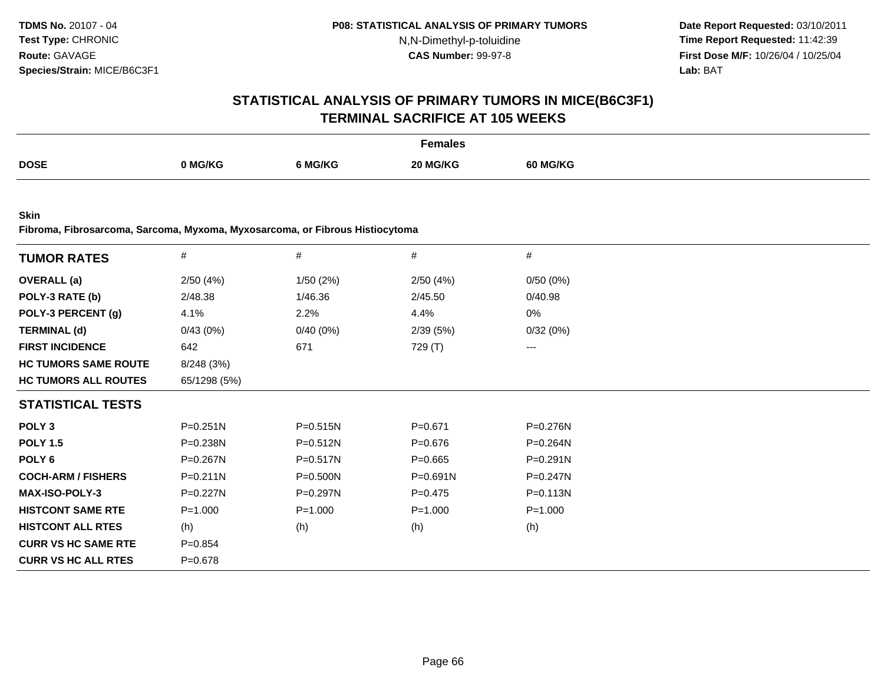**Date Report Requested:** 03/10/2011 **Time Report Requested:** 11:42:39 **First Dose M/F:** 10/26/04 / 10/25/04<br>**Lab:** BAT **Lab:** BAT

### **STATISTICAL ANALYSIS OF PRIMARY TUMORS IN MICE(B6C3F1)TERMINAL SACRIFICE AT 105 WEEKS**

|             |         |         | Females  |                 |
|-------------|---------|---------|----------|-----------------|
| <b>DOSE</b> |         |         |          |                 |
|             | 0 MG/KG | ን MG/KG | 20 MG/KG | <b>60 MG/KG</b> |

**Skin**

**Fibroma, Fibrosarcoma, Sarcoma, Myxoma, Myxosarcoma, or Fibrous Histiocytoma**

| <b>TUMOR RATES</b>          | $\#$         | $\#$         | #            | #           |  |
|-----------------------------|--------------|--------------|--------------|-------------|--|
| <b>OVERALL</b> (a)          | 2/50(4%)     | 1/50(2%)     | 2/50(4%)     | 0/50(0%)    |  |
| POLY-3 RATE (b)             | 2/48.38      | 1/46.36      | 2/45.50      | 0/40.98     |  |
| POLY-3 PERCENT (g)          | 4.1%         | 2.2%         | 4.4%         | 0%          |  |
| <b>TERMINAL (d)</b>         | 0/43(0%)     | 0/40(0%)     | 2/39(5%)     | 0/32(0%)    |  |
| <b>FIRST INCIDENCE</b>      | 642          | 671          | 729 (T)      | $--$        |  |
| <b>HC TUMORS SAME ROUTE</b> | 8/248 (3%)   |              |              |             |  |
| <b>HC TUMORS ALL ROUTES</b> | 65/1298 (5%) |              |              |             |  |
| <b>STATISTICAL TESTS</b>    |              |              |              |             |  |
| POLY <sub>3</sub>           | $P = 0.251N$ | P=0.515N     | $P = 0.671$  | P=0.276N    |  |
| <b>POLY 1.5</b>             | P=0.238N     | $P = 0.512N$ | $P = 0.676$  | P=0.264N    |  |
| POLY 6                      | P=0.267N     | P=0.517N     | $P = 0.665$  | P=0.291N    |  |
| <b>COCH-ARM / FISHERS</b>   | P=0.211N     | P=0.500N     | $P = 0.691N$ | P=0.247N    |  |
| <b>MAX-ISO-POLY-3</b>       | P=0.227N     | P=0.297N     | $P=0.475$    | P=0.113N    |  |
| <b>HISTCONT SAME RTE</b>    | $P = 1.000$  | $P = 1.000$  | $P = 1.000$  | $P = 1.000$ |  |
| <b>HISTCONT ALL RTES</b>    | (h)          | (h)          | (h)          | (h)         |  |
| <b>CURR VS HC SAME RTE</b>  | $P = 0.854$  |              |              |             |  |
| <b>CURR VS HC ALL RTES</b>  | $P = 0.678$  |              |              |             |  |
|                             |              |              |              |             |  |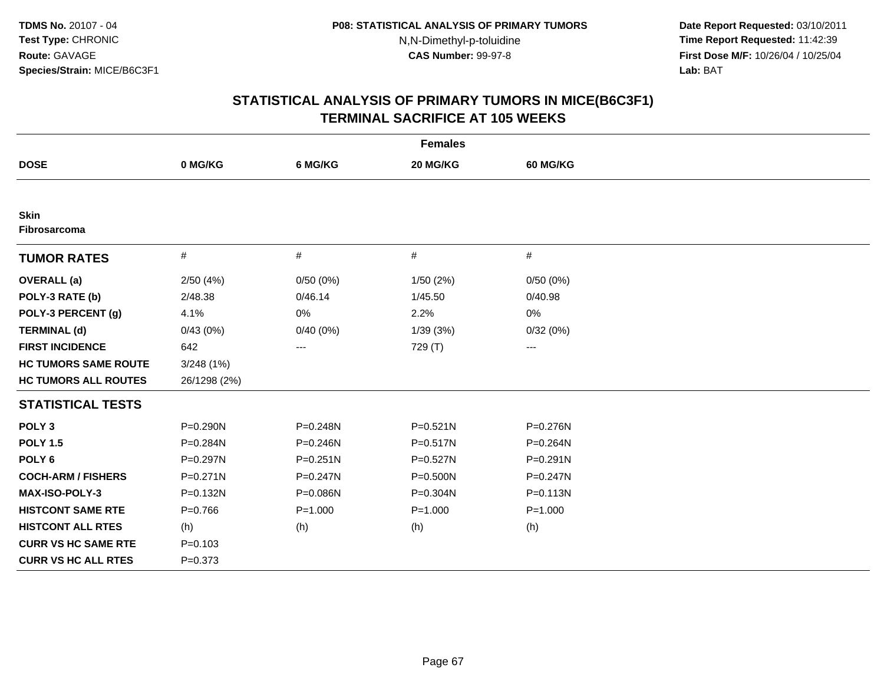**Date Report Requested:** 03/10/2011 **Time Report Requested:** 11:42:39 **First Dose M/F:** 10/26/04 / 10/25/04 Lab: BAT **Lab:** BAT

|                                    |              |              | <b>Females</b> |              |
|------------------------------------|--------------|--------------|----------------|--------------|
| <b>DOSE</b>                        | 0 MG/KG      | 6 MG/KG      | 20 MG/KG       | 60 MG/KG     |
|                                    |              |              |                |              |
| <b>Skin</b><br><b>Fibrosarcoma</b> |              |              |                |              |
| <b>TUMOR RATES</b>                 | $\#$         | #            | #              | #            |
| <b>OVERALL</b> (a)                 | 2/50(4%)     | 0/50(0%)     | 1/50 (2%)      | 0/50(0%)     |
| POLY-3 RATE (b)                    | 2/48.38      | 0/46.14      | 1/45.50        | 0/40.98      |
| POLY-3 PERCENT (g)                 | 4.1%         | 0%           | 2.2%           | 0%           |
| <b>TERMINAL (d)</b>                | 0/43(0%)     | 0/40(0%)     | 1/39(3%)       | 0/32(0%)     |
| <b>FIRST INCIDENCE</b>             | 642          | ---          | 729 (T)        | ---          |
| <b>HC TUMORS SAME ROUTE</b>        | 3/248(1%)    |              |                |              |
| <b>HC TUMORS ALL ROUTES</b>        | 26/1298 (2%) |              |                |              |
| <b>STATISTICAL TESTS</b>           |              |              |                |              |
| POLY <sub>3</sub>                  | P=0.290N     | P=0.248N     | $P = 0.521N$   | P=0.276N     |
| <b>POLY 1.5</b>                    | P=0.284N     | P=0.246N     | P=0.517N       | P=0.264N     |
| POLY <sub>6</sub>                  | P=0.297N     | $P = 0.251N$ | P=0.527N       | $P = 0.291N$ |
| <b>COCH-ARM / FISHERS</b>          | $P = 0.271N$ | $P = 0.247N$ | P=0.500N       | $P = 0.247N$ |
| MAX-ISO-POLY-3                     | P=0.132N     | P=0.086N     | P=0.304N       | $P = 0.113N$ |
| <b>HISTCONT SAME RTE</b>           | $P = 0.766$  | $P = 1.000$  | $P = 1.000$    | $P = 1.000$  |
| <b>HISTCONT ALL RTES</b>           | (h)          | (h)          | (h)            | (h)          |
| <b>CURR VS HC SAME RTE</b>         | $P = 0.103$  |              |                |              |
| <b>CURR VS HC ALL RTES</b>         | $P = 0.373$  |              |                |              |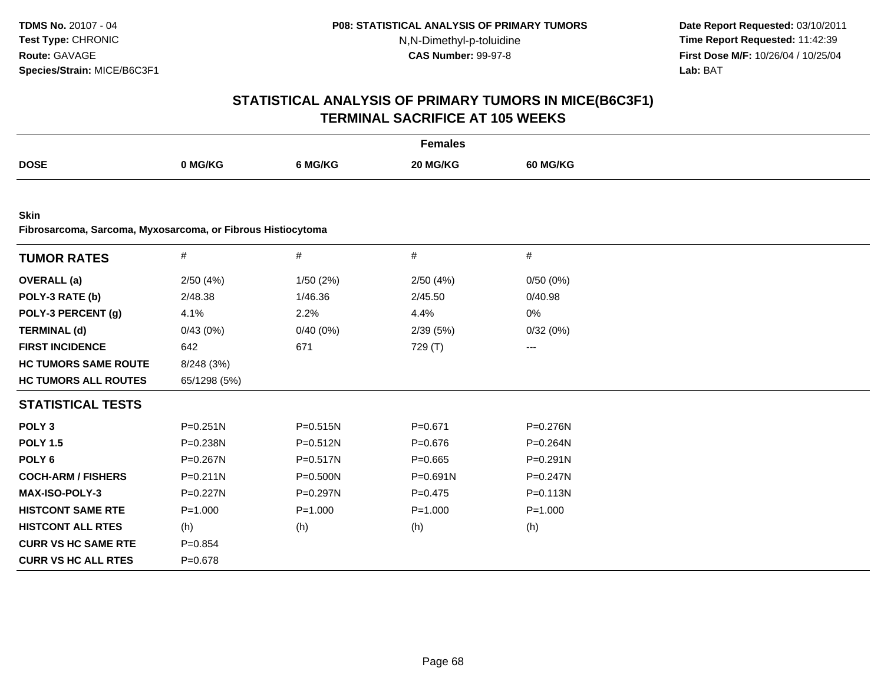**Date Report Requested:** 03/10/2011 **Time Report Requested:** 11:42:39 **First Dose M/F:** 10/26/04 / 10/25/04 Lab: BAT **Lab:** BAT

|                                                                            |              |              | <b>Females</b> |                   |  |
|----------------------------------------------------------------------------|--------------|--------------|----------------|-------------------|--|
| <b>DOSE</b>                                                                | 0 MG/KG      | 6 MG/KG      | 20 MG/KG       | <b>60 MG/KG</b>   |  |
|                                                                            |              |              |                |                   |  |
| <b>Skin</b><br>Fibrosarcoma, Sarcoma, Myxosarcoma, or Fibrous Histiocytoma |              |              |                |                   |  |
|                                                                            |              |              |                |                   |  |
| <b>TUMOR RATES</b>                                                         | $\#$         | #            | #              | #                 |  |
| <b>OVERALL</b> (a)                                                         | 2/50(4%)     | 1/50 (2%)    | 2/50(4%)       | 0/50(0%)          |  |
| POLY-3 RATE (b)                                                            | 2/48.38      | 1/46.36      | 2/45.50        | 0/40.98           |  |
| POLY-3 PERCENT (g)                                                         | 4.1%         | 2.2%         | 4.4%           | 0%                |  |
| <b>TERMINAL (d)</b>                                                        | 0/43(0%)     | $0/40(0\%)$  | 2/39(5%)       | 0/32(0%)          |  |
| <b>FIRST INCIDENCE</b>                                                     | 642          | 671          | 729 (T)        | $\qquad \qquad -$ |  |
| <b>HC TUMORS SAME ROUTE</b>                                                | 8/248 (3%)   |              |                |                   |  |
| <b>HC TUMORS ALL ROUTES</b>                                                | 65/1298 (5%) |              |                |                   |  |
| <b>STATISTICAL TESTS</b>                                                   |              |              |                |                   |  |
| POLY <sub>3</sub>                                                          | $P = 0.251N$ | P=0.515N     | $P = 0.671$    | P=0.276N          |  |
| <b>POLY 1.5</b>                                                            | P=0.238N     | $P = 0.512N$ | $P = 0.676$    | P=0.264N          |  |
| POLY <sub>6</sub>                                                          | P=0.267N     | $P = 0.517N$ | $P=0.665$      | $P = 0.291N$      |  |
| <b>COCH-ARM / FISHERS</b>                                                  | $P = 0.211N$ | $P = 0.500N$ | $P = 0.691N$   | $P = 0.247N$      |  |
| <b>MAX-ISO-POLY-3</b>                                                      | P=0.227N     | P=0.297N     | $P=0.475$      | $P = 0.113N$      |  |
| <b>HISTCONT SAME RTE</b>                                                   | $P = 1.000$  | $P = 1.000$  | $P = 1.000$    | $P = 1.000$       |  |
| <b>HISTCONT ALL RTES</b>                                                   | (h)          | (h)          | (h)            | (h)               |  |
| <b>CURR VS HC SAME RTE</b>                                                 | $P = 0.854$  |              |                |                   |  |
| <b>CURR VS HC ALL RTES</b>                                                 | $P = 0.678$  |              |                |                   |  |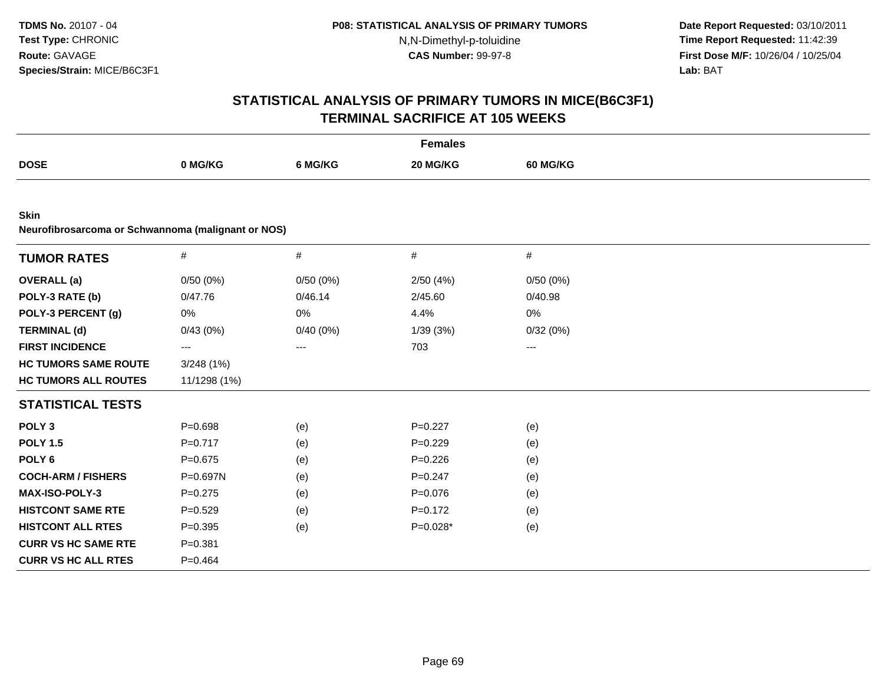**Date Report Requested:** 03/10/2011 **Time Report Requested:** 11:42:39 **First Dose M/F:** 10/26/04 / 10/25/04 Lab: BAT **Lab:** BAT

|                                                                   |              |          | <b>Females</b> |                 |  |
|-------------------------------------------------------------------|--------------|----------|----------------|-----------------|--|
| <b>DOSE</b>                                                       | 0 MG/KG      | 6 MG/KG  | 20 MG/KG       | <b>60 MG/KG</b> |  |
|                                                                   |              |          |                |                 |  |
| <b>Skin</b><br>Neurofibrosarcoma or Schwannoma (malignant or NOS) |              |          |                |                 |  |
| <b>TUMOR RATES</b>                                                | $\#$         | #        | $\#$           | $\#$            |  |
| <b>OVERALL</b> (a)                                                | 0/50(0%)     | 0/50(0%) | 2/50(4%)       | 0/50(0%)        |  |
| POLY-3 RATE (b)                                                   | 0/47.76      | 0/46.14  | 2/45.60        | 0/40.98         |  |
| POLY-3 PERCENT (g)                                                | 0%           | 0%       | 4.4%           | 0%              |  |
| <b>TERMINAL (d)</b>                                               | 0/43(0%)     | 0/40(0%) | 1/39 (3%)      | 0/32(0%)        |  |
| <b>FIRST INCIDENCE</b>                                            | ---          | ---      | 703            | ---             |  |
| <b>HC TUMORS SAME ROUTE</b>                                       | 3/248(1%)    |          |                |                 |  |
| <b>HC TUMORS ALL ROUTES</b>                                       | 11/1298 (1%) |          |                |                 |  |
| <b>STATISTICAL TESTS</b>                                          |              |          |                |                 |  |
| POLY <sub>3</sub>                                                 | $P = 0.698$  | (e)      | $P=0.227$      | (e)             |  |
| <b>POLY 1.5</b>                                                   | $P = 0.717$  | (e)      | $P=0.229$      | (e)             |  |
| POLY <sub>6</sub>                                                 | $P = 0.675$  | (e)      | $P = 0.226$    | (e)             |  |
| <b>COCH-ARM / FISHERS</b>                                         | P=0.697N     | (e)      | $P=0.247$      | (e)             |  |
| MAX-ISO-POLY-3                                                    | $P=0.275$    | (e)      | $P = 0.076$    | (e)             |  |
| <b>HISTCONT SAME RTE</b>                                          | $P = 0.529$  | (e)      | $P=0.172$      | (e)             |  |
| <b>HISTCONT ALL RTES</b>                                          | $P = 0.395$  | (e)      | $P=0.028*$     | (e)             |  |
| <b>CURR VS HC SAME RTE</b>                                        | $P = 0.381$  |          |                |                 |  |
| <b>CURR VS HC ALL RTES</b>                                        | $P=0.464$    |          |                |                 |  |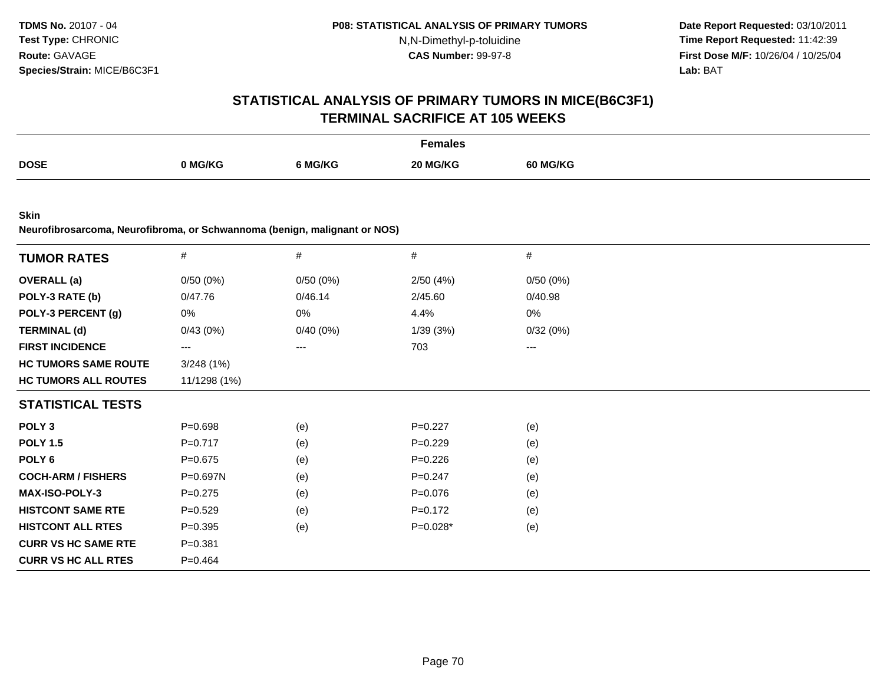**Date Report Requested:** 03/10/2011 **Time Report Requested:** 11:42:39 **First Dose M/F:** 10/26/04 / 10/25/04 Lab: BAT **Lab:** BAT

|                                                                                          | <b>Females</b> |          |             |          |  |  |
|------------------------------------------------------------------------------------------|----------------|----------|-------------|----------|--|--|
| <b>DOSE</b>                                                                              | 0 MG/KG        | 6 MG/KG  | 20 MG/KG    | 60 MG/KG |  |  |
|                                                                                          |                |          |             |          |  |  |
| <b>Skin</b><br>Neurofibrosarcoma, Neurofibroma, or Schwannoma (benign, malignant or NOS) |                |          |             |          |  |  |
| <b>TUMOR RATES</b>                                                                       | $\#$           | #        | #           | #        |  |  |
| <b>OVERALL</b> (a)                                                                       | 0/50(0%)       | 0/50(0%) | 2/50(4%)    | 0/50(0%) |  |  |
| POLY-3 RATE (b)                                                                          | 0/47.76        | 0/46.14  | 2/45.60     | 0/40.98  |  |  |
| POLY-3 PERCENT (g)                                                                       | 0%             | 0%       | 4.4%        | 0%       |  |  |
| <b>TERMINAL (d)</b>                                                                      | 0/43(0%)       | 0/40(0%) | 1/39(3%)    | 0/32(0%) |  |  |
| <b>FIRST INCIDENCE</b>                                                                   | $---$          | ---      | 703         | ---      |  |  |
| <b>HC TUMORS SAME ROUTE</b>                                                              | 3/248(1%)      |          |             |          |  |  |
| <b>HC TUMORS ALL ROUTES</b>                                                              | 11/1298 (1%)   |          |             |          |  |  |
| <b>STATISTICAL TESTS</b>                                                                 |                |          |             |          |  |  |
| POLY <sub>3</sub>                                                                        | $P = 0.698$    | (e)      | $P=0.227$   | (e)      |  |  |
| <b>POLY 1.5</b>                                                                          | $P=0.717$      | (e)      | $P=0.229$   | (e)      |  |  |
| POLY <sub>6</sub>                                                                        | $P = 0.675$    | (e)      | $P = 0.226$ | (e)      |  |  |
| <b>COCH-ARM / FISHERS</b>                                                                | P=0.697N       | (e)      | $P = 0.247$ | (e)      |  |  |
| <b>MAX-ISO-POLY-3</b>                                                                    | $P = 0.275$    | (e)      | $P = 0.076$ | (e)      |  |  |
| <b>HISTCONT SAME RTE</b>                                                                 | $P=0.529$      | (e)      | $P=0.172$   | (e)      |  |  |
| <b>HISTCONT ALL RTES</b>                                                                 | $P=0.395$      | (e)      | $P=0.028*$  | (e)      |  |  |
| <b>CURR VS HC SAME RTE</b>                                                               | $P = 0.381$    |          |             |          |  |  |
| <b>CURR VS HC ALL RTES</b>                                                               | $P=0.464$      |          |             |          |  |  |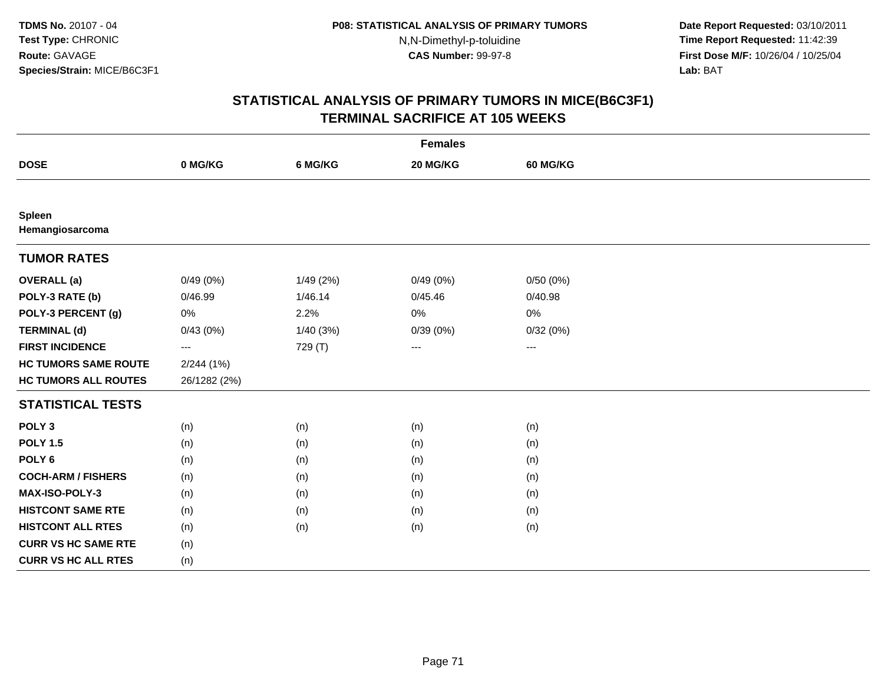**Date Report Requested:** 03/10/2011 **Time Report Requested:** 11:42:39 **First Dose M/F:** 10/26/04 / 10/25/04 Lab: BAT **Lab:** BAT

| <b>Females</b>                   |                          |          |          |                 |  |  |  |  |  |
|----------------------------------|--------------------------|----------|----------|-----------------|--|--|--|--|--|
| <b>DOSE</b>                      | 0 MG/KG                  | 6 MG/KG  | 20 MG/KG | <b>60 MG/KG</b> |  |  |  |  |  |
|                                  |                          |          |          |                 |  |  |  |  |  |
| <b>Spleen</b><br>Hemangiosarcoma |                          |          |          |                 |  |  |  |  |  |
| <b>TUMOR RATES</b>               |                          |          |          |                 |  |  |  |  |  |
| <b>OVERALL</b> (a)               | 0/49(0%)                 | 1/49(2%) | 0/49(0%) | 0/50(0%)        |  |  |  |  |  |
| POLY-3 RATE (b)                  | 0/46.99                  | 1/46.14  | 0/45.46  | 0/40.98         |  |  |  |  |  |
| POLY-3 PERCENT (g)               | 0%                       | 2.2%     | 0%       | $0\%$           |  |  |  |  |  |
| <b>TERMINAL (d)</b>              | 0/43(0%)                 | 1/40(3%) | 0/39(0%) | 0/32(0%)        |  |  |  |  |  |
| <b>FIRST INCIDENCE</b>           | $\hspace{0.05cm} \ldots$ | 729 (T)  | ---      | $---$           |  |  |  |  |  |
| <b>HC TUMORS SAME ROUTE</b>      | 2/244(1%)                |          |          |                 |  |  |  |  |  |
| <b>HC TUMORS ALL ROUTES</b>      | 26/1282 (2%)             |          |          |                 |  |  |  |  |  |
| <b>STATISTICAL TESTS</b>         |                          |          |          |                 |  |  |  |  |  |
| POLY <sub>3</sub>                | (n)                      | (n)      | (n)      | (n)             |  |  |  |  |  |
| <b>POLY 1.5</b>                  | (n)                      | (n)      | (n)      | (n)             |  |  |  |  |  |
| POLY <sub>6</sub>                | (n)                      | (n)      | (n)      | (n)             |  |  |  |  |  |
| <b>COCH-ARM / FISHERS</b>        | (n)                      | (n)      | (n)      | (n)             |  |  |  |  |  |
| MAX-ISO-POLY-3                   | (n)                      | (n)      | (n)      | (n)             |  |  |  |  |  |
| <b>HISTCONT SAME RTE</b>         | (n)                      | (n)      | (n)      | (n)             |  |  |  |  |  |
| <b>HISTCONT ALL RTES</b>         | (n)                      | (n)      | (n)      | (n)             |  |  |  |  |  |
| <b>CURR VS HC SAME RTE</b>       | (n)                      |          |          |                 |  |  |  |  |  |
| <b>CURR VS HC ALL RTES</b>       | (n)                      |          |          |                 |  |  |  |  |  |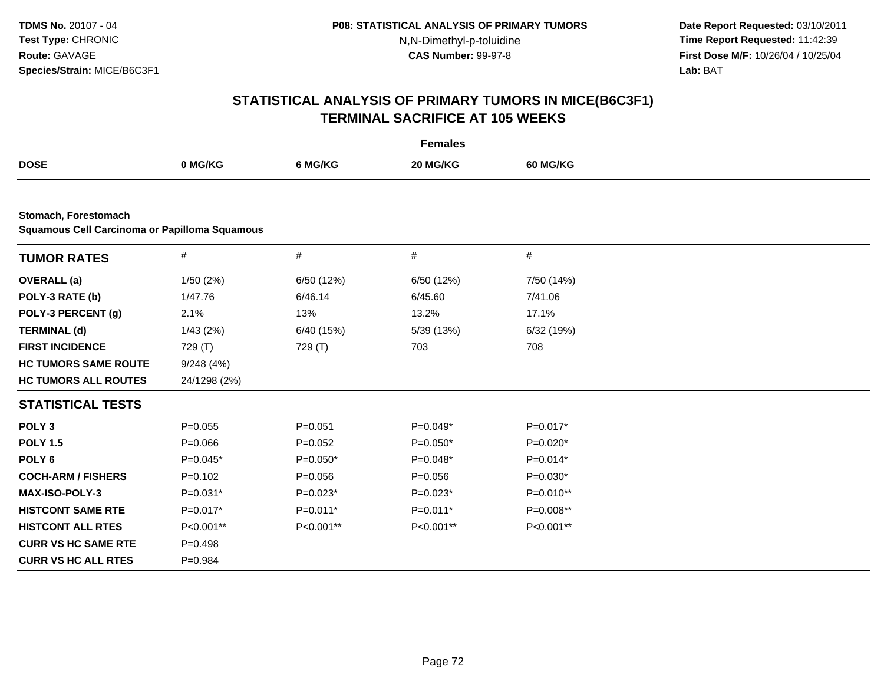**Date Report Requested:** 03/10/2011 **Time Report Requested:** 11:42:39 **First Dose M/F:** 10/26/04 / 10/25/04 Lab: BAT **Lab:** BAT

| <b>Females</b>                                                        |              |             |             |                 |  |  |  |  |
|-----------------------------------------------------------------------|--------------|-------------|-------------|-----------------|--|--|--|--|
| <b>DOSE</b>                                                           | 0 MG/KG      | 6 MG/KG     | 20 MG/KG    | <b>60 MG/KG</b> |  |  |  |  |
|                                                                       |              |             |             |                 |  |  |  |  |
| Stomach, Forestomach<br>Squamous Cell Carcinoma or Papilloma Squamous |              |             |             |                 |  |  |  |  |
| <b>TUMOR RATES</b>                                                    | $\#$         | $\#$        | $\#$        | $\#$            |  |  |  |  |
| <b>OVERALL</b> (a)                                                    | 1/50(2%)     | 6/50 (12%)  | 6/50 (12%)  | 7/50 (14%)      |  |  |  |  |
| POLY-3 RATE (b)                                                       | 1/47.76      | 6/46.14     | 6/45.60     | 7/41.06         |  |  |  |  |
| POLY-3 PERCENT (g)                                                    | 2.1%         | 13%         | 13.2%       | 17.1%           |  |  |  |  |
| <b>TERMINAL (d)</b>                                                   | 1/43(2%)     | 6/40 (15%)  | 5/39 (13%)  | 6/32 (19%)      |  |  |  |  |
| <b>FIRST INCIDENCE</b>                                                | 729 (T)      | 729 (T)     | 703         | 708             |  |  |  |  |
| <b>HC TUMORS SAME ROUTE</b>                                           | 9/248(4%)    |             |             |                 |  |  |  |  |
| <b>HC TUMORS ALL ROUTES</b>                                           | 24/1298 (2%) |             |             |                 |  |  |  |  |
| <b>STATISTICAL TESTS</b>                                              |              |             |             |                 |  |  |  |  |
| POLY <sub>3</sub>                                                     | $P=0.055$    | $P = 0.051$ | $P=0.049*$  | $P=0.017*$      |  |  |  |  |
| <b>POLY 1.5</b>                                                       | $P = 0.066$  | $P=0.052$   | $P=0.050*$  | $P=0.020*$      |  |  |  |  |
| POLY <sub>6</sub>                                                     | $P=0.045*$   | $P=0.050*$  | $P=0.048*$  | $P=0.014*$      |  |  |  |  |
| <b>COCH-ARM / FISHERS</b>                                             | $P=0.102$    | $P = 0.056$ | $P = 0.056$ | $P=0.030*$      |  |  |  |  |
| MAX-ISO-POLY-3                                                        | $P=0.031*$   | $P=0.023*$  | $P=0.023*$  | $P=0.010**$     |  |  |  |  |
| <b>HISTCONT SAME RTE</b>                                              | $P=0.017*$   | $P=0.011*$  | $P=0.011*$  | P=0.008**       |  |  |  |  |
| <b>HISTCONT ALL RTES</b>                                              | P<0.001**    | P<0.001**   | P<0.001**   | P<0.001**       |  |  |  |  |
| <b>CURR VS HC SAME RTE</b>                                            | $P=0.498$    |             |             |                 |  |  |  |  |
| <b>CURR VS HC ALL RTES</b>                                            | $P = 0.984$  |             |             |                 |  |  |  |  |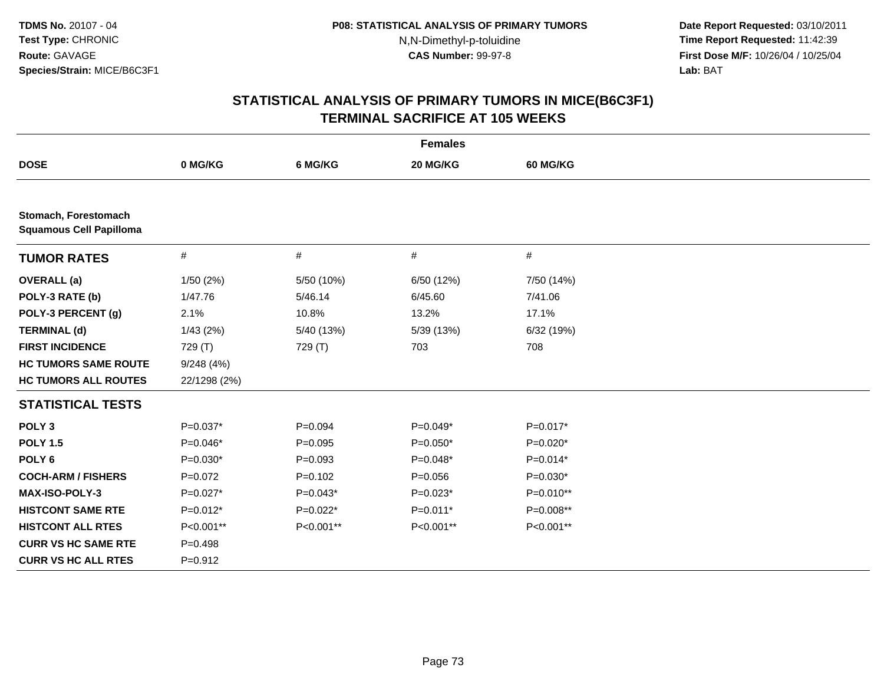**Date Report Requested:** 03/10/2011 **Time Report Requested:** 11:42:39 **First Dose M/F:** 10/26/04 / 10/25/04 Lab: BAT **Lab:** BAT

|                                                        |              |             | <b>Females</b> |            |  |
|--------------------------------------------------------|--------------|-------------|----------------|------------|--|
| <b>DOSE</b>                                            | 0 MG/KG      | 6 MG/KG     | 20 MG/KG       | 60 MG/KG   |  |
|                                                        |              |             |                |            |  |
| Stomach, Forestomach<br><b>Squamous Cell Papilloma</b> |              |             |                |            |  |
| <b>TUMOR RATES</b>                                     | $\#$         | $\#$        | $\#$           | #          |  |
| <b>OVERALL</b> (a)                                     | 1/50(2%)     | 5/50 (10%)  | 6/50 (12%)     | 7/50 (14%) |  |
| POLY-3 RATE (b)                                        | 1/47.76      | 5/46.14     | 6/45.60        | 7/41.06    |  |
| POLY-3 PERCENT (g)                                     | 2.1%         | 10.8%       | 13.2%          | 17.1%      |  |
| <b>TERMINAL (d)</b>                                    | 1/43(2%)     | 5/40 (13%)  | 5/39 (13%)     | 6/32 (19%) |  |
| <b>FIRST INCIDENCE</b>                                 | 729 (T)      | 729 (T)     | 703            | 708        |  |
| <b>HC TUMORS SAME ROUTE</b>                            | 9/248(4%)    |             |                |            |  |
| <b>HC TUMORS ALL ROUTES</b>                            | 22/1298 (2%) |             |                |            |  |
| <b>STATISTICAL TESTS</b>                               |              |             |                |            |  |
| POLY <sub>3</sub>                                      | $P=0.037*$   | $P = 0.094$ | $P=0.049*$     | $P=0.017*$ |  |
| <b>POLY 1.5</b>                                        | $P=0.046*$   | $P = 0.095$ | $P=0.050*$     | $P=0.020*$ |  |
| POLY <sub>6</sub>                                      | $P=0.030*$   | $P = 0.093$ | $P=0.048*$     | $P=0.014*$ |  |
| <b>COCH-ARM / FISHERS</b>                              | $P=0.072$    | $P = 0.102$ | $P = 0.056$    | $P=0.030*$ |  |
| <b>MAX-ISO-POLY-3</b>                                  | $P=0.027*$   | $P=0.043*$  | $P=0.023*$     | P=0.010**  |  |
| <b>HISTCONT SAME RTE</b>                               | $P=0.012*$   | $P=0.022*$  | $P=0.011*$     | P=0.008**  |  |
| <b>HISTCONT ALL RTES</b>                               | P<0.001**    | P<0.001**   | P<0.001**      | P<0.001**  |  |
| <b>CURR VS HC SAME RTE</b>                             | $P=0.498$    |             |                |            |  |
| <b>CURR VS HC ALL RTES</b>                             | $P=0.912$    |             |                |            |  |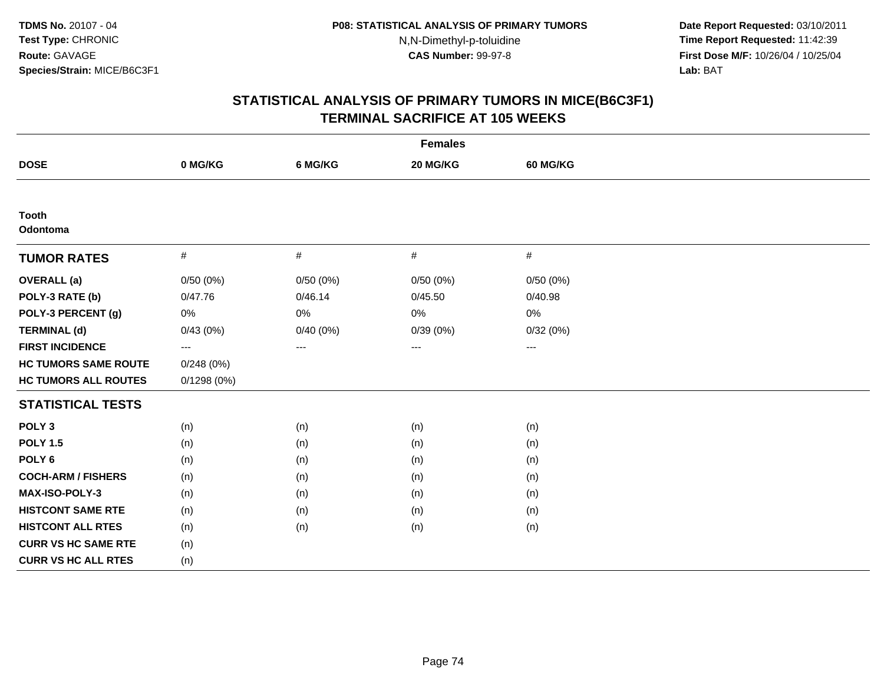**Date Report Requested:** 03/10/2011 **Time Report Requested:** 11:42:39 **First Dose M/F:** 10/26/04 / 10/25/04 Lab: BAT **Lab:** BAT

|                             |                     |          | <b>Females</b> |                   |  |
|-----------------------------|---------------------|----------|----------------|-------------------|--|
| <b>DOSE</b>                 | 0 MG/KG             | 6 MG/KG  | 20 MG/KG       | <b>60 MG/KG</b>   |  |
|                             |                     |          |                |                   |  |
| <b>Tooth</b><br>Odontoma    |                     |          |                |                   |  |
| <b>TUMOR RATES</b>          | $\#$                | #        | #              | $\#$              |  |
| <b>OVERALL</b> (a)          | 0/50(0%)            | 0/50(0%) | 0/50(0%)       | 0/50(0%)          |  |
| POLY-3 RATE (b)             | 0/47.76             | 0/46.14  | 0/45.50        | 0/40.98           |  |
| POLY-3 PERCENT (g)          | 0%                  | 0%       | 0%             | $0\%$             |  |
| <b>TERMINAL (d)</b>         | 0/43(0%)            | 0/40(0%) | 0/39(0%)       | 0/32(0%)          |  |
| <b>FIRST INCIDENCE</b>      | $\qquad \qquad - -$ | ---      | ---            | $\qquad \qquad -$ |  |
| <b>HC TUMORS SAME ROUTE</b> | 0/248(0%)           |          |                |                   |  |
| <b>HC TUMORS ALL ROUTES</b> | 0/1298(0%)          |          |                |                   |  |
| <b>STATISTICAL TESTS</b>    |                     |          |                |                   |  |
| POLY <sub>3</sub>           | (n)                 | (n)      | (n)            | (n)               |  |
| <b>POLY 1.5</b>             | (n)                 | (n)      | (n)            | (n)               |  |
| POLY <sub>6</sub>           | (n)                 | (n)      | (n)            | (n)               |  |
| <b>COCH-ARM / FISHERS</b>   | (n)                 | (n)      | (n)            | (n)               |  |
| <b>MAX-ISO-POLY-3</b>       | (n)                 | (n)      | (n)            | (n)               |  |
| <b>HISTCONT SAME RTE</b>    | (n)                 | (n)      | (n)            | (n)               |  |
| <b>HISTCONT ALL RTES</b>    | (n)                 | (n)      | (n)            | (n)               |  |
| <b>CURR VS HC SAME RTE</b>  | (n)                 |          |                |                   |  |
| <b>CURR VS HC ALL RTES</b>  | (n)                 |          |                |                   |  |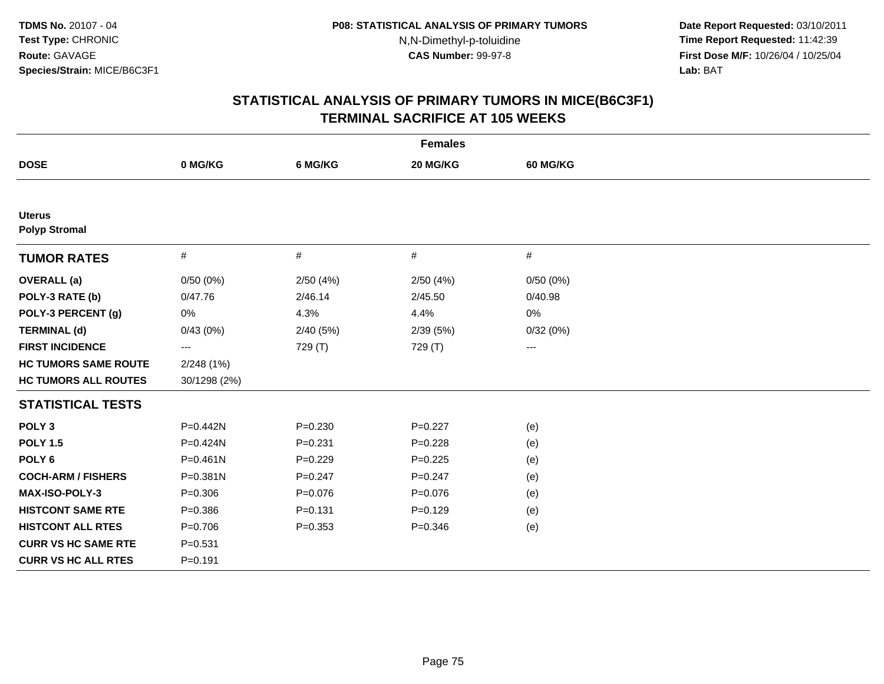**Date Report Requested:** 03/10/2011 **Time Report Requested:** 11:42:39 **First Dose M/F:** 10/26/04 / 10/25/04 Lab: BAT **Lab:** BAT

|                                       |              |             | <b>Females</b> |                 |  |
|---------------------------------------|--------------|-------------|----------------|-----------------|--|
| <b>DOSE</b>                           | 0 MG/KG      | 6 MG/KG     | 20 MG/KG       | <b>60 MG/KG</b> |  |
|                                       |              |             |                |                 |  |
| <b>Uterus</b><br><b>Polyp Stromal</b> |              |             |                |                 |  |
| <b>TUMOR RATES</b>                    | $\#$         | $\#$        | #              | #               |  |
| <b>OVERALL</b> (a)                    | 0/50(0%)     | 2/50(4%)    | 2/50(4%)       | 0/50(0%)        |  |
| POLY-3 RATE (b)                       | 0/47.76      | 2/46.14     | 2/45.50        | 0/40.98         |  |
| POLY-3 PERCENT (g)                    | $0\%$        | 4.3%        | 4.4%           | 0%              |  |
| <b>TERMINAL (d)</b>                   | 0/43(0%)     | 2/40(5%)    | 2/39(5%)       | 0/32(0%)        |  |
| <b>FIRST INCIDENCE</b>                | $--$         | 729 (T)     | 729 (T)        | $--$            |  |
| <b>HC TUMORS SAME ROUTE</b>           | 2/248 (1%)   |             |                |                 |  |
| <b>HC TUMORS ALL ROUTES</b>           | 30/1298 (2%) |             |                |                 |  |
| <b>STATISTICAL TESTS</b>              |              |             |                |                 |  |
| POLY <sub>3</sub>                     | P=0.442N     | $P = 0.230$ | $P=0.227$      | (e)             |  |
| <b>POLY 1.5</b>                       | $P = 0.424N$ | $P = 0.231$ | $P=0.228$      | (e)             |  |
| POLY <sub>6</sub>                     | $P = 0.461N$ | $P=0.229$   | $P=0.225$      | (e)             |  |
| <b>COCH-ARM / FISHERS</b>             | P=0.381N     | $P = 0.247$ | $P = 0.247$    | (e)             |  |
| <b>MAX-ISO-POLY-3</b>                 | $P = 0.306$  | $P = 0.076$ | $P=0.076$      | (e)             |  |
| <b>HISTCONT SAME RTE</b>              | $P = 0.386$  | $P = 0.131$ | $P = 0.129$    | (e)             |  |
| <b>HISTCONT ALL RTES</b>              | $P=0.706$    | $P = 0.353$ | $P = 0.346$    | (e)             |  |
| <b>CURR VS HC SAME RTE</b>            | $P = 0.531$  |             |                |                 |  |
| <b>CURR VS HC ALL RTES</b>            | $P = 0.191$  |             |                |                 |  |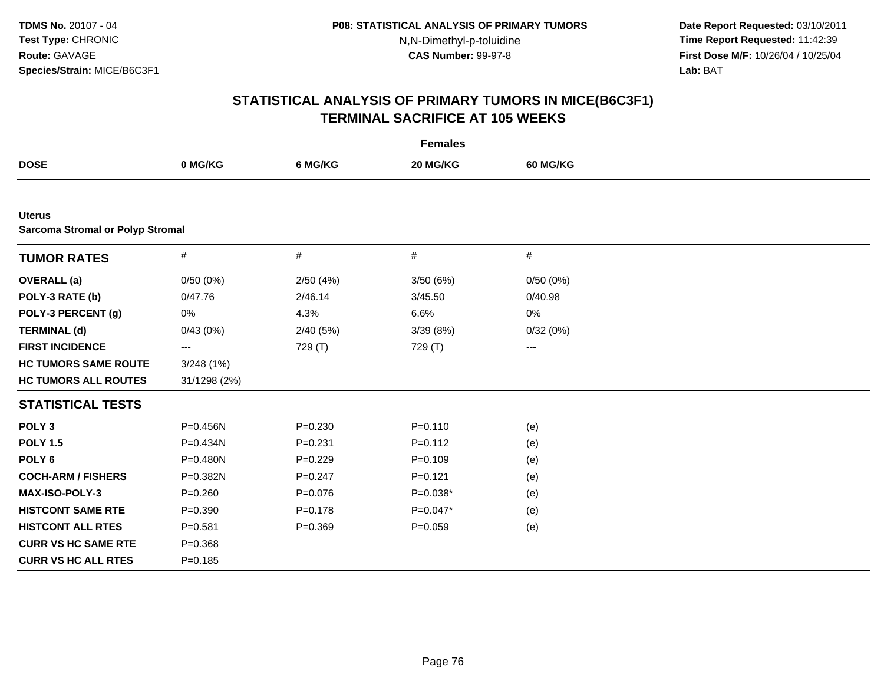**Date Report Requested:** 03/10/2011 **Time Report Requested:** 11:42:39 **First Dose M/F:** 10/26/04 / 10/25/04 Lab: BAT **Lab:** BAT

|                                                          |              |             | <b>Females</b> |                   |  |
|----------------------------------------------------------|--------------|-------------|----------------|-------------------|--|
| <b>DOSE</b>                                              | 0 MG/KG      | 6 MG/KG     | 20 MG/KG       | 60 MG/KG          |  |
|                                                          |              |             |                |                   |  |
| <b>Uterus</b><br><b>Sarcoma Stromal or Polyp Stromal</b> |              |             |                |                   |  |
| <b>TUMOR RATES</b>                                       | $\#$         | $\#$        | #              | #                 |  |
| <b>OVERALL</b> (a)                                       | 0/50(0%)     | 2/50(4%)    | 3/50(6%)       | 0/50(0%)          |  |
| POLY-3 RATE (b)                                          | 0/47.76      | 2/46.14     | 3/45.50        | 0/40.98           |  |
| POLY-3 PERCENT (g)                                       | $0\%$        | 4.3%        | 6.6%           | 0%                |  |
| <b>TERMINAL (d)</b>                                      | 0/43(0%)     | 2/40(5%)    | 3/39 (8%)      | 0/32(0%)          |  |
| <b>FIRST INCIDENCE</b>                                   | ---          | 729 (T)     | 729 (T)        | $\qquad \qquad -$ |  |
| <b>HC TUMORS SAME ROUTE</b>                              | 3/248(1%)    |             |                |                   |  |
| <b>HC TUMORS ALL ROUTES</b>                              | 31/1298 (2%) |             |                |                   |  |
| <b>STATISTICAL TESTS</b>                                 |              |             |                |                   |  |
| POLY <sub>3</sub>                                        | P=0.456N     | $P = 0.230$ | $P = 0.110$    | (e)               |  |
| <b>POLY 1.5</b>                                          | P=0.434N     | $P = 0.231$ | $P=0.112$      | (e)               |  |
| POLY <sub>6</sub>                                        | P=0.480N     | $P=0.229$   | $P = 0.109$    | (e)               |  |
| <b>COCH-ARM / FISHERS</b>                                | P=0.382N     | $P = 0.247$ | $P=0.121$      | (e)               |  |
| <b>MAX-ISO-POLY-3</b>                                    | $P = 0.260$  | $P = 0.076$ | $P=0.038*$     | (e)               |  |
| <b>HISTCONT SAME RTE</b>                                 | $P = 0.390$  | $P = 0.178$ | $P=0.047*$     | (e)               |  |
| <b>HISTCONT ALL RTES</b>                                 | $P = 0.581$  | $P = 0.369$ | $P=0.059$      | (e)               |  |
| <b>CURR VS HC SAME RTE</b>                               | $P = 0.368$  |             |                |                   |  |
| <b>CURR VS HC ALL RTES</b>                               | $P = 0.185$  |             |                |                   |  |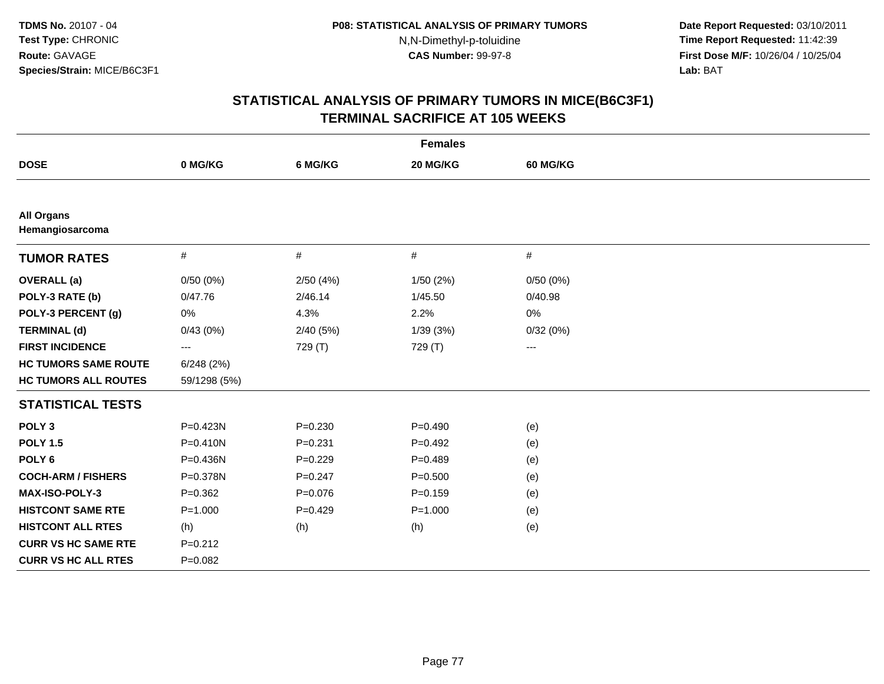**Date Report Requested:** 03/10/2011 **Time Report Requested:** 11:42:39 **First Dose M/F:** 10/26/04 / 10/25/04 Lab: BAT **Lab:** BAT

| <b>Females</b>                       |                   |             |             |                 |  |  |
|--------------------------------------|-------------------|-------------|-------------|-----------------|--|--|
| <b>DOSE</b>                          | 0 MG/KG           | 6 MG/KG     | 20 MG/KG    | <b>60 MG/KG</b> |  |  |
|                                      |                   |             |             |                 |  |  |
| <b>All Organs</b><br>Hemangiosarcoma |                   |             |             |                 |  |  |
| <b>TUMOR RATES</b>                   | $\#$              | $\#$        | $\#$        | #               |  |  |
| <b>OVERALL</b> (a)                   | 0/50(0%)          | 2/50(4%)    | 1/50(2%)    | 0/50(0%)        |  |  |
| POLY-3 RATE (b)                      | 0/47.76           | 2/46.14     | 1/45.50     | 0/40.98         |  |  |
| POLY-3 PERCENT (g)                   | 0%                | 4.3%        | 2.2%        | 0%              |  |  |
| <b>TERMINAL (d)</b>                  | 0/43(0%)          | 2/40(5%)    | 1/39(3%)    | 0/32(0%)        |  |  |
| <b>FIRST INCIDENCE</b>               | $\qquad \qquad -$ | 729 (T)     | 729 (T)     | ---             |  |  |
| <b>HC TUMORS SAME ROUTE</b>          | 6/248(2%)         |             |             |                 |  |  |
| <b>HC TUMORS ALL ROUTES</b>          | 59/1298 (5%)      |             |             |                 |  |  |
| <b>STATISTICAL TESTS</b>             |                   |             |             |                 |  |  |
| POLY <sub>3</sub>                    | $P = 0.423N$      | $P = 0.230$ | $P = 0.490$ | (e)             |  |  |
| <b>POLY 1.5</b>                      | $P = 0.410N$      | $P = 0.231$ | $P=0.492$   | (e)             |  |  |
| POLY <sub>6</sub>                    | $P = 0.436N$      | $P=0.229$   | $P=0.489$   | (e)             |  |  |
| <b>COCH-ARM / FISHERS</b>            | P=0.378N          | $P = 0.247$ | $P = 0.500$ | (e)             |  |  |
| <b>MAX-ISO-POLY-3</b>                | $P=0.362$         | $P = 0.076$ | $P = 0.159$ | (e)             |  |  |
| <b>HISTCONT SAME RTE</b>             | $P = 1.000$       | $P=0.429$   | $P = 1.000$ | (e)             |  |  |
| <b>HISTCONT ALL RTES</b>             | (h)               | (h)         | (h)         | (e)             |  |  |
| <b>CURR VS HC SAME RTE</b>           | $P = 0.212$       |             |             |                 |  |  |
| <b>CURR VS HC ALL RTES</b>           | $P=0.082$         |             |             |                 |  |  |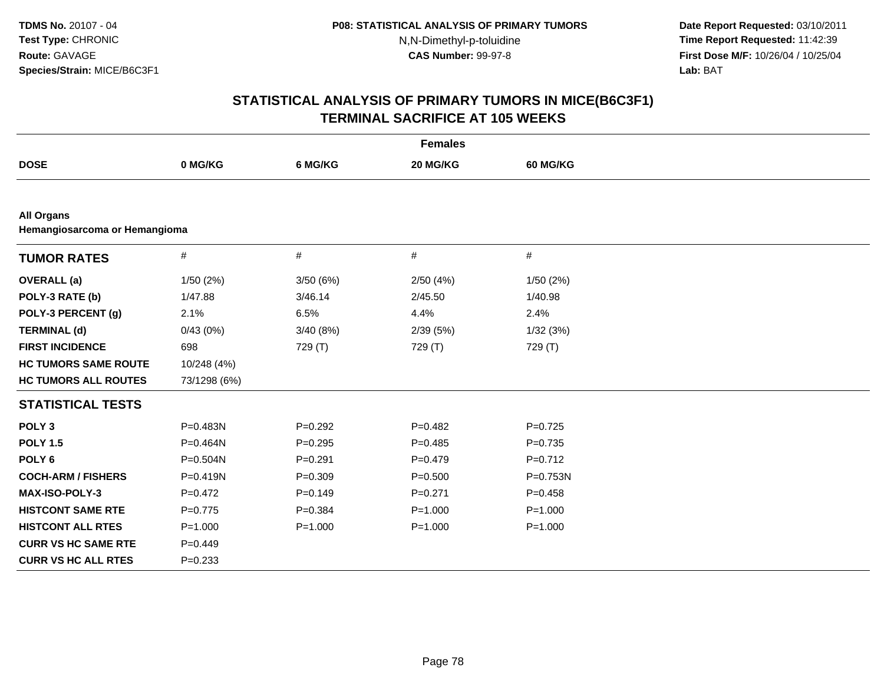**Date Report Requested:** 03/10/2011 **Time Report Requested:** 11:42:39 **First Dose M/F:** 10/26/04 / 10/25/04 Lab: BAT **Lab:** BAT

|                                                    |              |             | <b>Females</b> |                 |  |
|----------------------------------------------------|--------------|-------------|----------------|-----------------|--|
| <b>DOSE</b>                                        | 0 MG/KG      | 6 MG/KG     | 20 MG/KG       | <b>60 MG/KG</b> |  |
|                                                    |              |             |                |                 |  |
| <b>All Organs</b><br>Hemangiosarcoma or Hemangioma |              |             |                |                 |  |
| <b>TUMOR RATES</b>                                 | $\#$         | $\#$        | #              | $\#$            |  |
| <b>OVERALL</b> (a)                                 | 1/50(2%)     | 3/50(6%)    | 2/50(4%)       | 1/50(2%)        |  |
| POLY-3 RATE (b)                                    | 1/47.88      | 3/46.14     | 2/45.50        | 1/40.98         |  |
| POLY-3 PERCENT (g)                                 | 2.1%         | 6.5%        | 4.4%           | 2.4%            |  |
| <b>TERMINAL (d)</b>                                | 0/43(0%)     | 3/40(8%)    | 2/39(5%)       | 1/32(3%)        |  |
| <b>FIRST INCIDENCE</b>                             | 698          | 729 (T)     | 729 (T)        | 729 (T)         |  |
| <b>HC TUMORS SAME ROUTE</b>                        | 10/248 (4%)  |             |                |                 |  |
| <b>HC TUMORS ALL ROUTES</b>                        | 73/1298 (6%) |             |                |                 |  |
| <b>STATISTICAL TESTS</b>                           |              |             |                |                 |  |
| POLY <sub>3</sub>                                  | P=0.483N     | $P=0.292$   | $P=0.482$      | $P=0.725$       |  |
| <b>POLY 1.5</b>                                    | P=0.464N     | $P = 0.295$ | $P=0.485$      | $P=0.735$       |  |
| POLY <sub>6</sub>                                  | P=0.504N     | $P = 0.291$ | $P=0.479$      | $P=0.712$       |  |
| <b>COCH-ARM / FISHERS</b>                          | $P = 0.419N$ | $P = 0.309$ | $P = 0.500$    | P=0.753N        |  |
| <b>MAX-ISO-POLY-3</b>                              | $P=0.472$    | $P=0.149$   | $P=0.271$      | $P = 0.458$     |  |
| <b>HISTCONT SAME RTE</b>                           | $P = 0.775$  | $P = 0.384$ | $P = 1.000$    | $P = 1.000$     |  |
| <b>HISTCONT ALL RTES</b>                           | $P = 1.000$  | $P = 1.000$ | $P = 1.000$    | $P = 1.000$     |  |
| <b>CURR VS HC SAME RTE</b>                         | $P=0.449$    |             |                |                 |  |
| <b>CURR VS HC ALL RTES</b>                         | $P = 0.233$  |             |                |                 |  |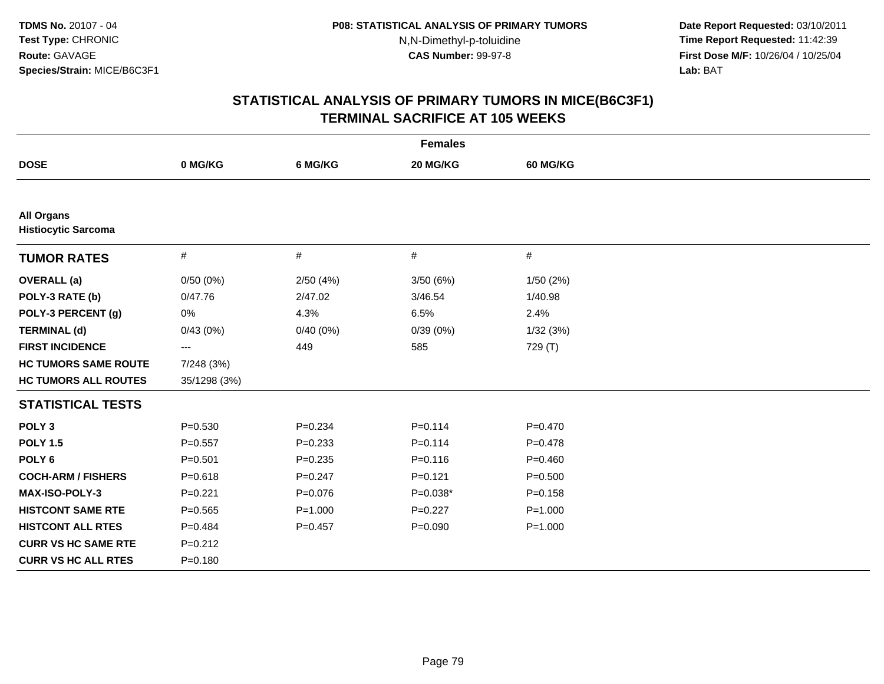**Date Report Requested:** 03/10/2011 **Time Report Requested:** 11:42:39 **First Dose M/F:** 10/26/04 / 10/25/04 Lab: BAT **Lab:** BAT

|                                                 |                   |             | <b>Females</b> |                 |  |
|-------------------------------------------------|-------------------|-------------|----------------|-----------------|--|
| <b>DOSE</b>                                     | 0 MG/KG           | 6 MG/KG     | 20 MG/KG       | <b>60 MG/KG</b> |  |
|                                                 |                   |             |                |                 |  |
| <b>All Organs</b><br><b>Histiocytic Sarcoma</b> |                   |             |                |                 |  |
| <b>TUMOR RATES</b>                              | $\#$              | $\#$        | $\#$           | $\#$            |  |
| <b>OVERALL</b> (a)                              | 0/50(0%)          | 2/50(4%)    | 3/50 (6%)      | 1/50(2%)        |  |
| POLY-3 RATE (b)                                 | 0/47.76           | 2/47.02     | 3/46.54        | 1/40.98         |  |
| POLY-3 PERCENT (g)                              | 0%                | 4.3%        | 6.5%           | 2.4%            |  |
| <b>TERMINAL (d)</b>                             | 0/43(0%)          | 0/40(0%)    | 0/39(0%)       | 1/32(3%)        |  |
| <b>FIRST INCIDENCE</b>                          | $\qquad \qquad -$ | 449         | 585            | 729 (T)         |  |
| <b>HC TUMORS SAME ROUTE</b>                     | 7/248 (3%)        |             |                |                 |  |
| <b>HC TUMORS ALL ROUTES</b>                     | 35/1298 (3%)      |             |                |                 |  |
| <b>STATISTICAL TESTS</b>                        |                   |             |                |                 |  |
| POLY <sub>3</sub>                               | $P = 0.530$       | $P = 0.234$ | $P = 0.114$    | $P=0.470$       |  |
| <b>POLY 1.5</b>                                 | $P = 0.557$       | $P = 0.233$ | $P = 0.114$    | $P = 0.478$     |  |
| POLY <sub>6</sub>                               | $P = 0.501$       | $P = 0.235$ | $P = 0.116$    | $P=0.460$       |  |
| <b>COCH-ARM / FISHERS</b>                       | $P = 0.618$       | $P = 0.247$ | $P = 0.121$    | $P = 0.500$     |  |
| MAX-ISO-POLY-3                                  | $P=0.221$         | $P = 0.076$ | $P=0.038*$     | $P = 0.158$     |  |
| <b>HISTCONT SAME RTE</b>                        | $P = 0.565$       | $P = 1.000$ | $P=0.227$      | $P = 1.000$     |  |
| <b>HISTCONT ALL RTES</b>                        | $P=0.484$         | $P = 0.457$ | $P = 0.090$    | $P = 1.000$     |  |
| <b>CURR VS HC SAME RTE</b>                      | $P = 0.212$       |             |                |                 |  |
| <b>CURR VS HC ALL RTES</b>                      | $P = 0.180$       |             |                |                 |  |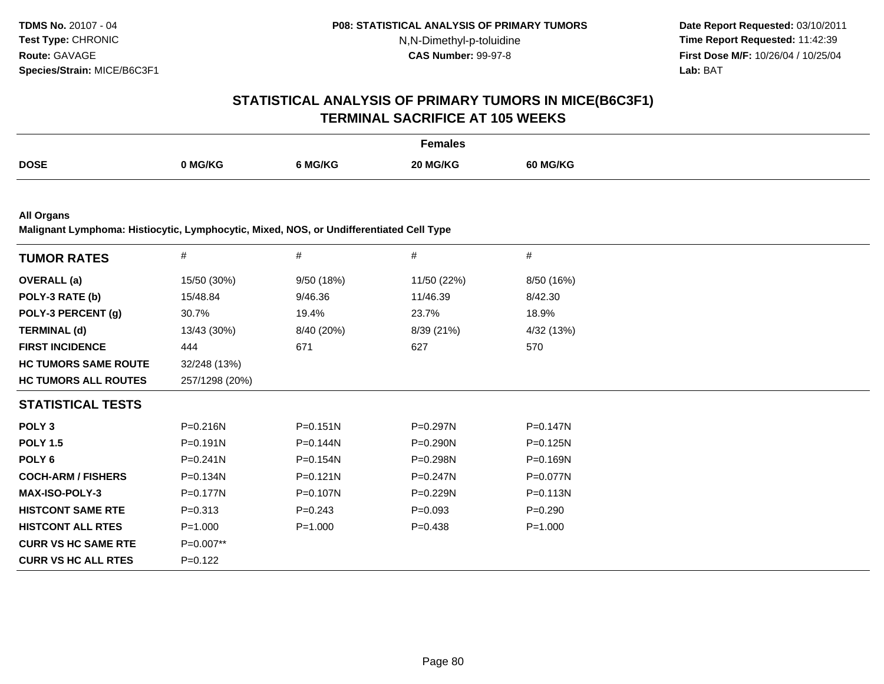**Date Report Requested:** 03/10/2011 **Time Report Requested:** 11:42:39 **First Dose M/F:** 10/26/04 / 10/25/04<br>**Lab:** BAT **Lab:** BAT

# **STATISTICAL ANALYSIS OF PRIMARY TUMORS IN MICE(B6C3F1)TERMINAL SACRIFICE AT 105 WEEKS**

|             |         |         | Females  |                 |
|-------------|---------|---------|----------|-----------------|
| <b>DOSE</b> | 0 MG/KG | ነ MG/KG | 20 MG/KG | <b>60 MG/KG</b> |

**All Organs**

**Malignant Lymphoma: Histiocytic, Lymphocytic, Mixed, NOS, or Undifferentiated Cell Type**

| <b>TUMOR RATES</b>          | #              | #            | $\#$         | $\#$         |
|-----------------------------|----------------|--------------|--------------|--------------|
|                             |                |              |              |              |
| <b>OVERALL (a)</b>          | 15/50 (30%)    | 9/50 (18%)   | 11/50 (22%)  | 8/50 (16%)   |
| POLY-3 RATE (b)             | 15/48.84       | 9/46.36      | 11/46.39     | 8/42.30      |
| POLY-3 PERCENT (g)          | 30.7%          | 19.4%        | 23.7%        | 18.9%        |
| <b>TERMINAL (d)</b>         | 13/43 (30%)    | 8/40 (20%)   | 8/39 (21%)   | 4/32 (13%)   |
| <b>FIRST INCIDENCE</b>      | 444            | 671          | 627          | 570          |
| <b>HC TUMORS SAME ROUTE</b> | 32/248 (13%)   |              |              |              |
| <b>HC TUMORS ALL ROUTES</b> | 257/1298 (20%) |              |              |              |
| <b>STATISTICAL TESTS</b>    |                |              |              |              |
| POLY <sub>3</sub>           | P=0.216N       | $P = 0.151N$ | P=0.297N     | $P = 0.147N$ |
| <b>POLY 1.5</b>             | P=0.191N       | P=0.144N     | P=0.290N     | P=0.125N     |
| POLY <sub>6</sub>           | $P = 0.241N$   | $P = 0.154N$ | $P = 0.298N$ | $P = 0.169N$ |
| <b>COCH-ARM / FISHERS</b>   | $P = 0.134N$   | $P = 0.121N$ | $P = 0.247N$ | P=0.077N     |
| <b>MAX-ISO-POLY-3</b>       | $P = 0.177N$   | $P = 0.107N$ | $P=0.229N$   | $P = 0.113N$ |
| <b>HISTCONT SAME RTE</b>    | $P = 0.313$    | $P = 0.243$  | $P=0.093$    | $P = 0.290$  |
| <b>HISTCONT ALL RTES</b>    | $P = 1.000$    | $P = 1.000$  | $P=0.438$    | $P = 1.000$  |
| <b>CURR VS HC SAME RTE</b>  | $P=0.007**$    |              |              |              |
| <b>CURR VS HC ALL RTES</b>  | $P = 0.122$    |              |              |              |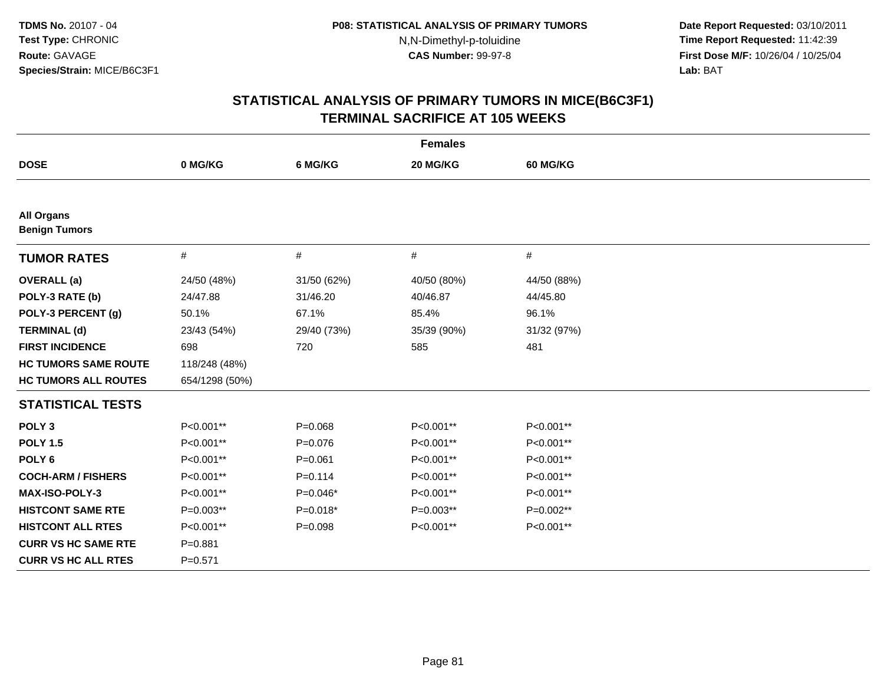**Date Report Requested:** 03/10/2011 **Time Report Requested:** 11:42:39 **First Dose M/F:** 10/26/04 / 10/25/04 Lab: BAT **Lab:** BAT

|                                           |                |             | <b>Females</b> |                 |  |
|-------------------------------------------|----------------|-------------|----------------|-----------------|--|
| <b>DOSE</b>                               | 0 MG/KG        | 6 MG/KG     | 20 MG/KG       | <b>60 MG/KG</b> |  |
|                                           |                |             |                |                 |  |
| <b>All Organs</b><br><b>Benign Tumors</b> |                |             |                |                 |  |
| <b>TUMOR RATES</b>                        | #              | #           | #              | $\#$            |  |
| <b>OVERALL</b> (a)                        | 24/50 (48%)    | 31/50 (62%) | 40/50 (80%)    | 44/50 (88%)     |  |
| POLY-3 RATE (b)                           | 24/47.88       | 31/46.20    | 40/46.87       | 44/45.80        |  |
| POLY-3 PERCENT (g)                        | 50.1%          | 67.1%       | 85.4%          | 96.1%           |  |
| <b>TERMINAL (d)</b>                       | 23/43 (54%)    | 29/40 (73%) | 35/39 (90%)    | 31/32 (97%)     |  |
| <b>FIRST INCIDENCE</b>                    | 698            | 720         | 585            | 481             |  |
| <b>HC TUMORS SAME ROUTE</b>               | 118/248 (48%)  |             |                |                 |  |
| <b>HC TUMORS ALL ROUTES</b>               | 654/1298 (50%) |             |                |                 |  |
| <b>STATISTICAL TESTS</b>                  |                |             |                |                 |  |
| POLY <sub>3</sub>                         | P<0.001**      | $P = 0.068$ | P<0.001**      | P<0.001**       |  |
| <b>POLY 1.5</b>                           | P<0.001**      | $P=0.076$   | P<0.001**      | P<0.001**       |  |
| POLY <sub>6</sub>                         | P<0.001**      | $P = 0.061$ | P<0.001**      | P<0.001**       |  |
| <b>COCH-ARM / FISHERS</b>                 | P<0.001**      | $P = 0.114$ | P<0.001**      | P<0.001**       |  |
| <b>MAX-ISO-POLY-3</b>                     | P<0.001**      | $P=0.046*$  | P<0.001**      | P<0.001**       |  |
| <b>HISTCONT SAME RTE</b>                  | P=0.003**      | $P=0.018*$  | P=0.003**      | P=0.002**       |  |
| <b>HISTCONT ALL RTES</b>                  | P<0.001**      | $P = 0.098$ | P<0.001**      | P<0.001**       |  |
| <b>CURR VS HC SAME RTE</b>                | $P = 0.881$    |             |                |                 |  |
| <b>CURR VS HC ALL RTES</b>                | $P = 0.571$    |             |                |                 |  |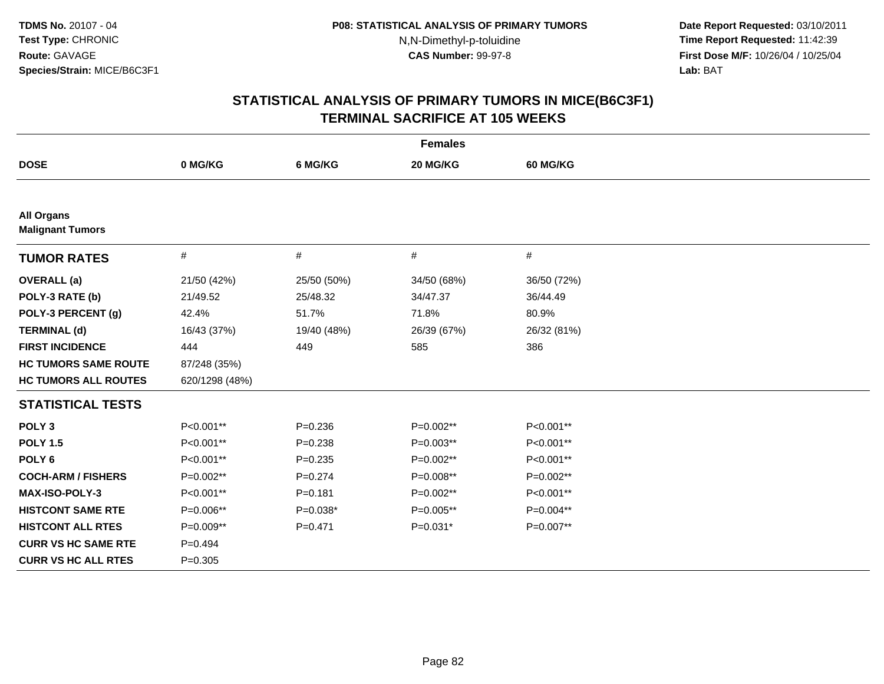**Date Report Requested:** 03/10/2011 **Time Report Requested:** 11:42:39 **First Dose M/F:** 10/26/04 / 10/25/04 Lab: BAT **Lab:** BAT

|                                              |                |             | <b>Females</b> |             |
|----------------------------------------------|----------------|-------------|----------------|-------------|
| <b>DOSE</b>                                  | 0 MG/KG        | 6 MG/KG     | 20 MG/KG       | 60 MG/KG    |
|                                              |                |             |                |             |
| <b>All Organs</b><br><b>Malignant Tumors</b> |                |             |                |             |
| <b>TUMOR RATES</b>                           | $\#$           | $\#$        | #              | $\#$        |
| <b>OVERALL</b> (a)                           | 21/50 (42%)    | 25/50 (50%) | 34/50 (68%)    | 36/50 (72%) |
| POLY-3 RATE (b)                              | 21/49.52       | 25/48.32    | 34/47.37       | 36/44.49    |
| POLY-3 PERCENT (g)                           | 42.4%          | 51.7%       | 71.8%          | 80.9%       |
| <b>TERMINAL (d)</b>                          | 16/43 (37%)    | 19/40 (48%) | 26/39 (67%)    | 26/32 (81%) |
| <b>FIRST INCIDENCE</b>                       | 444            | 449         | 585            | 386         |
| <b>HC TUMORS SAME ROUTE</b>                  | 87/248 (35%)   |             |                |             |
| <b>HC TUMORS ALL ROUTES</b>                  | 620/1298 (48%) |             |                |             |
| <b>STATISTICAL TESTS</b>                     |                |             |                |             |
| POLY <sub>3</sub>                            | P<0.001**      | $P = 0.236$ | P=0.002**      | P<0.001**   |
| <b>POLY 1.5</b>                              | P<0.001**      | $P = 0.238$ | P=0.003**      | P<0.001**   |
| POLY <sub>6</sub>                            | P<0.001**      | $P=0.235$   | P=0.002**      | P<0.001**   |
| <b>COCH-ARM / FISHERS</b>                    | P=0.002**      | $P = 0.274$ | P=0.008**      | P=0.002**   |
| <b>MAX-ISO-POLY-3</b>                        | P<0.001**      | $P = 0.181$ | P=0.002**      | P<0.001**   |
| <b>HISTCONT SAME RTE</b>                     | P=0.006**      | $P=0.038*$  | P=0.005**      | P=0.004**   |
| <b>HISTCONT ALL RTES</b>                     | P=0.009**      | $P = 0.471$ | $P=0.031*$     | P=0.007**   |
| <b>CURR VS HC SAME RTE</b>                   | $P=0.494$      |             |                |             |
| <b>CURR VS HC ALL RTES</b>                   | $P=0.305$      |             |                |             |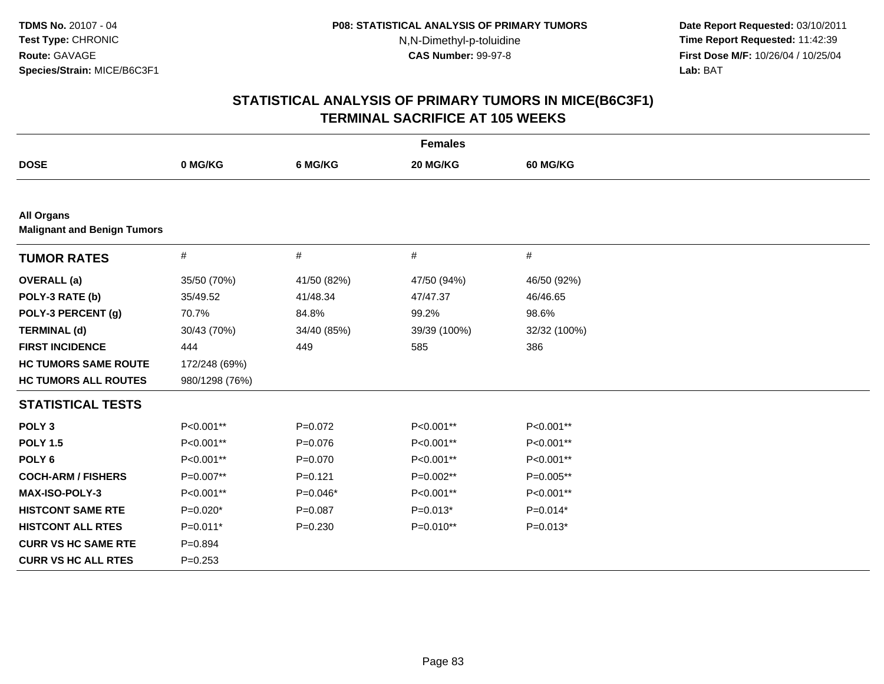**Date Report Requested:** 03/10/2011 **Time Report Requested:** 11:42:39 **First Dose M/F:** 10/26/04 / 10/25/04 Lab: BAT **Lab:** BAT

| <b>Females</b>                                          |                |             |              |              |  |  |
|---------------------------------------------------------|----------------|-------------|--------------|--------------|--|--|
| <b>DOSE</b>                                             | 0 MG/KG        | 6 MG/KG     | 20 MG/KG     | 60 MG/KG     |  |  |
|                                                         |                |             |              |              |  |  |
| <b>All Organs</b><br><b>Malignant and Benign Tumors</b> |                |             |              |              |  |  |
| <b>TUMOR RATES</b>                                      | $\#$           | #           | $\#$         | $\#$         |  |  |
| <b>OVERALL</b> (a)                                      | 35/50 (70%)    | 41/50 (82%) | 47/50 (94%)  | 46/50 (92%)  |  |  |
| POLY-3 RATE (b)                                         | 35/49.52       | 41/48.34    | 47/47.37     | 46/46.65     |  |  |
| POLY-3 PERCENT (g)                                      | 70.7%          | 84.8%       | 99.2%        | 98.6%        |  |  |
| <b>TERMINAL (d)</b>                                     | 30/43 (70%)    | 34/40 (85%) | 39/39 (100%) | 32/32 (100%) |  |  |
| <b>FIRST INCIDENCE</b>                                  | 444            | 449         | 585          | 386          |  |  |
| <b>HC TUMORS SAME ROUTE</b>                             | 172/248 (69%)  |             |              |              |  |  |
| <b>HC TUMORS ALL ROUTES</b>                             | 980/1298 (76%) |             |              |              |  |  |
| <b>STATISTICAL TESTS</b>                                |                |             |              |              |  |  |
| POLY <sub>3</sub>                                       | P<0.001**      | $P=0.072$   | P<0.001**    | P<0.001**    |  |  |
| <b>POLY 1.5</b>                                         | P<0.001**      | $P = 0.076$ | P<0.001**    | P<0.001**    |  |  |
| POLY <sub>6</sub>                                       | P<0.001**      | $P=0.070$   | P<0.001**    | P<0.001**    |  |  |
| <b>COCH-ARM / FISHERS</b>                               | P=0.007**      | $P = 0.121$ | P=0.002**    | P=0.005**    |  |  |
| MAX-ISO-POLY-3                                          | P<0.001**      | $P=0.046*$  | P<0.001**    | P<0.001**    |  |  |
| <b>HISTCONT SAME RTE</b>                                | $P=0.020*$     | $P=0.087$   | $P=0.013*$   | $P=0.014*$   |  |  |
| <b>HISTCONT ALL RTES</b>                                | $P=0.011*$     | $P = 0.230$ | P=0.010**    | $P=0.013*$   |  |  |
| <b>CURR VS HC SAME RTE</b>                              | $P=0.894$      |             |              |              |  |  |
| <b>CURR VS HC ALL RTES</b>                              | $P = 0.253$    |             |              |              |  |  |